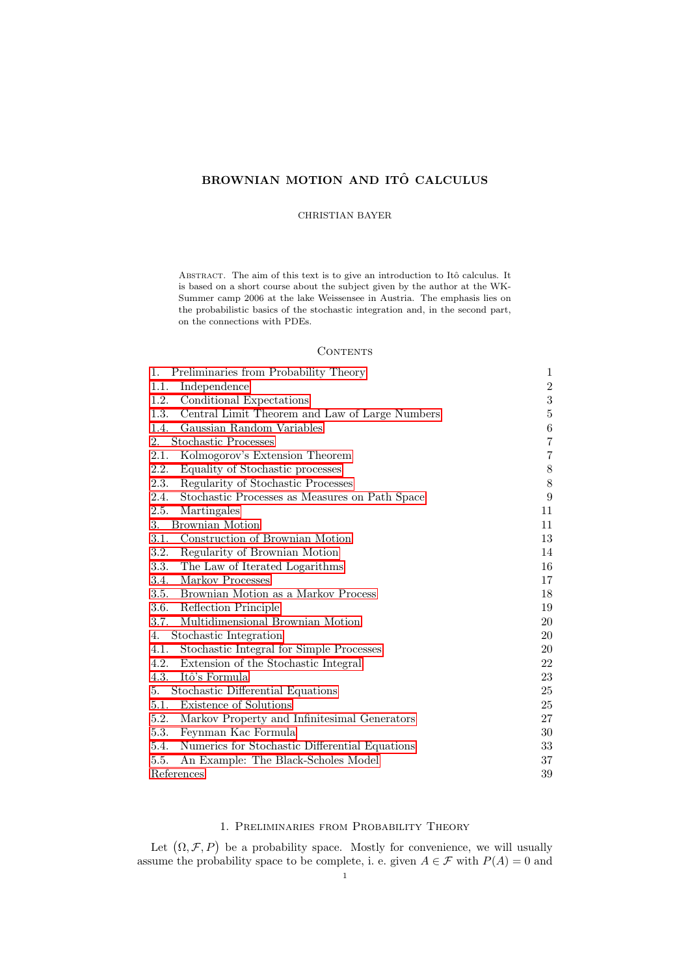# BROWNIAN MOTION AND ITÔ CALCULUS

# CHRISTIAN BAYER

ABSTRACT. The aim of this text is to give an introduction to Itô calculus. It is based on a short course about the subject given by the author at the WK-Summer camp 2006 at the lake Weissensee in Austria. The emphasis lies on the probabilistic basics of the stochastic integration and, in the second part, on the connections with PDEs.

# CONTENTS

| 1.<br>Preliminaries from Probability Theory            | 1                |
|--------------------------------------------------------|------------------|
| Independence<br>1.1.                                   | $\overline{2}$   |
| 1.2.<br>Conditional Expectations                       | $\boldsymbol{3}$ |
| 1.3.<br>Central Limit Theorem and Law of Large Numbers | $\bf 5$          |
| Gaussian Random Variables<br>1.4.                      | 6                |
| <b>Stochastic Processes</b><br>2.                      | 7                |
| 2.1.<br>Kolmogorov's Extension Theorem                 | $\!\!7$          |
| 2.2.<br>Equality of Stochastic processes               | 8                |
| Regularity of Stochastic Processes<br>2.3.             | 8                |
| 2.4.<br>Stochastic Processes as Measures on Path Space | 9                |
| 2.5.<br>Martingales                                    | 11               |
| Brownian Motion<br>3.                                  | 11               |
| Construction of Brownian Motion<br>3.1.                | 13               |
| 3.2.<br>Regularity of Brownian Motion                  | 14               |
| The Law of Iterated Logarithms<br><b>3.3.</b>          | 16               |
| Markov Processes<br>3.4.                               | 17               |
| Brownian Motion as a Markov Process<br>3.5.            | 18               |
| 3.6.<br>Reflection Principle                           | 19               |
| 3.7.<br>Multidimensional Brownian Motion               | 20               |
| Stochastic Integration<br>4.                           | 20               |
| 4.1.<br>Stochastic Integral for Simple Processes       | 20               |
| 4.2.<br>Extension of the Stochastic Integral           | 22               |
| 4.3.<br>Itô's Formula                                  | 23               |
| Stochastic Differential Equations<br>5.                | 25               |
| Existence of Solutions<br>5.1.                         | 25               |
| 5.2.<br>Markov Property and Infinitesimal Generators   | 27               |
| Feynman Kac Formula<br>5.3.                            | 30               |
| Numerics for Stochastic Differential Equations<br>5.4. | 33               |
| 5.5.<br>An Example: The Black-Scholes Model            | 37               |
| References                                             | 39               |

# 1. Preliminaries from Probability Theory

<span id="page-0-0"></span>Let  $(\Omega, \mathcal{F}, P)$  be a probability space. Mostly for convenience, we will usually assume the probability space to be complete, i. e. given  $A \in \mathcal{F}$  with  $P(A) = 0$  and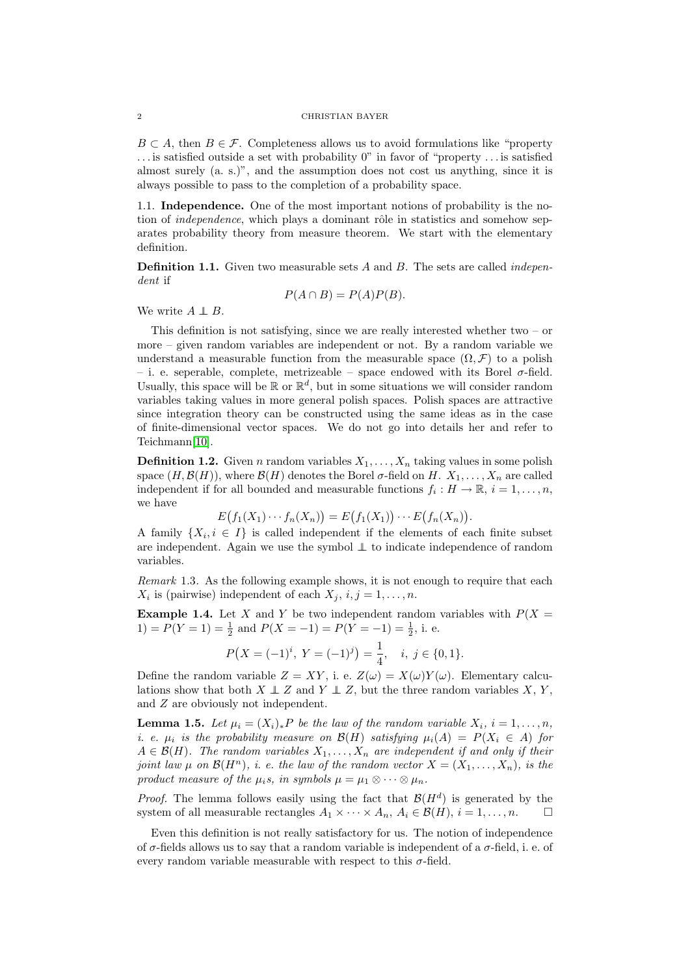$B \subset A$ , then  $B \in \mathcal{F}$ . Completeness allows us to avoid formulations like "property" . . . is satisfied outside a set with probability 0" in favor of "property . . . is satisfied almost surely (a. s.)", and the assumption does not cost us anything, since it is always possible to pass to the completion of a probability space.

<span id="page-1-0"></span>1.1. Independence. One of the most important notions of probability is the notion of *independence*, which plays a dominant rôle in statistics and somehow separates probability theory from measure theorem. We start with the elementary definition.

**Definition 1.1.** Given two measurable sets  $A$  and  $B$ . The sets are called *indepen*dent if

$$
P(A \cap B) = P(A)P(B).
$$

We write  $A \perp B$ .

This definition is not satisfying, since we are really interested whether two  $-$  or more – given random variables are independent or not. By a random variable we understand a measurable function from the measurable space  $(\Omega, \mathcal{F})$  to a polish – i. e. seperable, complete, metrizeable – space endowed with its Borel  $\sigma$ -field. Usually, this space will be  $\mathbb{R}$  or  $\mathbb{R}^d$ , but in some situations we will consider random variables taking values in more general polish spaces. Polish spaces are attractive since integration theory can be constructed using the same ideas as in the case of finite-dimensional vector spaces. We do not go into details her and refer to Teichmann[\[10\]](#page-38-1).

**Definition 1.2.** Given n random variables  $X_1, \ldots, X_n$  taking values in some polish space  $(H, \mathcal{B}(H))$ , where  $\mathcal{B}(H)$  denotes the Borel  $\sigma$ -field on H.  $X_1, \ldots, X_n$  are called independent if for all bounded and measurable functions  $f_i: H \to \mathbb{R}, i = 1, \ldots, n$ , we have

$$
E(f_1(X_1)\cdots f_n(X_n))=E(f_1(X_1))\cdots E(f_n(X_n)).
$$

A family  $\{X_i, i \in I\}$  is called independent if the elements of each finite subset are independent. Again we use the symbol ⊥⊥ to indicate independence of random variables.

Remark 1.3. As the following example shows, it is not enough to require that each  $X_i$  is (pairwise) independent of each  $X_j$ ,  $i, j = 1, \ldots, n$ .

**Example 1.4.** Let X and Y be two independent random variables with  $P(X =$ 1) =  $P(Y = 1) = \frac{1}{2}$  and  $P(X = -1) = P(Y = -1) = \frac{1}{2}$ , i. e.

$$
P(X = (-1)^{i}, Y = (-1)^{j}) = \frac{1}{4}, \quad i, j \in \{0, 1\}.
$$

Define the random variable  $Z = XY$ , i. e.  $Z(\omega) = X(\omega)Y(\omega)$ . Elementary calculations show that both  $X \perp Z$  and  $Y \perp Z$ , but the three random variables  $X, Y$ , and Z are obviously not independent.

**Lemma 1.5.** Let  $\mu_i = (X_i)_*P$  be the law of the random variable  $X_i$ ,  $i = 1, \ldots, n$ , i. e.  $\mu_i$  is the probability measure on  $\mathcal{B}(H)$  satisfying  $\mu_i(A) = P(X_i \in A)$  for  $A \in \mathcal{B}(H)$ . The random variables  $X_1, \ldots, X_n$  are independent if and only if their joint law  $\mu$  on  $\mathcal{B}(H^n)$ , i. e. the law of the random vector  $X = (X_1, \ldots, X_n)$ , is the product measure of the  $\mu_i s$ , in symbols  $\mu = \mu_1 \otimes \cdots \otimes \mu_n$ .

*Proof.* The lemma follows easily using the fact that  $\mathcal{B}(H^d)$  is generated by the system of all measurable rectangles  $A_1 \times \cdots \times A_n$ ,  $A_i \in \mathcal{B}(H)$ ,  $i = 1, \ldots, n$ .

Even this definition is not really satisfactory for us. The notion of independence of  $\sigma$ -fields allows us to say that a random variable is independent of a  $\sigma$ -field, i. e. of every random variable measurable with respect to this  $\sigma$ -field.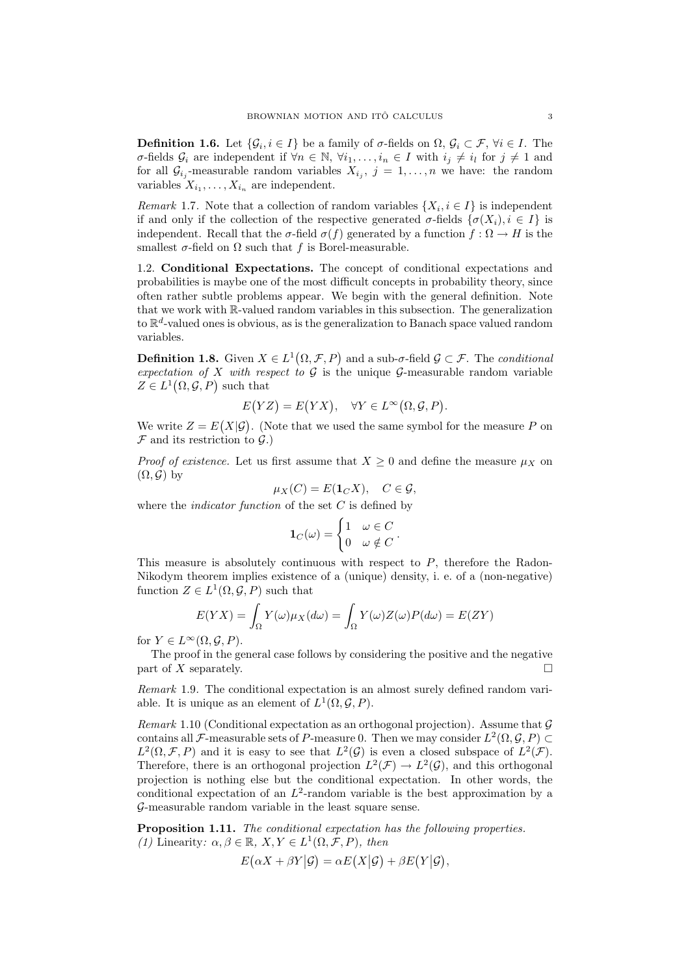**Definition 1.6.** Let  $\{\mathcal{G}_i, i \in I\}$  be a family of  $\sigma$ -fields on  $\Omega$ ,  $\mathcal{G}_i \subset \mathcal{F}$ ,  $\forall i \in I$ . The σ-fields  $\mathcal{G}_i$  are independent if  $\forall n \in \mathbb{N}, \forall i_1, \ldots, i_n \in I$  with  $i_j \neq i_l$  for  $j \neq 1$  and for all  $\mathcal{G}_{i_j}$ -measurable random variables  $X_{i_j}$ ,  $j = 1, \ldots, n$  we have: the random variables  $X_{i_1}, \ldots, X_{i_n}$  are independent.

*Remark* 1.7. Note that a collection of random variables  $\{X_i, i \in I\}$  is independent if and only if the collection of the respective generated  $\sigma$ -fields  $\{\sigma(X_i), i \in I\}$  is independent. Recall that the  $\sigma$ -field  $\sigma(f)$  generated by a function  $f : \Omega \to H$  is the smallest  $\sigma$ -field on  $\Omega$  such that f is Borel-measurable.

<span id="page-2-0"></span>1.2. Conditional Expectations. The concept of conditional expectations and probabilities is maybe one of the most difficult concepts in probability theory, since often rather subtle problems appear. We begin with the general definition. Note that we work with R-valued random variables in this subsection. The generalization to  $\mathbb{R}^d$ -valued ones is obvious, as is the generalization to Banach space valued random variables.

<span id="page-2-1"></span>**Definition 1.8.** Given  $X \in L^1(\Omega, \mathcal{F}, P)$  and a sub- $\sigma$ -field  $\mathcal{G} \subset \mathcal{F}$ . The conditional expectation of X with respect to  $\mathcal G$  is the unique  $\mathcal G$ -measurable random variable  $Z \in L^1(\Omega, \mathcal{G}, P)$  such that

$$
E(YZ) = E(YX), \quad \forall Y \in L^{\infty}(\Omega, \mathcal{G}, P).
$$

We write  $Z = E(X|\mathcal{G})$ . (Note that we used the same symbol for the measure P on  $\mathcal F$  and its restriction to  $\mathcal G$ .)

*Proof of existence.* Let us first assume that  $X \geq 0$  and define the measure  $\mu_X$  on  $(\Omega, \mathcal{G})$  by

$$
\mu_X(C) = E(\mathbf{1}_C X), \quad C \in \mathcal{G},
$$

where the *indicator function* of the set  $C$  is defined by

$$
\mathbf{1}_C(\omega) = \begin{cases} 1 & \omega \in C \\ 0 & \omega \notin C \end{cases}.
$$

This measure is absolutely continuous with respect to  $P$ , therefore the Radon-Nikodym theorem implies existence of a (unique) density, i. e. of a (non-negative) function  $Z \in L^1(\Omega, \mathcal{G}, P)$  such that

$$
E(YX) = \int_{\Omega} Y(\omega)\mu_X(d\omega) = \int_{\Omega} Y(\omega)Z(\omega)P(d\omega) = E(ZY)
$$

for  $Y \in L^{\infty}(\Omega, \mathcal{G}, P)$ .

The proof in the general case follows by considering the positive and the negative part of X separately.

Remark 1.9. The conditional expectation is an almost surely defined random variable. It is unique as an element of  $L^1(\Omega, \mathcal{G}, P)$ .

Remark 1.10 (Conditional expectation as an orthogonal projection). Assume that  $\mathcal G$ contains all *F*-measurable sets of *P*-measure 0. Then we may consider  $L^2(\Omega, \mathcal{G}, P) \subset$  $L^2(\Omega, \mathcal{F}, P)$  and it is easy to see that  $L^2(\mathcal{G})$  is even a closed subspace of  $L^2(\mathcal{F})$ . Therefore, there is an orthogonal projection  $L^2(\mathcal{F}) \to L^2(\mathcal{G})$ , and this orthogonal projection is nothing else but the conditional expectation. In other words, the conditional expectation of an  $L^2$ -random variable is the best approximation by a G-measurable random variable in the least square sense.

Proposition 1.11. The conditional expectation has the following properties. (1) Linearity:  $\alpha, \beta \in \mathbb{R}, X, Y \in L^1(\Omega, \mathcal{F}, P)$ , then

$$
E(\alpha X + \beta Y | \mathcal{G}) = \alpha E(X | \mathcal{G}) + \beta E(Y | \mathcal{G}),
$$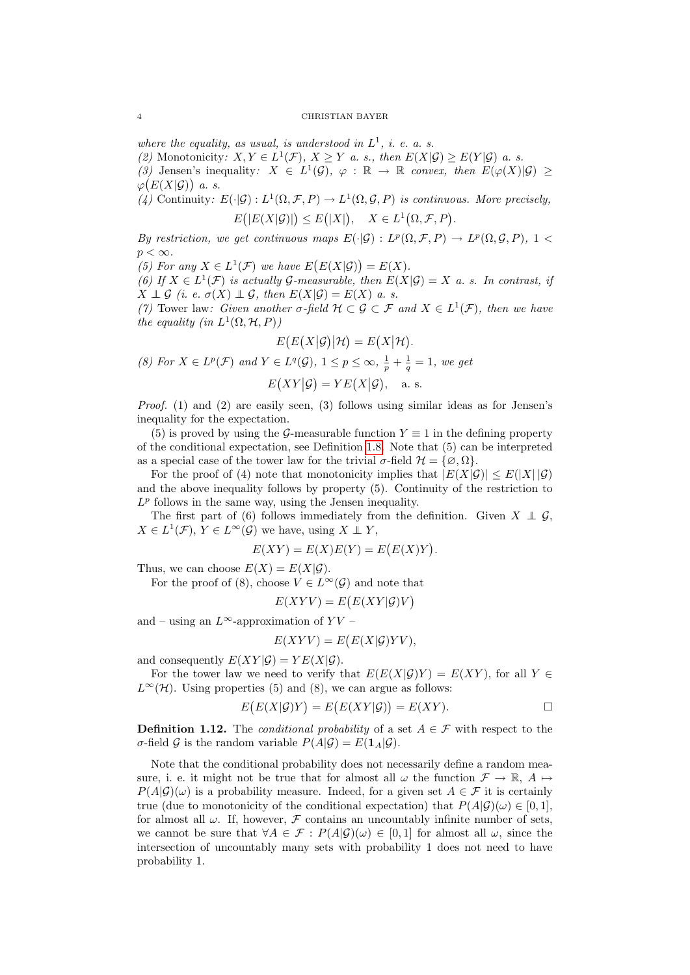where the equality, as usual, is understood in  $L^1$ , i. e. a. s.

(2) Monotonicity:  $X, Y \in L^1(\mathcal{F}), X \geq Y$  a.s., then  $E(X|\mathcal{G}) \geq E(Y|\mathcal{G})$  a.s.

(3) Jensen's inequality:  $X \in L^1(\mathcal{G})$ ,  $\varphi : \mathbb{R} \to \mathbb{R}$  convex, then  $E(\varphi(X)|\mathcal{G}) \ge$  $\varphi(E(X|\mathcal{G}))$  a.s.

(4) Continuity:  $E(\cdot|\mathcal{G}): L^1(\Omega, \mathcal{F}, P) \to L^1(\Omega, \mathcal{G}, P)$  is continuous. More precisely,  $E(|E(X|\mathcal{G})|) \leq E(|X|), \quad X \in L^1(\Omega, \mathcal{F}, P).$ 

By restriction, we get continuous maps  $E(\cdot|\mathcal{G}) : L^p(\Omega, \mathcal{F}, P) \to L^p(\Omega, \mathcal{G}, P)$ , 1 <  $p < \infty$ .

(5) For any  $X \in L^1(\mathcal{F})$  we have  $E(E(X|\mathcal{G})) = E(X)$ .

(6) If  $X \in L^1(\mathcal{F})$  is actually G-measurable, then  $E(X|\mathcal{G}) = X$  a.s. In contrast, if  $X \perp \!\!\!\perp \mathcal{G}$  (i. e.  $\sigma(X) \perp \!\!\!\perp \mathcal{G}$ , then  $E(X|\mathcal{G}) = E(X)$  a.s.

(7) Tower law: Given another  $\sigma$ -field  $\mathcal{H} \subset \mathcal{G} \subset \mathcal{F}$  and  $X \in L^1(\mathcal{F})$ , then we have the equality (in  $L^1(\Omega, \mathcal{H}, P)$ )

$$
E(E(X|\mathcal{G})|\mathcal{H})=E(X|\mathcal{H}).
$$

(8) For  $X \in L^p(\mathcal{F})$  and  $Y \in L^q(\mathcal{G}), 1 \leq p \leq \infty$ ,  $\frac{1}{p} + \frac{1}{q} = 1$ , we get

$$
E(XY|\mathcal{G}) = YE(X|\mathcal{G}), \quad \text{a. s.}
$$

*Proof.* (1) and (2) are easily seen, (3) follows using similar ideas as for Jensen's inequality for the expectation.

(5) is proved by using the G-measurable function  $Y \equiv 1$  in the defining property of the conditional expectation, see Definition [1.8.](#page-2-1) Note that (5) can be interpreted as a special case of the tower law for the trivial  $\sigma$ -field  $\mathcal{H} = {\emptyset, \Omega}.$ 

For the proof of (4) note that monotonicity implies that  $|E(X|\mathcal{G})| \leq E(|X||\mathcal{G})$ and the above inequality follows by property (5). Continuity of the restriction to  $L^p$  follows in the same way, using the Jensen inequality.

The first part of (6) follows immediately from the definition. Given  $X \perp \!\!\!\perp \mathcal{G}$ ,  $X \in L^1(\mathcal{F}), Y \in L^\infty(\mathcal{G})$  we have, using  $X \perp Y$ ,

$$
E(XY) = E(X)E(Y) = E(E(X)Y).
$$

Thus, we can choose  $E(X) = E(X|\mathcal{G})$ .

For the proof of (8), choose  $V \in L^{\infty}(\mathcal{G})$  and note that

$$
E(XYY) = E(E(XY|\mathcal{G})V)
$$

and – using an  $L^{\infty}$ -approximation of  $YV$  –

$$
E(XYY) = E(E(X|{\mathcal{G}})YV),
$$

and consequently  $E(XY|\mathcal{G}) = YE(X|\mathcal{G}).$ 

For the tower law we need to verify that  $E(E(X|\mathcal{G})Y) = E(XY)$ , for all Y  $\in$  $L^{\infty}(\mathcal{H})$ . Using properties (5) and (8), we can argue as follows:

$$
E(E(X|\mathcal{G})Y) = E(E(XY|\mathcal{G})) = E(XY).
$$

**Definition 1.12.** The *conditional probability* of a set  $A \in \mathcal{F}$  with respect to the  $\sigma$ -field G is the random variable  $P(A|\mathcal{G}) = E(\mathbf{1}_A|\mathcal{G})$ .

Note that the conditional probability does not necessarily define a random measure, i. e. it might not be true that for almost all  $\omega$  the function  $\mathcal{F} \to \mathbb{R}$ ,  $A \mapsto$  $P(A|\mathcal{G})(\omega)$  is a probability measure. Indeed, for a given set  $A \in \mathcal{F}$  it is certainly true (due to monotonicity of the conditional expectation) that  $P(A|G)(\omega) \in [0, 1]$ , for almost all  $\omega$ . If, however,  $\mathcal F$  contains an uncountably infinite number of sets, we cannot be sure that  $\forall A \in \mathcal{F} : P(A|\mathcal{G})(\omega) \in [0,1]$  for almost all  $\omega$ , since the intersection of uncountably many sets with probability 1 does not need to have probability 1.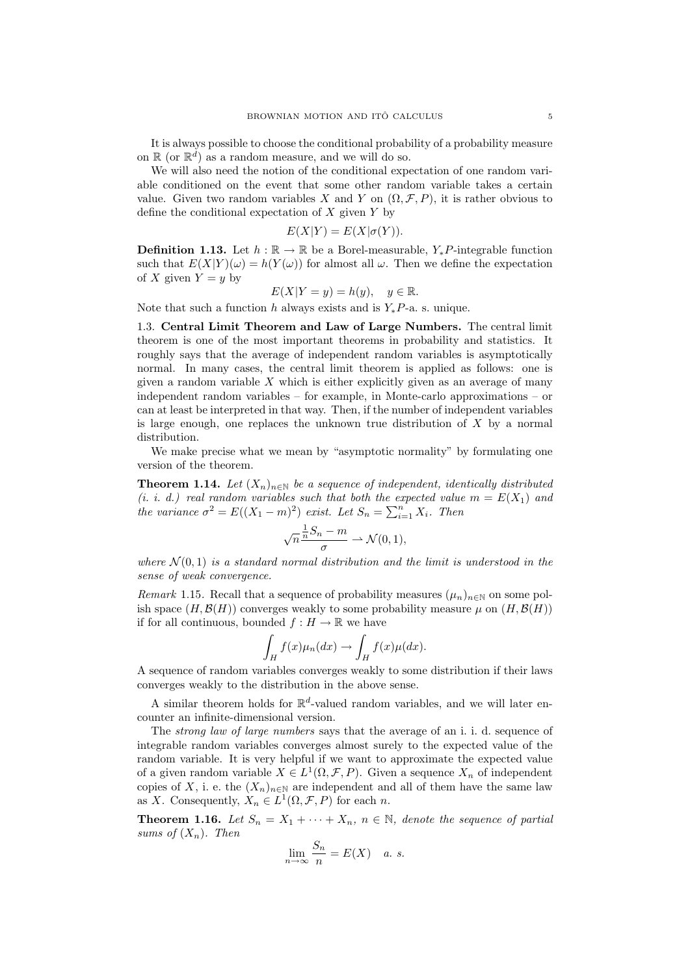It is always possible to choose the conditional probability of a probability measure on  $\mathbb{R}$  (or  $\mathbb{R}^d$ ) as a random measure, and we will do so.

We will also need the notion of the conditional expectation of one random variable conditioned on the event that some other random variable takes a certain value. Given two random variables X and Y on  $(\Omega, \mathcal{F}, P)$ , it is rather obvious to define the conditional expectation of  $X$  given  $Y$  by

$$
E(X|Y) = E(X|\sigma(Y)).
$$

**Definition 1.13.** Let  $h : \mathbb{R} \to \mathbb{R}$  be a Borel-measurable, Y<sub>\*</sub>P-integrable function such that  $E(X|Y)(\omega) = h(Y(\omega))$  for almost all  $\omega$ . Then we define the expectation of X given  $Y = y$  by

$$
E(X|Y = y) = h(y), \quad y \in \mathbb{R}.
$$

Note that such a function h always exists and is  $Y_*P$ -a. s. unique.

<span id="page-4-0"></span>1.3. Central Limit Theorem and Law of Large Numbers. The central limit theorem is one of the most important theorems in probability and statistics. It roughly says that the average of independent random variables is asymptotically normal. In many cases, the central limit theorem is applied as follows: one is given a random variable  $X$  which is either explicitly given as an average of many independent random variables – for example, in Monte-carlo approximations – or can at least be interpreted in that way. Then, if the number of independent variables is large enough, one replaces the unknown true distribution of  $X$  by a normal distribution.

We make precise what we mean by "asymptotic normality" by formulating one version of the theorem.

<span id="page-4-2"></span>**Theorem 1.14.** Let  $(X_n)_{n\in\mathbb{N}}$  be a sequence of independent, identically distributed (i. i. d.) real random variables such that both the expected value  $m = E(X_1)$  and the variance  $\sigma^2 = E((X_1 - m)^2)$  exist. Let  $S_n = \sum_{i=1}^n X_i$ . Then

$$
\sqrt{n}\frac{\frac{1}{n}S_n - m}{\sigma} \rightharpoonup \mathcal{N}(0, 1),
$$

where  $\mathcal{N}(0,1)$  is a standard normal distribution and the limit is understood in the sense of weak convergence.

Remark 1.15. Recall that a sequence of probability measures  $(\mu_n)_{n\in\mathbb{N}}$  on some polish space  $(H, \mathcal{B}(H))$  converges weakly to some probability measure  $\mu$  on  $(H, \mathcal{B}(H))$ if for all continuous, bounded  $f : H \to \mathbb{R}$  we have

$$
\int_H f(x)\mu_n(dx) \to \int_H f(x)\mu(dx).
$$

A sequence of random variables converges weakly to some distribution if their laws converges weakly to the distribution in the above sense.

A similar theorem holds for  $\mathbb{R}^d$ -valued random variables, and we will later encounter an infinite-dimensional version.

The *strong law of large numbers* says that the average of an i. i. d. sequence of integrable random variables converges almost surely to the expected value of the random variable. It is very helpful if we want to approximate the expected value of a given random variable  $X \in L^1(\Omega, \mathcal{F}, P)$ . Given a sequence  $X_n$  of independent copies of X, i. e. the  $(X_n)_{n\in\mathbb{N}}$  are independent and all of them have the same law as X. Consequently,  $X_n \in L^1(\Omega, \mathcal{F}, P)$  for each n.

<span id="page-4-1"></span>**Theorem 1.16.** Let  $S_n = X_1 + \cdots + X_n$ ,  $n \in \mathbb{N}$ , denote the sequence of partial sums of  $(X_n)$ . Then

$$
\lim_{n \to \infty} \frac{S_n}{n} = E(X) \quad a. s.
$$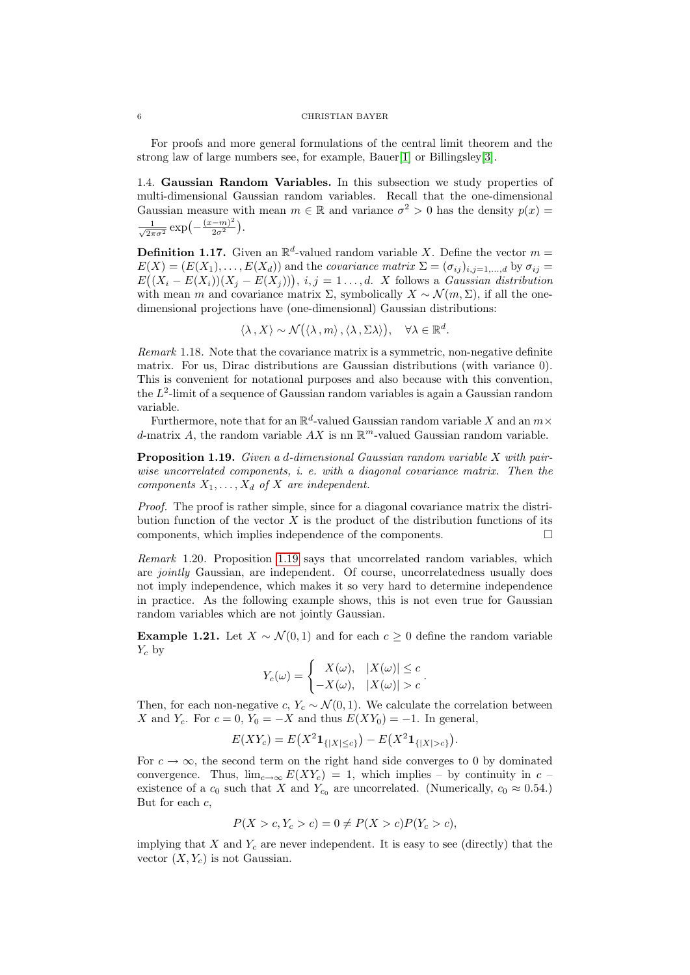For proofs and more general formulations of the central limit theorem and the strong law of large numbers see, for example, Bauer[\[1\]](#page-38-0) or Billingsley[\[3\]](#page-38-2).

<span id="page-5-0"></span>1.4. Gaussian Random Variables. In this subsection we study properties of multi-dimensional Gaussian random variables. Recall that the one-dimensional Gaussian measure with mean  $m \in \mathbb{R}$  and variance  $\sigma^2 > 0$  has the density  $p(x) =$  $\frac{1}{\sqrt{2}}$  $\frac{1}{2\pi\sigma^2} \exp\left(-\frac{(x-m)^2}{2\sigma^2}\right)$  $\frac{(-m)^2}{2\sigma^2}$ ).

**Definition 1.17.** Given an  $\mathbb{R}^d$ -valued random variable X. Define the vector  $m =$  $E(X) = (E(X_1), \ldots, E(X_d))$  and the covariance matrix  $\Sigma = (\sigma_{ij})_{i,j=1,\ldots,d}$  by  $\sigma_{ij} =$  $E((X_i - E(X_i))(X_j - E(X_j))), i, j = 1, \ldots, d$ . X follows a Gaussian distribution with mean m and covariance matrix  $\Sigma$ , symbolically  $X \sim \mathcal{N}(m, \Sigma)$ , if all the onedimensional projections have (one-dimensional) Gaussian distributions:

$$
\langle \lambda, X \rangle \sim \mathcal{N}(\langle \lambda, m \rangle, \langle \lambda, \Sigma \lambda \rangle), \quad \forall \lambda \in \mathbb{R}^d.
$$

Remark 1.18. Note that the covariance matrix is a symmetric, non-negative definite matrix. For us, Dirac distributions are Gaussian distributions (with variance 0). This is convenient for notational purposes and also because with this convention, the L 2 -limit of a sequence of Gaussian random variables is again a Gaussian random variable.

Furthermore, note that for an  $\mathbb{R}^d$ -valued Gaussian random variable X and an  $m\times$ d-matrix A, the random variable  $AX$  is nn  $\mathbb{R}^m$ -valued Gaussian random variable.

<span id="page-5-1"></span>Proposition 1.19. Given a d-dimensional Gaussian random variable X with pairwise uncorrelated components, i. e. with a diagonal covariance matrix. Then the components  $X_1, \ldots, X_d$  of X are independent.

Proof. The proof is rather simple, since for a diagonal covariance matrix the distribution function of the vector  $X$  is the product of the distribution functions of its components, which implies independence of the components.

Remark 1.20. Proposition [1.19](#page-5-1) says that uncorrelated random variables, which are jointly Gaussian, are independent. Of course, uncorrelatedness usually does not imply independence, which makes it so very hard to determine independence in practice. As the following example shows, this is not even true for Gaussian random variables which are not jointly Gaussian.

**Example 1.21.** Let  $X \sim \mathcal{N}(0, 1)$  and for each  $c \geq 0$  define the random variable  $Y_c$  by

$$
Y_c(\omega) = \begin{cases} X(\omega), & |X(\omega)| \le c \\ -X(\omega), & |X(\omega)| > c \end{cases}.
$$

Then, for each non-negative c,  $Y_c \sim \mathcal{N}(0, 1)$ . We calculate the correlation between X and  $Y_c$ . For  $c = 0$ ,  $Y_0 = -X$  and thus  $E(XY_0) = -1$ . In general,

$$
E(XY_c) = E(X^2 \mathbf{1}_{\{|X| \le c\}}) - E(X^2 \mathbf{1}_{\{|X| > c\}}).
$$

For  $c \to \infty$ , the second term on the right hand side converges to 0 by dominated convergence. Thus,  $\lim_{c\to\infty} E(XY_c) = 1$ , which implies – by continuity in c – existence of a  $c_0$  such that X and  $Y_{c_0}$  are uncorrelated. (Numerically,  $c_0 \approx 0.54$ .) But for each  $c$ ,

$$
P(X > c, Y_c > c) = 0 \neq P(X > c)P(Y_c > c),
$$

implying that X and  $Y_c$  are never independent. It is easy to see (directly) that the vector  $(X, Y_c)$  is not Gaussian.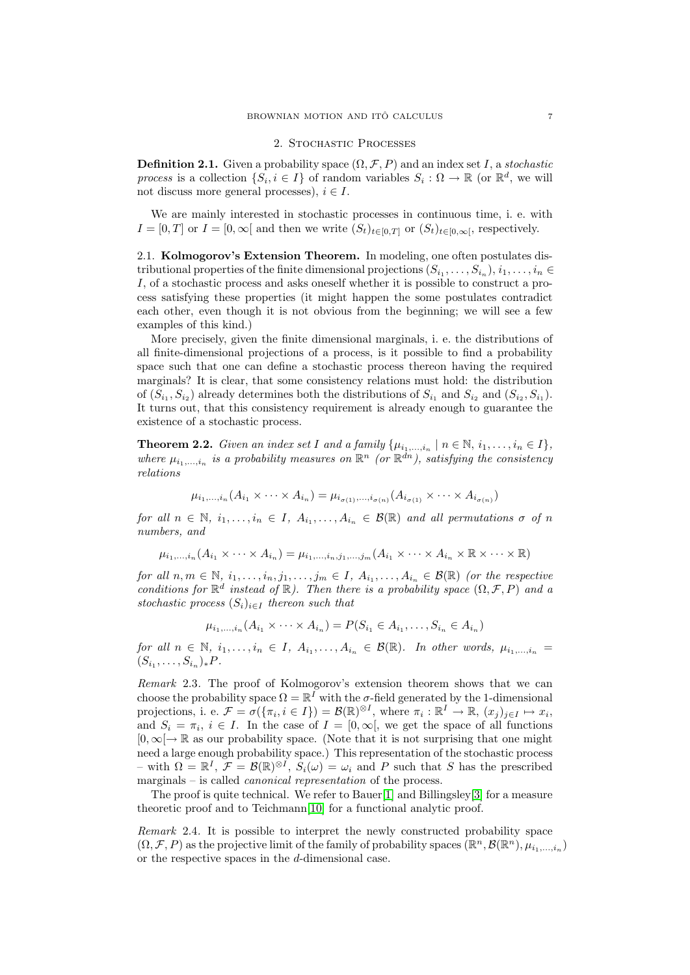### 2. Stochastic Processes

<span id="page-6-0"></span>**Definition 2.1.** Given a probability space  $(\Omega, \mathcal{F}, P)$  and an index set I, a stochastic process is a collection  $\{S_i, i \in I\}$  of random variables  $S_i : \Omega \to \mathbb{R}$  (or  $\mathbb{R}^d$ , we will not discuss more general processes),  $i \in I$ .

We are mainly interested in stochastic processes in continuous time, i. e. with  $I = [0, T]$  or  $I = [0, \infty[$  and then we write  $(S_t)_{t \in [0, T]}$  or  $(S_t)_{t \in [0, \infty[}$ , respectively.

<span id="page-6-1"></span>2.1. Kolmogorov's Extension Theorem. In modeling, one often postulates distributional properties of the finite dimensional projections  $(S_{i_1},...,S_{i_n}), i_1,...,i_n \in$ I, of a stochastic process and asks oneself whether it is possible to construct a process satisfying these properties (it might happen the some postulates contradict each other, even though it is not obvious from the beginning; we will see a few examples of this kind.)

More precisely, given the finite dimensional marginals, i. e. the distributions of all finite-dimensional projections of a process, is it possible to find a probability space such that one can define a stochastic process thereon having the required marginals? It is clear, that some consistency relations must hold: the distribution of  $(S_{i_1}, S_{i_2})$  already determines both the distributions of  $S_{i_1}$  and  $S_{i_2}$  and  $(S_{i_2}, S_{i_1})$ . It turns out, that this consistency requirement is already enough to guarantee the existence of a stochastic process.

<span id="page-6-2"></span>**Theorem 2.2.** Given an index set I and a family  $\{\mu_{i_1,\dots,i_n} \mid n \in \mathbb{N}, i_1,\dots,i_n \in I\},\$ where  $\mu_{i_1,\dots,i_n}$  is a probability measures on  $\mathbb{R}^n$  (or  $\mathbb{R}^{dn}$ ), satisfying the consistency relations

$$
\mu_{i_1,\dots,i_n}(A_{i_1}\times\cdots\times A_{i_n})=\mu_{i_{\sigma(1)},\dots,i_{\sigma(n)}}(A_{i_{\sigma(1)}}\times\cdots\times A_{i_{\sigma(n)}})
$$

for all  $n \in \mathbb{N}$ ,  $i_1, \ldots, i_n \in I$ ,  $A_{i_1}, \ldots, A_{i_n} \in \mathcal{B}(\mathbb{R})$  and all permutations  $\sigma$  of  $n$ numbers, and

$$
\mu_{i_1,\dots,i_n}(A_{i_1}\times\cdots\times A_{i_n})=\mu_{i_1,\dots,i_n,j_1,\dots,j_m}(A_{i_1}\times\cdots\times A_{i_n}\times\mathbb{R}\times\cdots\times\mathbb{R})
$$

for all  $n, m \in \mathbb{N}, i_1, \ldots, i_n, j_1, \ldots, j_m \in I, A_{i_1}, \ldots, A_{i_n} \in \mathcal{B}(\mathbb{R})$  (or the respective conditions for  $\mathbb{R}^d$  instead of  $\mathbb{R}$ ). Then there is a probability space  $(\Omega, \mathcal{F}, P)$  and a stochastic process  $(S_i)_{i\in I}$  thereon such that

 $\mu_{i_1,\dots,i_n}(A_{i_1}\times \dots \times A_{i_n})=P(S_{i_1}\in A_{i_1},\dots,S_{i_n}\in A_{i_n})$ 

for all  $n \in \mathbb{N}$ ,  $i_1, \ldots, i_n \in I$ ,  $A_{i_1}, \ldots, A_{i_n} \in \mathcal{B}(\mathbb{R})$ . In other words,  $\mu_{i_1, \ldots, i_n} =$  $(S_{i_1}, \ldots, S_{i_n})_* P$ .

Remark 2.3. The proof of Kolmogorov's extension theorem shows that we can choose the probability space  $\Omega = \mathbb{R}^I$  with the  $\sigma$ -field generated by the 1-dimensional projections, i. e.  $\mathcal{F} = \sigma(\{\pi_i, i \in I\}) = \mathcal{B}(\mathbb{R})^{\otimes I}$ , where  $\pi_i : \mathbb{R}^I \to \mathbb{R}$ ,  $(x_j)_{j \in I} \mapsto x_i$ , and  $S_i = \pi_i$ ,  $i \in I$ . In the case of  $I = [0, \infty)$ , we get the space of all functions  $[0,\infty[\rightarrow \mathbb{R}$  as our probability space. (Note that it is not surprising that one might need a large enough probability space.) This representation of the stochastic process – with  $\Omega = \mathbb{R}^I$ ,  $\mathcal{F} = \mathcal{B}(\mathbb{R})^{\otimes I}$ ,  $S_i(\omega) = \omega_i$  and P such that S has the prescribed marginals – is called canonical representation of the process.

The proof is quite technical. We refer to Bauer[\[1\]](#page-38-0) and Billingsley[\[3\]](#page-38-2) for a measure theoretic proof and to Teichmann[\[10\]](#page-38-1) for a functional analytic proof.

Remark 2.4. It is possible to interpret the newly constructed probability space  $(\Omega, \mathcal{F}, P)$  as the projective limit of the family of probability spaces  $(\mathbb{R}^n, \mathcal{B}(\mathbb{R}^n), \mu_{i_1,\dots,i_n})$ or the respective spaces in the d-dimensional case.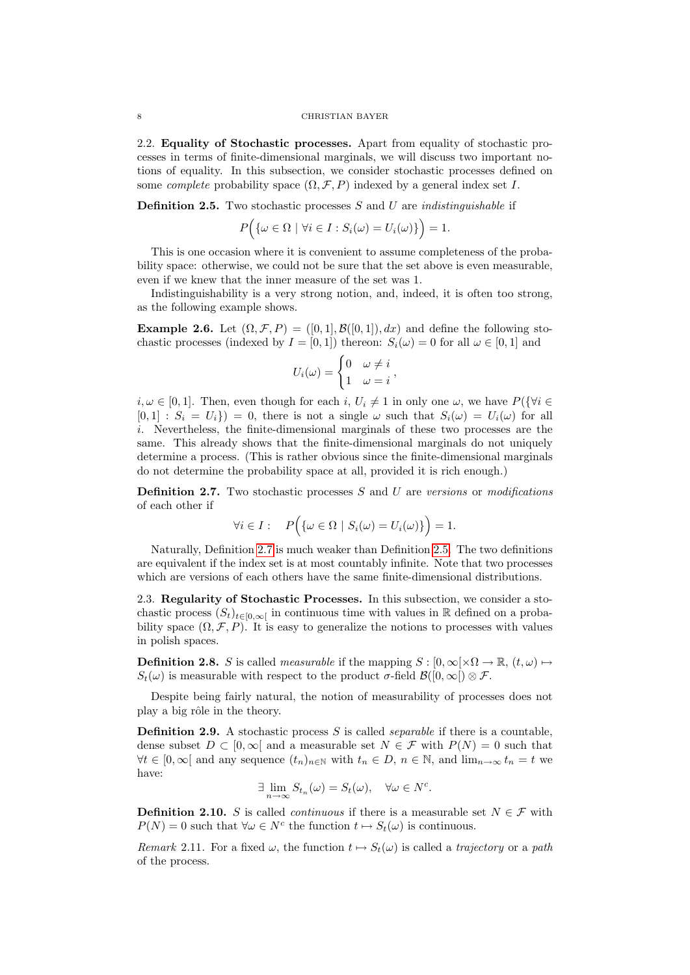<span id="page-7-0"></span>2.2. Equality of Stochastic processes. Apart from equality of stochastic processes in terms of finite-dimensional marginals, we will discuss two important notions of equality. In this subsection, we consider stochastic processes defined on some *complete* probability space  $(\Omega, \mathcal{F}, P)$  indexed by a general index set I.

<span id="page-7-3"></span>**Definition 2.5.** Two stochastic processes  $S$  and  $U$  are *indistinguishable* if

$$
P\Big(\{\omega \in \Omega \mid \forall i \in I : S_i(\omega) = U_i(\omega)\}\Big) = 1.
$$

This is one occasion where it is convenient to assume completeness of the probability space: otherwise, we could not be sure that the set above is even measurable, even if we knew that the inner measure of the set was 1.

Indistinguishability is a very strong notion, and, indeed, it is often too strong, as the following example shows.

**Example 2.6.** Let  $(\Omega, \mathcal{F}, P) = ([0, 1], \mathcal{B}([0, 1]), dx)$  and define the following stochastic processes (indexed by  $I = [0, 1]$ ) thereon:  $S_i(\omega) = 0$  for all  $\omega \in [0, 1]$  and

$$
U_i(\omega) = \begin{cases} 0 & \omega \neq i \\ 1 & \omega = i \end{cases},
$$

 $i, \omega \in [0, 1]$ . Then, even though for each  $i, U_i \neq 1$  in only one  $\omega$ , we have  $P(\{\forall i \in$  $[0, 1] : S_i = U_i$  = 0, there is not a single  $\omega$  such that  $S_i(\omega) = U_i(\omega)$  for all i. Nevertheless, the finite-dimensional marginals of these two processes are the same. This already shows that the finite-dimensional marginals do not uniquely determine a process. (This is rather obvious since the finite-dimensional marginals do not determine the probability space at all, provided it is rich enough.)

<span id="page-7-2"></span>**Definition 2.7.** Two stochastic processes  $S$  and  $U$  are versions or modifications of each other if

$$
\forall i \in I: \quad P(\{\omega \in \Omega \mid S_i(\omega) = U_i(\omega)\}) = 1.
$$

Naturally, Definition [2.7](#page-7-2) is much weaker than Definition [2.5.](#page-7-3) The two definitions are equivalent if the index set is at most countably infinite. Note that two processes which are versions of each others have the same finite-dimensional distributions.

<span id="page-7-1"></span>2.3. Regularity of Stochastic Processes. In this subsection, we consider a stochastic process  $(S_t)_{t\in[0,\infty]}$  in continuous time with values in R defined on a probability space  $(\Omega, \mathcal{F}, P)$ . It is easy to generalize the notions to processes with values in polish spaces.

**Definition 2.8.** S is called *measurable* if the mapping  $S : [0, \infty) \times \Omega \to \mathbb{R}$ ,  $(t, \omega) \mapsto$  $S_t(\omega)$  is measurable with respect to the product  $\sigma$ -field  $\mathcal{B}([0,\infty]) \otimes \mathcal{F}$ .

Despite being fairly natural, the notion of measurability of processes does not play a big rôle in the theory.

**Definition 2.9.** A stochastic process  $S$  is called *separable* if there is a countable. dense subset  $D \subset [0,\infty]$  and a measurable set  $N \in \mathcal{F}$  with  $P(N) = 0$  such that  $\forall t \in [0, \infty]$  and any sequence  $(t_n)_{n \in \mathbb{N}}$  with  $t_n \in D, n \in \mathbb{N}$ , and  $\lim_{n \to \infty} t_n = t$  we have:

$$
\exists \lim_{n \to \infty} S_{t_n}(\omega) = S_t(\omega), \quad \forall \omega \in N^c.
$$

**Definition 2.10.** S is called *continuous* if there is a measurable set  $N \in \mathcal{F}$  with  $P(N) = 0$  such that  $\forall \omega \in N^c$  the function  $t \mapsto S_t(\omega)$  is continuous.

Remark 2.11. For a fixed  $\omega$ , the function  $t \mapsto S_t(\omega)$  is called a trajectory or a path of the process.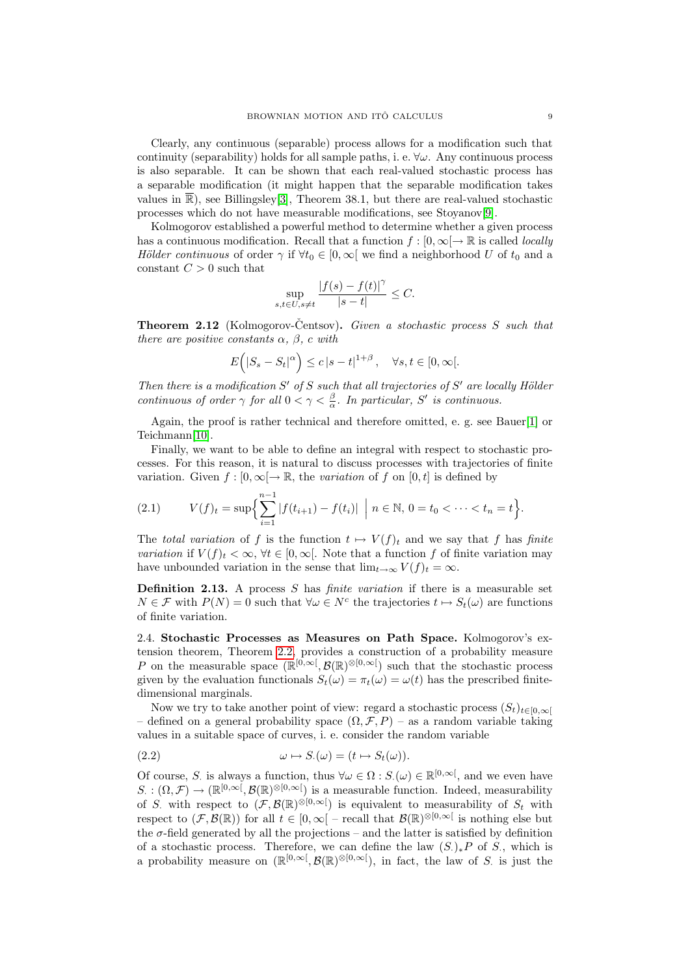Clearly, any continuous (separable) process allows for a modification such that continuity (separability) holds for all sample paths, i. e.  $\forall \omega$ . Any continuous process is also separable. It can be shown that each real-valued stochastic process has a separable modification (it might happen that the separable modification takes values in  $\overline{\mathbb{R}}$ ), see Billingsley<sup>[\[3\]](#page-38-2)</sup>, Theorem 38.1, but there are real-valued stochastic processes which do not have measurable modifications, see Stoyanov[\[9\]](#page-38-3).

Kolmogorov established a powerful method to determine whether a given process has a continuous modification. Recall that a function  $f : [0, \infty) \to \mathbb{R}$  is called *locally* Hölder continuous of order  $\gamma$  if  $\forall t_0 \in [0,\infty[$  we find a neighborhood U of  $t_0$  and a constant  $C > 0$  such that

$$
\sup_{s,t\in U,s\neq t}\frac{|f(s)-f(t)|^\gamma}{|s-t|}\leq C.
$$

<span id="page-8-1"></span>**Theorem 2.12** (Kolmogorov-Centsov). Given a stochastic process S such that there are positive constants  $\alpha$ ,  $\beta$ , c with

$$
E(|S_s - S_t|^{\alpha}) \le c |s - t|^{1+\beta}, \quad \forall s, t \in [0, \infty[.
$$

Then there is a modification  $S'$  of S such that all trajectories of  $S'$  are locally Hölder continuous of order  $\gamma$  for all  $0 < \gamma < \frac{\beta}{\alpha}$ . In particular, S' is continuous.

Again, the proof is rather technical and therefore omitted, e. g. see Bauer[\[1\]](#page-38-0) or Teichmann[\[10\]](#page-38-1).

Finally, we want to be able to define an integral with respect to stochastic processes. For this reason, it is natural to discuss processes with trajectories of finite variation. Given  $f : [0, \infty] \to \mathbb{R}$ , the variation of f on  $[0, t]$  is defined by

(2.1) 
$$
V(f)_t = \sup \Biggl\{ \sum_{i=1}^{n-1} |f(t_{i+1}) - f(t_i)| \ \Big| \ n \in \mathbb{N}, \ 0 = t_0 < \cdots < t_n = t \Biggr\}.
$$

The total variation of f is the function  $t \mapsto V(f)_t$  and we say that f has finite variation if  $V(f)_t < \infty$ ,  $\forall t \in [0, \infty]$ . Note that a function f of finite variation may have unbounded variation in the sense that  $\lim_{t\to\infty} V(f)_t = \infty$ .

**Definition 2.13.** A process  $S$  has *finite variation* if there is a measurable set  $N \in \mathcal{F}$  with  $P(N) = 0$  such that  $\forall \omega \in N^c$  the trajectories  $t \mapsto S_t(\omega)$  are functions of finite variation.

<span id="page-8-0"></span>2.4. Stochastic Processes as Measures on Path Space. Kolmogorov's extension theorem, Theorem [2.2,](#page-6-2) provides a construction of a probability measure P on the measurable space  $(\mathbb{R}^{[0,\infty[}, \mathcal{B}(\mathbb{R})^{\otimes [0,\infty[})$  such that the stochastic process given by the evaluation functionals  $S_t(\omega) = \pi_t(\omega) = \omega(t)$  has the prescribed finitedimensional marginals.

Now we try to take another point of view: regard a stochastic process  $(S_t)_{t\in[0,\infty]}$ – defined on a general probability space  $(\Omega, \mathcal{F}, P)$  – as a random variable taking values in a suitable space of curves, i. e. consider the random variable

(2.2) 
$$
\omega \mapsto S_{\cdot}(\omega) = (t \mapsto S_t(\omega)).
$$

Of course, S. is always a function, thus  $\forall \omega \in \Omega : S(\omega) \in \mathbb{R}^{[0,\infty[}$ , and we even have  $S: (\Omega, \mathcal{F}) \to (\mathbb{R}^{[0,\infty[}, \mathcal{B}(\mathbb{R})^{\otimes [0,\infty[}))$  is a measurable function. Indeed, measurability of S. with respect to  $(\mathcal{F}, \mathcal{B}(\mathbb{R})^{\otimes [0,\infty[})$  is equivalent to measurability of  $S_t$  with respect to  $(\mathcal{F}, \mathcal{B}(\mathbb{R}))$  for all  $t \in [0, \infty)$  – recall that  $\mathcal{B}(\mathbb{R})^{\otimes [0, \infty)}$  is nothing else but the  $\sigma$ -field generated by all the projections – and the latter is satisfied by definition of a stochastic process. Therefore, we can define the law  $(S_{\cdot})_* P$  of S<sub>i</sub>, which is a probability measure on  $(\mathbb{R}^{[0,\infty[}, \mathcal{B}(\mathbb{R})^{\otimes [0,\infty[}),$  in fact, the law of S is just the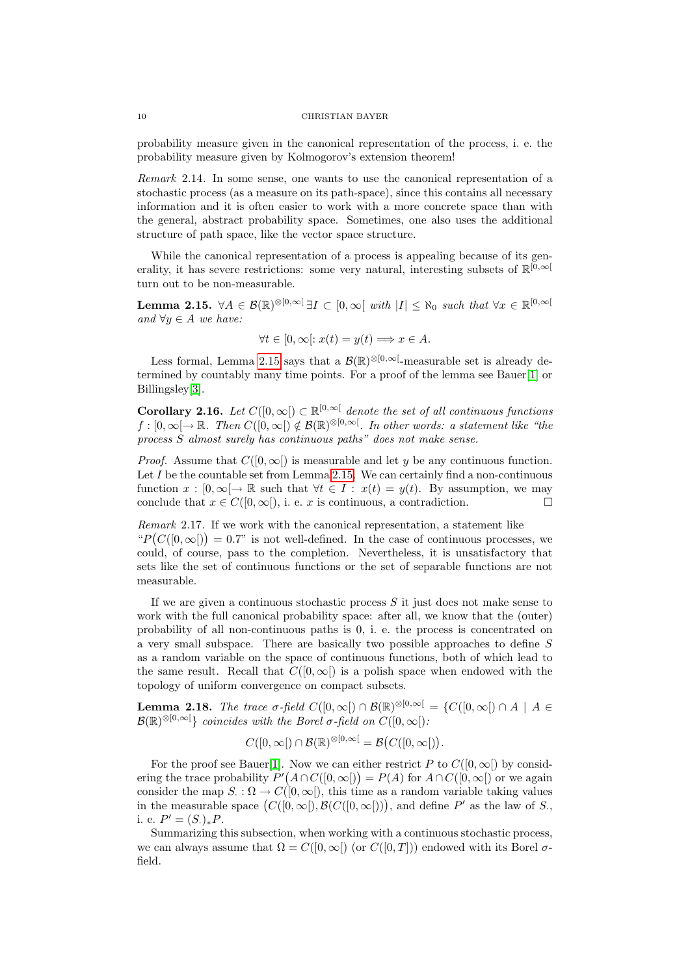probability measure given in the canonical representation of the process, i. e. the probability measure given by Kolmogorov's extension theorem!

Remark 2.14. In some sense, one wants to use the canonical representation of a stochastic process (as a measure on its path-space), since this contains all necessary information and it is often easier to work with a more concrete space than with the general, abstract probability space. Sometimes, one also uses the additional structure of path space, like the vector space structure.

While the canonical representation of a process is appealing because of its generality, it has severe restrictions: some very natural, interesting subsets of  $\mathbb{R}^{[0,\infty]}$ turn out to be non-measurable.

<span id="page-9-0"></span>**Lemma 2.15.**  $\forall A \in \mathcal{B}(\mathbb{R})^{\otimes [0,\infty[} \exists I \subset [0,\infty[ \text{ with } |I| \leq \aleph_0 \text{ such that } \forall x \in \mathbb{R}^{[0,\infty[} \exists I \subset [0,\infty[ \text{ with } |I| \leq \aleph_0 \text{ such that } \forall x \in \mathbb{R}^{[0,\infty[} \exists I \subset [0,\infty[ \text{ with } |I| \leq \aleph_0 \text{ such that } \forall x \in \mathbb{R}^{[0,\infty[} \exists I \subset [0,\infty[ \text{ with } |I| \leq$ and  $\forall y \in A$  we have:

$$
\forall t \in [0, \infty[:x(t) = y(t) \Longrightarrow x \in A.
$$

Less formal, Lemma [2.15](#page-9-0) says that a  $\mathcal{B}(\mathbb{R})^{\otimes [0,\infty[}$ -measurable set is already determined by countably many time points. For a proof of the lemma see Bauer[\[1\]](#page-38-0) or Billingsley[\[3\]](#page-38-2).

**Corollary 2.16.** Let  $C([0,\infty[) \subset \mathbb{R}^{[0,\infty[}$  denote the set of all continuous functions  $f:[0,\infty[\to\mathbb{R}$ . Then  $C([0,\infty[\right)\notin\mathcal{B}(\mathbb{R})^{\otimes[0,\infty[}$ . In other words: a statement like "the process S almost surely has continuous paths" does not make sense.

*Proof.* Assume that  $C([0,\infty))$  is measurable and let y be any continuous function. Let  $I$  be the countable set from Lemma [2.15.](#page-9-0) We can certainly find a non-continuous function  $x : [0, \infty] \to \mathbb{R}$  such that  $\forall t \in I : x(t) = y(t)$ . By assumption, we may conclude that  $x \in C([0,\infty])$ , i. e. x is continuous, a contradiction.

Remark 2.17. If we work with the canonical representation, a statement like " $P(C([0,\infty])) = 0.7$ " is not well-defined. In the case of continuous processes, we could, of course, pass to the completion. Nevertheless, it is unsatisfactory that sets like the set of continuous functions or the set of separable functions are not measurable.

If we are given a continuous stochastic process  $S$  it just does not make sense to work with the full canonical probability space: after all, we know that the (outer) probability of all non-continuous paths is 0, i. e. the process is concentrated on a very small subspace. There are basically two possible approaches to define S as a random variable on the space of continuous functions, both of which lead to the same result. Recall that  $C([0,\infty])$  is a polish space when endowed with the topology of uniform convergence on compact subsets.

**Lemma 2.18.** The trace  $\sigma$ -field  $C([0,\infty]) \cap \mathcal{B}(\mathbb{R})^{\otimes [0,\infty)} = \{C([0,\infty]) \cap A \mid A \in$  $\mathcal{B}(\mathbb{R})^{\otimes [0,\infty[}$  coincides with the Borel  $\sigma$ -field on  $C([0,\infty[)$ .

$$
C([0,\infty[)\cap \mathcal{B}(\mathbb{R})^{\otimes [0,\infty[}=\mathcal{B}(C([0,\infty[)).
$$

For the proof see Bauer[\[1\]](#page-38-0). Now we can either restrict P to  $C([0,\infty])$  by considering the trace probability  $P'(A \cap C([0,\infty])) = P(A)$  for  $A \cap C([0,\infty])$  or we again consider the map  $S: \Omega \to C([0,\infty])$ , this time as a random variable taking values in the measurable space  $(C([0,\infty]), \mathcal{B}(C([0,\infty]))$ , and define P' as the law of S., i. e.  $P' = (S_{\cdot})_{*}P$ .

Summarizing this subsection, when working with a continuous stochastic process, we can always assume that  $\Omega = C([0,\infty[) \text{ (or } C([0,T]))$  endowed with its Borel  $\sigma$ field.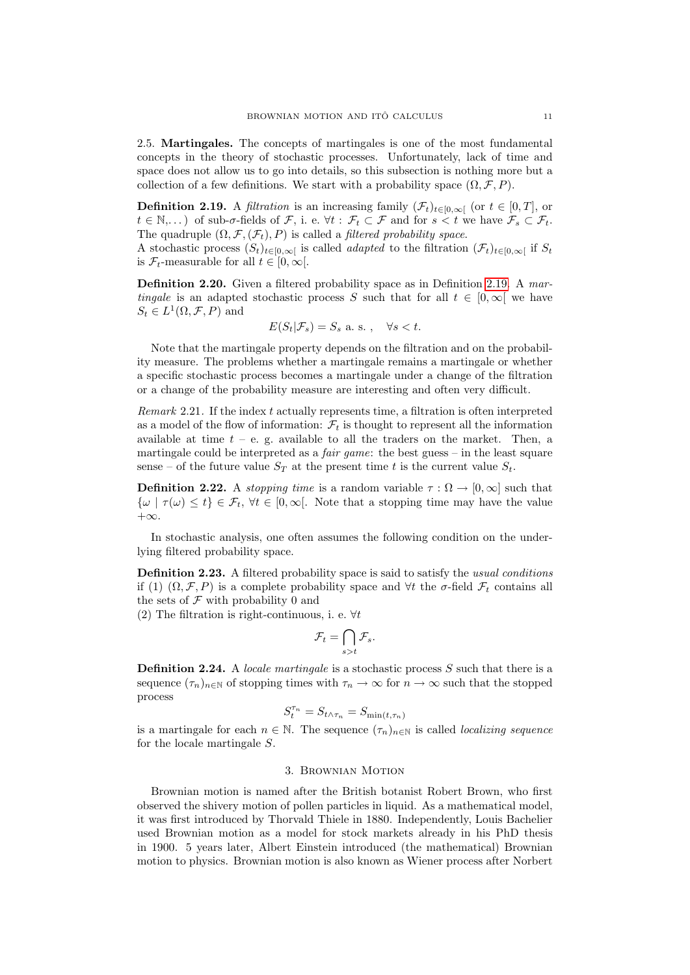<span id="page-10-0"></span>2.5. Martingales. The concepts of martingales is one of the most fundamental concepts in the theory of stochastic processes. Unfortunately, lack of time and space does not allow us to go into details, so this subsection is nothing more but a collection of a few definitions. We start with a probability space  $(\Omega, \mathcal{F}, P)$ .

<span id="page-10-2"></span>**Definition 2.19.** A *filtration* is an increasing family  $(\mathcal{F}_t)_{t\in[0,\infty[}$  (or  $t\in[0,T]$ , or  $t \in \mathbb{N}, \ldots$  of sub- $\sigma$ -fields of  $\mathcal{F},$  i. e.  $\forall t : \mathcal{F}_t \subset \mathcal{F}$  and for  $s < t$  we have  $\mathcal{F}_s \subset \mathcal{F}_t$ . The quadruple  $(\Omega, \mathcal{F}, (\mathcal{F}_t), P)$  is called a *filtered probability space*.

A stochastic process  $(S_t)_{t\in[0,\infty]}$  is called *adapted* to the filtration  $(\mathcal{F}_t)_{t\in[0,\infty]}$  if  $S_t$ is  $\mathcal{F}_t$ -measurable for all  $t \in [0,\infty[$ .

Definition 2.20. Given a filtered probability space as in Definition [2.19.](#page-10-2) A martingale is an adapted stochastic process S such that for all  $t \in [0,\infty]$  we have  $S_t \in L^1(\Omega, \mathcal{F}, P)$  and

$$
E(S_t | \mathcal{F}_s) = S_s \text{ a.s. }, \quad \forall s < t.
$$

Note that the martingale property depends on the filtration and on the probability measure. The problems whether a martingale remains a martingale or whether a specific stochastic process becomes a martingale under a change of the filtration or a change of the probability measure are interesting and often very difficult.

Remark 2.21. If the index  $t$  actually represents time, a filtration is often interpreted as a model of the flow of information:  $\mathcal{F}_t$  is thought to represent all the information available at time  $t - e$ , g. available to all the traders on the market. Then, a martingale could be interpreted as a *fair game*: the best guess – in the least square sense – of the future value  $S_T$  at the present time t is the current value  $S_t$ .

**Definition 2.22.** A *stopping time* is a random variable  $\tau : \Omega \to [0,\infty]$  such that  $\{\omega \mid \tau(\omega) \leq t\} \in \mathcal{F}_t$ ,  $\forall t \in [0,\infty]$ . Note that a stopping time may have the value  $+\infty$ .

In stochastic analysis, one often assumes the following condition on the underlying filtered probability space.

<span id="page-10-3"></span>Definition 2.23. A filtered probability space is said to satisfy the usual conditions if (1)  $(\Omega, \mathcal{F}, P)$  is a complete probability space and  $\forall t$  the  $\sigma$ -field  $\mathcal{F}_t$  contains all the sets of  $\mathcal F$  with probability 0 and

(2) The filtration is right-continuous, i. e.  $\forall t$ 

$$
\mathcal{F}_t = \bigcap_{s>t} \mathcal{F}_s.
$$

Definition 2.24. A locale martingale is a stochastic process S such that there is a sequence  $(\tau_n)_{n\in\mathbb{N}}$  of stopping times with  $\tau_n \to \infty$  for  $n \to \infty$  such that the stopped process

$$
S_t^{\tau_n} = S_{t \wedge \tau_n} = S_{\min(t, \tau_n)}
$$

is a martingale for each  $n \in \mathbb{N}$ . The sequence  $(\tau_n)_{n \in \mathbb{N}}$  is called *localizing sequence* for the locale martingale S.

# 3. Brownian Motion

<span id="page-10-1"></span>Brownian motion is named after the British botanist Robert Brown, who first observed the shivery motion of pollen particles in liquid. As a mathematical model, it was first introduced by Thorvald Thiele in 1880. Independently, Louis Bachelier used Brownian motion as a model for stock markets already in his PhD thesis in 1900. 5 years later, Albert Einstein introduced (the mathematical) Brownian motion to physics. Brownian motion is also known as Wiener process after Norbert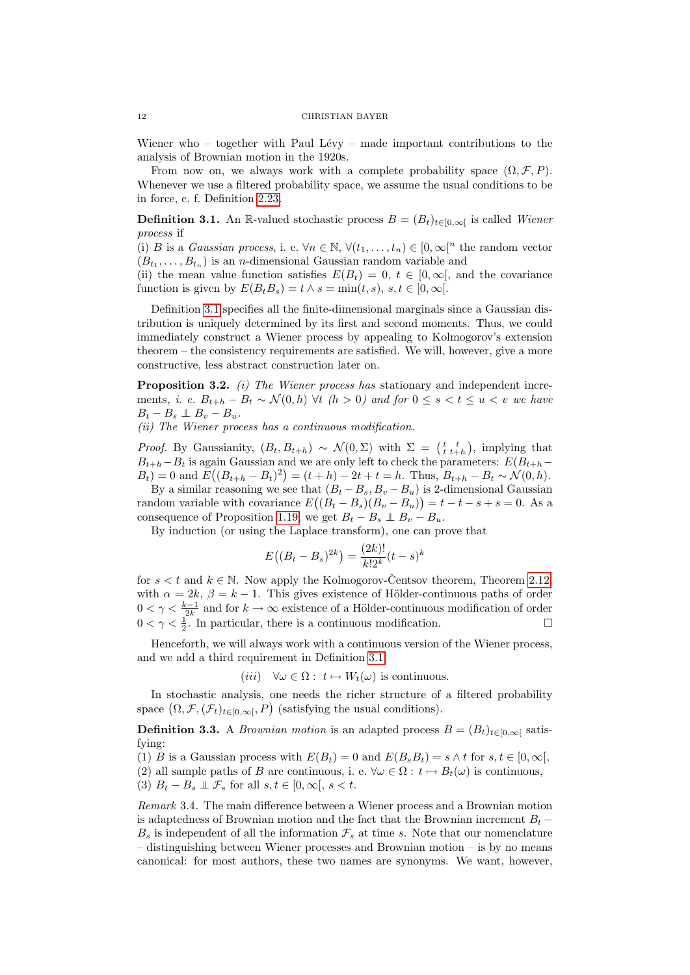Wiener who – together with Paul Lévy – made important contributions to the analysis of Brownian motion in the 1920s.

From now on, we always work with a complete probability space  $(\Omega, \mathcal{F}, P)$ . Whenever we use a filtered probability space, we assume the usual conditions to be in force, c. f. Definition [2.23.](#page-10-3)

<span id="page-11-0"></span>**Definition 3.1.** An R-valued stochastic process  $B = (B_t)_{t \in [0,\infty[}$  is called Wiener process if

(i) B is a Gaussian process, i. e.  $\forall n \in \mathbb{N}, \forall (t_1, \ldots, t_n) \in [0, \infty[^n]$  the random vector  $(B_{t_1},...,B_{t_n})$  is an *n*-dimensional Gaussian random variable and

(ii) the mean value function satisfies  $E(B_t) = 0, t \in [0,\infty)$ , and the covariance function is given by  $E(B_tB_s) = t \wedge s = \min(t, s), s, t \in [0, \infty)$ .

Definition [3.1](#page-11-0) specifies all the finite-dimensional marginals since a Gaussian distribution is uniquely determined by its first and second moments. Thus, we could immediately construct a Wiener process by appealing to Kolmogorov's extension theorem – the consistency requirements are satisfied. We will, however, give a more constructive, less abstract construction later on.

Proposition 3.2. *(i)* The Wiener process has stationary and independent increments, i. e.  $B_{t+h} - B_t \sim \mathcal{N}(0,h)$   $\forall t \ (h > 0)$  and for  $0 \le s \le t \le u \le v$  we have  $B_t - B_s \perp \!\!\!\perp B_v - B_u.$ 

(ii) The Wiener process has a continuous modification.

*Proof.* By Gaussianity,  $(B_t, B_{t+h}) \sim \mathcal{N}(0, \Sigma)$  with  $\Sigma = \begin{pmatrix} t & t \\ t & t+h \end{pmatrix}$ , implying that  $B_{t+h}-B_t$  is again Gaussian and we are only left to check the parameters:  $E(B_{t+h}-B_t)$  $B_t$ ) = 0 and  $E((B_{t+h}-B_t)^2) = (t+h) - 2t + t = h$ . Thus,  $B_{t+h} - B_t \sim \mathcal{N}(0,h)$ .

By a similar reasoning we see that  $(B_t - B_s, B_v - B_u)$  is 2-dimensional Gaussian random variable with covariance  $E((B_t - B_s)(B_v - B_u)) = t - t - s + s = 0$ . As a consequence of Proposition [1.19,](#page-5-1) we get  $B_t - B_s \perp B_v - B_u$ .

By induction (or using the Laplace transform), one can prove that

$$
E((B_t - B_s)^{2k}) = \frac{(2k)!}{k!2^k}(t - s)^k
$$

for  $s < t$  and  $k \in \mathbb{N}$ . Now apply the Kolmogorov-Centsov theorem, Theorem [2.12,](#page-8-1) with  $\alpha = 2k$ ,  $\beta = k - 1$ . This gives existence of Hölder-continuous paths of order  $0 < \gamma < \frac{k-1}{2k}$  and for  $k \to \infty$  existence of a Hölder-continuous modification of order  $0 < \gamma < \frac{1}{2}$ . In particular, there is a continuous modification.

Henceforth, we will always work with a continuous version of the Wiener process, and we add a third requirement in Definition [3.1:](#page-11-0)

(*iii*) 
$$
\forall \omega \in \Omega : t \mapsto W_t(\omega)
$$
 is continuous.

In stochastic analysis, one needs the richer structure of a filtered probability space  $(\Omega, \mathcal{F}, (\mathcal{F}_t)_{t \in [0,\infty[}, P)$  (satisfying the usual conditions).

**Definition 3.3.** A *Brownian motion* is an adapted process  $B = (B_t)_{t \in [0,\infty]}$  satisfying:

(1) B is a Gaussian process with  $E(B_t) = 0$  and  $E(B_s B_t) = s \wedge t$  for  $s, t \in [0, \infty)$ .

(2) all sample paths of B are continuous, i. e.  $\forall \omega \in \Omega : t \mapsto B_t(\omega)$  is continuous, (3)  $B_t - B_s \perp \mathcal{F}_s$  for all  $s, t \in [0, \infty[, s < t.$ 

Remark 3.4. The main difference between a Wiener process and a Brownian motion is adaptedness of Brownian motion and the fact that the Brownian increment  $B_t$  −  $B_s$  is independent of all the information  $\mathcal{F}_s$  at time s. Note that our nomenclature – distinguishing between Wiener processes and Brownian motion – is by no means canonical: for most authors, these two names are synonyms. We want, however,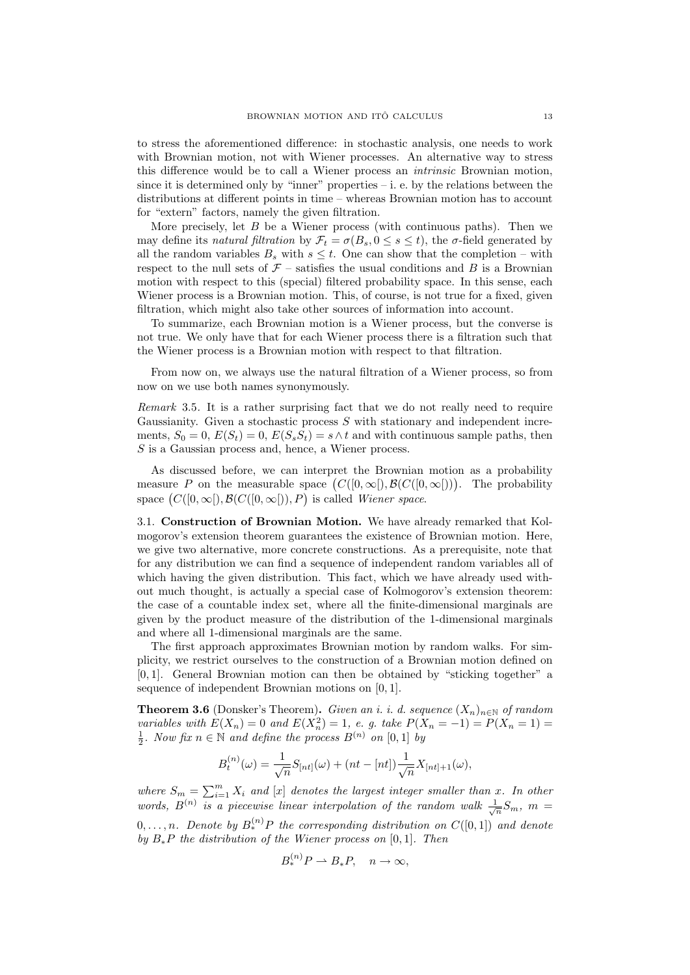to stress the aforementioned difference: in stochastic analysis, one needs to work with Brownian motion, not with Wiener processes. An alternative way to stress this difference would be to call a Wiener process an intrinsic Brownian motion, since it is determined only by "inner" properties  $-$  i. e. by the relations between the distributions at different points in time – whereas Brownian motion has to account for "extern" factors, namely the given filtration.

More precisely, let  $B$  be a Wiener process (with continuous paths). Then we may define its natural filtration by  $\mathcal{F}_t = \sigma(B_s, 0 \leq s \leq t)$ , the  $\sigma$ -field generated by all the random variables  $B_s$  with  $s \leq t$ . One can show that the completion – with respect to the null sets of  $\mathcal{F}$  – satisfies the usual conditions and B is a Brownian motion with respect to this (special) filtered probability space. In this sense, each Wiener process is a Brownian motion. This, of course, is not true for a fixed, given filtration, which might also take other sources of information into account.

To summarize, each Brownian motion is a Wiener process, but the converse is not true. We only have that for each Wiener process there is a filtration such that the Wiener process is a Brownian motion with respect to that filtration.

From now on, we always use the natural filtration of a Wiener process, so from now on we use both names synonymously.

Remark 3.5. It is a rather surprising fact that we do not really need to require Gaussianity. Given a stochastic process  $S$  with stationary and independent increments,  $S_0 = 0$ ,  $E(S_t) = 0$ ,  $E(S_s S_t) = s \wedge t$  and with continuous sample paths, then  $S$  is a Gaussian process and, hence, a Wiener process.

As discussed before, we can interpret the Brownian motion as a probability measure P on the measurable space  $(C([0,\infty]), \mathcal{B}(C([0,\infty]))$ . The probability space  $(C([0,\infty]), \mathcal{B}(C([0,\infty]))$ , P is called Wiener space.

<span id="page-12-0"></span>3.1. Construction of Brownian Motion. We have already remarked that Kolmogorov's extension theorem guarantees the existence of Brownian motion. Here, we give two alternative, more concrete constructions. As a prerequisite, note that for any distribution we can find a sequence of independent random variables all of which having the given distribution. This fact, which we have already used without much thought, is actually a special case of Kolmogorov's extension theorem: the case of a countable index set, where all the finite-dimensional marginals are given by the product measure of the distribution of the 1-dimensional marginals and where all 1-dimensional marginals are the same.

The first approach approximates Brownian motion by random walks. For simplicity, we restrict ourselves to the construction of a Brownian motion defined on [0, 1]. General Brownian motion can then be obtained by "sticking together" a sequence of independent Brownian motions on [0, 1].

**Theorem 3.6** (Donsker's Theorem). Given an i. i. d. sequence  $(X_n)_{n\in\mathbb{N}}$  of random variables with  $E(X_n) = 0$  and  $E(X_n^2) = 1$ , e. g. take  $P(X_n = -1) = P(X_n = 1) =$  $\frac{1}{2}$ . Now fix  $n \in \mathbb{N}$  and define the process  $B^{(n)}$  on  $[0,1]$  by

$$
B_t^{(n)}(\omega) = \frac{1}{\sqrt{n}} S_{[nt]}(\omega) + (nt - [nt]) \frac{1}{\sqrt{n}} X_{[nt]+1}(\omega),
$$

where  $S_m = \sum_{i=1}^m X_i$  and  $[x]$  denotes the largest integer smaller than x. In other words,  $B^{(n)}$  is a piecewise linear interpolation of the random walk  $\frac{1}{\sqrt{n}}S_m$ ,  $m =$  $0,\ldots,n.$  Denote by  $B^{(n)}_*P$  the corresponding distribution on  $C([0,1])$  and denote by  $B_*P$  the distribution of the Wiener process on [0, 1]. Then

$$
B_*^{(n)}P \rightharpoonup B_*P, \quad n \to \infty,
$$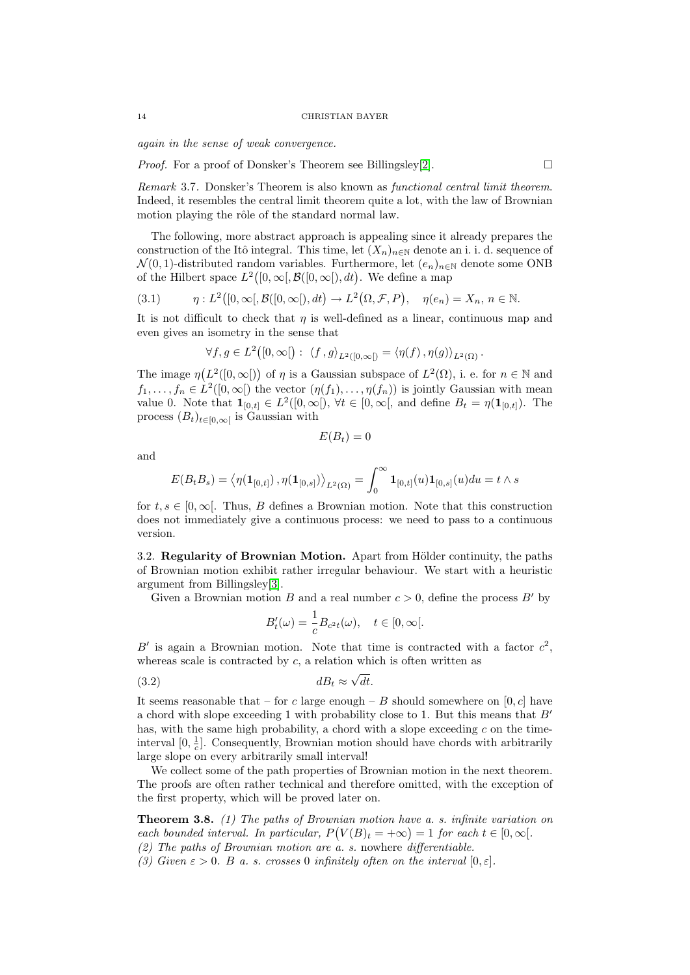again in the sense of weak convergence.

*Proof.* For a proof of Donsker's Theorem see Billingsley[\[2\]](#page-38-4).  $\Box$ 

Remark 3.7. Donsker's Theorem is also known as functional central limit theorem. Indeed, it resembles the central limit theorem quite a lot, with the law of Brownian motion playing the rôle of the standard normal law.

The following, more abstract approach is appealing since it already prepares the construction of the Itô integral. This time, let  $(X_n)_{n\in\mathbb{N}}$  denote an i. i. d. sequence of  $\mathcal{N}(0, 1)$ -distributed random variables. Furthermore, let  $(e_n)_{n\in\mathbb{N}}$  denote some ONB of the Hilbert space  $L^2([0,\infty[, \mathcal{B}([0,\infty[, dt])$ . We define a map

(3.1) 
$$
\eta: L^2([0,\infty[, \mathcal{B}([0,\infty[, dt]) \to L^2(\Omega, \mathcal{F}, P), \quad \eta(e_n) = X_n, n \in \mathbb{N}.
$$

It is not difficult to check that  $\eta$  is well-defined as a linear, continuous map and even gives an isometry in the sense that

$$
\forall f, g \in L^2([0,\infty[): \langle f, g \rangle_{L^2([0,\infty[)} = \langle \eta(f), \eta(g) \rangle_{L^2(\Omega)}.
$$

The image  $\eta(L^2([0,\infty]))$  of  $\eta$  is a Gaussian subspace of  $L^2(\Omega)$ , i. e. for  $n \in \mathbb{N}$  and  $f_1, \ldots, f_n \in L^2([0,\infty[)$  the vector  $(\eta(f_1), \ldots, \eta(f_n))$  is jointly Gaussian with mean value 0. Note that  $\mathbf{1}_{[0,t]} \in L^2([0,\infty])$ ,  $\forall t \in [0,\infty],$  and define  $B_t = \eta(\mathbf{1}_{[0,t]})$ . The process  $(B_t)_{t \in [0,\infty[}$  is Gaussian with

$$
E(B_t)=0
$$

and

$$
E(B_t B_s) = \big\langle \eta(\mathbf{1}_{[0,t]}) \, , \eta(\mathbf{1}_{[0,s]}) \big\rangle_{L^2(\Omega)} = \int_0^\infty \mathbf{1}_{[0,t]}(u) \mathbf{1}_{[0,s]}(u) du = t \wedge s
$$

for  $t, s \in [0, \infty]$ . Thus, B defines a Brownian motion. Note that this construction does not immediately give a continuous process: we need to pass to a continuous version.

<span id="page-13-0"></span>3.2. Regularity of Brownian Motion. Apart from Hölder continuity, the paths of Brownian motion exhibit rather irregular behaviour. We start with a heuristic argument from Billingsley[\[3\]](#page-38-2).

Given a Brownian motion B and a real number  $c > 0$ , define the process B' by

<span id="page-13-2"></span>
$$
B_t'(\omega) = \frac{1}{c} B_{c^2 t}(\omega), \quad t \in [0, \infty[.
$$

B' is again a Brownian motion. Note that time is contracted with a factor  $c^2$ , whereas scale is contracted by  $c$ , a relation which is often written as

$$
dB_t \approx \sqrt{dt}.
$$

It seems reasonable that – for c large enough – B should somewhere on  $[0, c]$  have a chord with slope exceeding 1 with probability close to 1. But this means that  $B'$ has, with the same high probability, a chord with a slope exceeding  $c$  on the timeinterval  $[0, \frac{1}{c}]$ . Consequently, Brownian motion should have chords with arbitrarily large slope on every arbitrarily small interval!

We collect some of the path properties of Brownian motion in the next theorem. The proofs are often rather technical and therefore omitted, with the exception of the first property, which will be proved later on.

<span id="page-13-1"></span>Theorem 3.8. (1) The paths of Brownian motion have a. s. infinite variation on each bounded interval. In particular,  $P(V(B)_t = +\infty) = 1$  for each  $t \in [0, \infty)$ . (2) The paths of Brownian motion are a. s. nowhere differentiable. (3) Given  $\varepsilon > 0$ . B a. s. crosses 0 infinitely often on the interval  $[0, \varepsilon]$ .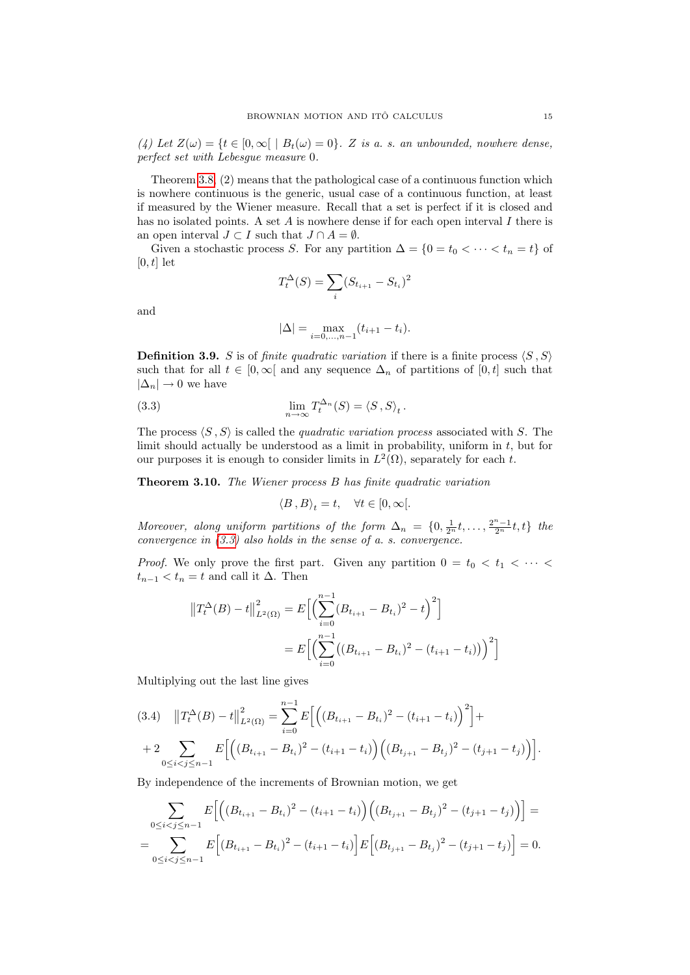(4) Let  $Z(\omega) = \{t \in [0, \infty[ \mid B_t(\omega) = 0\}$ . Z is a. s. an unbounded, nowhere dense, perfect set with Lebesgue measure 0.

Theorem [3.8,](#page-13-1) (2) means that the pathological case of a continuous function which is nowhere continuous is the generic, usual case of a continuous function, at least if measured by the Wiener measure. Recall that a set is perfect if it is closed and has no isolated points. A set  $A$  is nowhere dense if for each open interval  $I$  there is an open interval  $J \subset I$  such that  $J \cap A = \emptyset$ .

Given a stochastic process S. For any partition  $\Delta = \{0 = t_0 < \cdots < t_n = t\}$  of  $[0, t]$  let

$$
T_t^{\Delta}(S) = \sum_i (S_{t_{i+1}} - S_{t_i})^2
$$

and

<span id="page-14-0"></span>
$$
|\Delta| = \max_{i=0,...,n-1} (t_{i+1} - t_i).
$$

**Definition 3.9.** S is of finite quadratic variation if there is a finite process  $\langle S, S \rangle$ such that for all  $t \in [0,\infty]$  and any sequence  $\Delta_n$  of partitions of  $[0,t]$  such that  $|\Delta_n| \to 0$  we have

(3.3) 
$$
\lim_{n \to \infty} T_t^{\Delta_n}(S) = \langle S, S \rangle_t.
$$

The process  $\langle S, S \rangle$  is called the *quadratic variation process* associated with S. The limit should actually be understood as a limit in probability, uniform in  $t$ , but for our purposes it is enough to consider limits in  $L^2(\Omega)$ , separately for each t.

Theorem 3.10. The Wiener process B has finite quadratic variation

$$
\left\langle B\,,B\right\rangle_t=t,\quad\forall t\in[0,\infty[.
$$

Moreover, along uniform partitions of the form  $\Delta_n = \{0, \frac{1}{2^n}t, \ldots, \frac{2^n-1}{2^n}t, t\}$  the convergence in  $(3.3)$  also holds in the sense of a. s. convergence.

*Proof.* We only prove the first part. Given any partition  $0 = t_0 < t_1 < \cdots <$  $t_{n-1} < t_n = t$  and call it  $\Delta$ . Then

$$
||T_t^{\Delta}(B) - t||_{L^2(\Omega)}^2 = E\Big[\Big(\sum_{i=0}^{n-1} (B_{t_{i+1}} - B_{t_i})^2 - t\Big)^2\Big]
$$
  
= 
$$
E\Big[\Big(\sum_{i=0}^{n-1} \big((B_{t_{i+1}} - B_{t_i})^2 - (t_{i+1} - t_i)\big)\Big)^2\Big]
$$

Multiplying out the last line gives

<span id="page-14-1"></span>
$$
(3.4) \quad ||T_t^{\Delta}(B) - t||_{L^2(\Omega)}^2 = \sum_{i=0}^{n-1} E\Big[\Big((B_{t_{i+1}} - B_{t_i})^2 - (t_{i+1} - t_i)\Big)^2\Big] +
$$
  
+ 
$$
2 \sum_{0 \le i < j \le n-1} E\Big[\Big((B_{t_{i+1}} - B_{t_i})^2 - (t_{i+1} - t_i)\Big)\Big((B_{t_{j+1}} - B_{t_j})^2 - (t_{j+1} - t_j)\Big)\Big].
$$

By independence of the increments of Brownian motion, we get

$$
\sum_{0 \le i < j \le n-1} E\Big[\Big((B_{t_{i+1}} - B_{t_i})^2 - (t_{i+1} - t_i)\Big)\Big((B_{t_{j+1}} - B_{t_j})^2 - (t_{j+1} - t_j)\Big)\Big] = \sum_{0 \le i < j \le n-1} E\Big[(B_{t_{i+1}} - B_{t_i})^2 - (t_{i+1} - t_i)\Big]E\Big[(B_{t_{j+1}} - B_{t_j})^2 - (t_{j+1} - t_j)\Big] = 0.
$$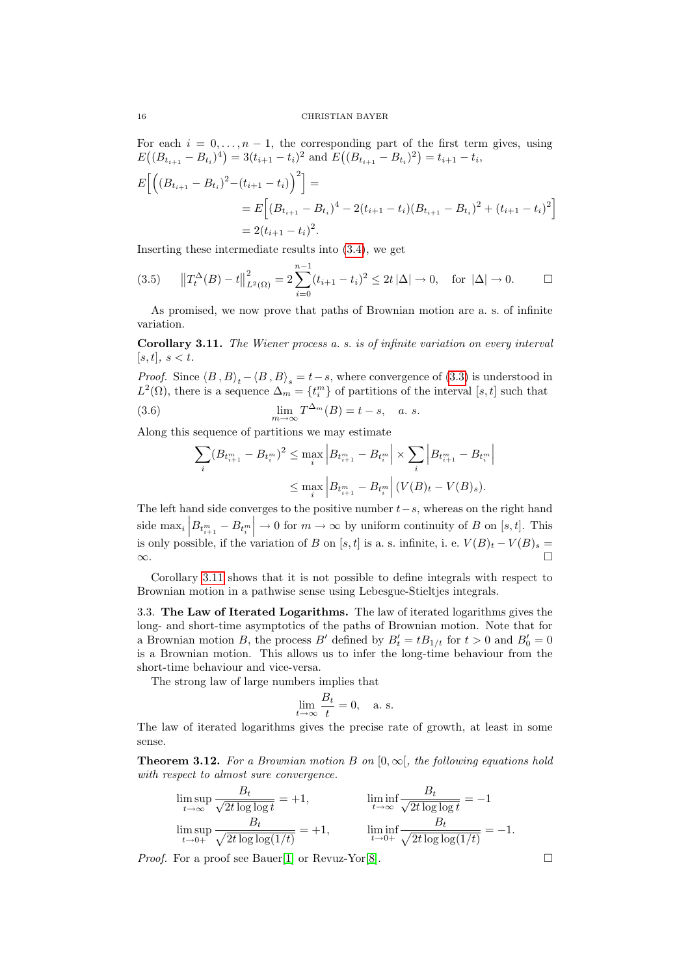For each  $i = 0, \ldots, n - 1$ , the corresponding part of the first term gives, using  $E((B_{t_{i+1}} - B_{t_i})^4) = 3(t_{i+1} - t_i)^2$  and  $E((B_{t_{i+1}} - B_{t_i})^2) = t_{i+1} - t_i$ ,

$$
E\left[\left((B_{t_{i+1}}-B_{t_i})^2-(t_{i+1}-t_i)\right)^2\right]=
$$
  
= 
$$
E\left[(B_{t_{i+1}}-B_{t_i})^4-2(t_{i+1}-t_i)(B_{t_{i+1}}-B_{t_i})^2+(t_{i+1}-t_i)^2\right]
$$
  
= 
$$
2(t_{i+1}-t_i)^2.
$$

Inserting these intermediate results into [\(3.4\)](#page-14-1), we get

$$
(3.5) \t ||T_t^{\Delta}(B) - t||_{L^2(\Omega)}^2 = 2 \sum_{i=0}^{n-1} (t_{i+1} - t_i)^2 \le 2t |\Delta| \to 0, \text{ for } |\Delta| \to 0.
$$

As promised, we now prove that paths of Brownian motion are a. s. of infinite variation.

<span id="page-15-1"></span>Corollary 3.11. The Wiener process a. s. is of infinite variation on every interval  $[s, t], s < t.$ 

*Proof.* Since  $\langle B, B \rangle_t - \langle B, B \rangle_s = t - s$ , where convergence of [\(3.3\)](#page-14-0) is understood in  $L^2(\Omega)$ , there is a sequence  $\Delta_m = \{t_i^m\}$  of partitions of the interval [s, t] such that (3.6)  $\lim_{m \to \infty} T^{\Delta_m}(B) = t - s, \quad a. s.$ 

Along this sequence of partitions we may estimate

$$
\sum_{i} (B_{t_{i+1}^m} - B_{t_i^m})^2 \le \max_i \left| B_{t_{i+1}^m} - B_{t_i^m} \right| \times \sum_i \left| B_{t_{i+1}^m} - B_{t_i^m} \right|
$$
  

$$
\le \max_i \left| B_{t_{i+1}^m} - B_{t_i^m} \right| (V(B)_t - V(B)_s).
$$

The left hand side converges to the positive number  $t-s$ , whereas on the right hand side max<sub>i</sub>  $\left| B_{t_{i+1}^m} - B_{t_i^m} \right| \to 0$  for  $m \to \infty$  by uniform continuity of B on [s, t]. This is only possible, if the variation of B on [s, t] is a. s. infinite, i. e.  $V(B)_t - V(B)_s =$ ∞.

Corollary [3.11](#page-15-1) shows that it is not possible to define integrals with respect to Brownian motion in a pathwise sense using Lebesgue-Stieltjes integrals.

<span id="page-15-0"></span>3.3. The Law of Iterated Logarithms. The law of iterated logarithms gives the long- and short-time asymptotics of the paths of Brownian motion. Note that for a Brownian motion B, the process B' defined by  $B'_t = tB_{1/t}$  for  $t > 0$  and  $B'_0 = 0$ is a Brownian motion. This allows us to infer the long-time behaviour from the short-time behaviour and vice-versa.

The strong law of large numbers implies that

$$
\lim_{t \to \infty} \frac{B_t}{t} = 0, \quad \text{a. s.}
$$

The law of iterated logarithms gives the precise rate of growth, at least in some sense.

**Theorem 3.12.** For a Brownian motion B on  $[0, \infty)$ , the following equations hold with respect to almost sure convergence.

$$
\limsup_{t \to \infty} \frac{B_t}{\sqrt{2t \log \log t}} = +1, \qquad \liminf_{t \to \infty} \frac{B_t}{\sqrt{2t \log \log t}} = -1
$$
\n
$$
\limsup_{t \to 0+} \frac{B_t}{\sqrt{2t \log \log(1/t)}} = +1, \qquad \liminf_{t \to 0+} \frac{B_t}{\sqrt{2t \log \log(1/t)}} = -1.
$$

*Proof.* For a proof see Bauer[\[1\]](#page-38-0) or Revuz-Yor[\[8\]](#page-38-5).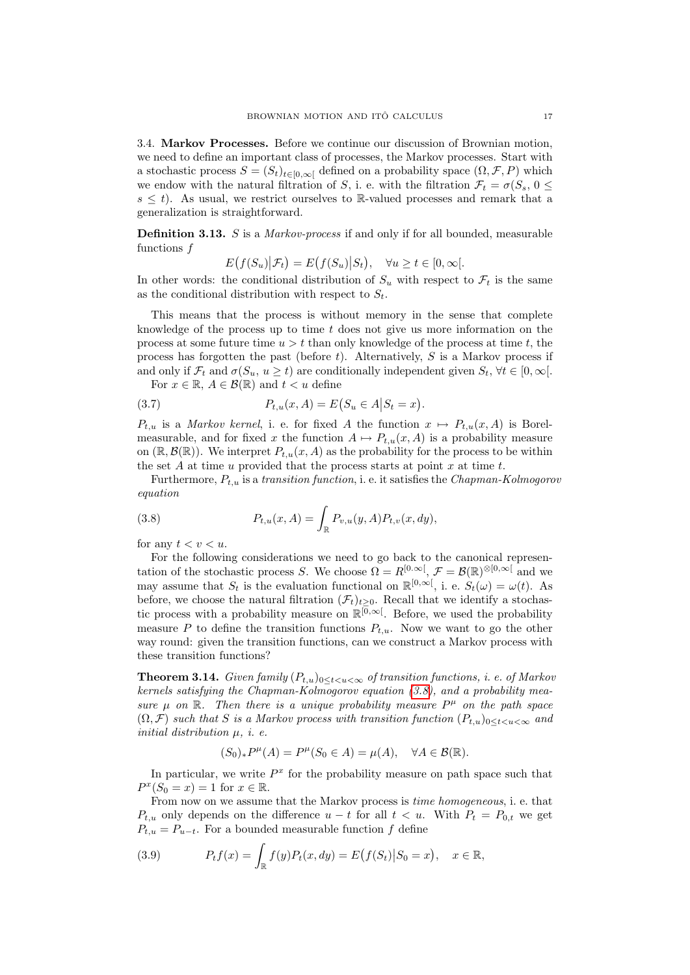<span id="page-16-0"></span>3.4. Markov Processes. Before we continue our discussion of Brownian motion, we need to define an important class of processes, the Markov processes. Start with a stochastic process  $S = (S_t)_{t \in [0,\infty]}$  defined on a probability space  $(\Omega, \mathcal{F}, P)$  which we endow with the natural filtration of S, i. e. with the filtration  $\mathcal{F}_t = \sigma(S_s, 0 \leq$  $s \leq t$ ). As usual, we restrict ourselves to R-valued processes and remark that a generalization is straightforward.

Definition 3.13. S is a Markov-process if and only if for all bounded, measurable functions f

 $E(f(S_u)|\mathcal{F}_t) = E(f(S_u)|S_t), \quad \forall u \ge t \in [0, \infty[$ 

In other words: the conditional distribution of  $S_u$  with respect to  $\mathcal{F}_t$  is the same as the conditional distribution with respect to  $S_t$ .

This means that the process is without memory in the sense that complete knowledge of the process up to time  $t$  does not give us more information on the process at some future time  $u > t$  than only knowledge of the process at time t, the process has forgotten the past (before t). Alternatively,  $S$  is a Markov process if and only if  $\mathcal{F}_t$  and  $\sigma(S_u, u \geq t)$  are conditionally independent given  $S_t$ ,  $\forall t \in [0, \infty[$ . For  $x \in \mathbb{R}$ ,  $A \in \mathcal{B}(\mathbb{R})$  and  $t < u$  define

(3.7) 
$$
P_{t,u}(x,A) = E(S_u \in A | S_t = x).
$$

 $P_{t,u}$  is a *Markov kernel*, i. e. for fixed A the function  $x \mapsto P_{t,u}(x, A)$  is Borelmeasurable, and for fixed x the function  $A \mapsto P_{t,u}(x, A)$  is a probability measure on  $(\mathbb{R}, \mathcal{B}(\mathbb{R}))$ . We interpret  $P_{t,u}(x, A)$  as the probability for the process to be within the set A at time u provided that the process starts at point x at time t.

Furthermore,  $P_{t,u}$  is a transition function, i. e. it satisfies the *Chapman-Kolmogorov* equation

<span id="page-16-1"></span>(3.8) 
$$
P_{t,u}(x,A) = \int_{\mathbb{R}} P_{v,u}(y,A) P_{t,v}(x,dy),
$$

for any  $t < v < u$ .

For the following considerations we need to go back to the canonical representation of the stochastic process S. We choose  $\Omega = R^{[0,\infty)}$ ,  $\mathcal{F} = \mathcal{B}(\mathbb{R})^{\otimes [0,\infty]}$  and we may assume that  $S_t$  is the evaluation functional on  $\mathbb{R}^{[0,\infty[}$ , i. e.  $S_t(\omega) = \omega(t)$ . As before, we choose the natural filtration  $(\mathcal{F}_t)_{t>0}$ . Recall that we identify a stochastic process with a probability measure on  $\mathbb{R}^{[0,\infty]}$ . Before, we used the probability measure P to define the transition functions  $P_{t,u}$ . Now we want to go the other way round: given the transition functions, can we construct a Markov process with these transition functions?

<span id="page-16-2"></span>**Theorem 3.14.** Given family  $(P_{t,u})_{0 \le t \le u \le \infty}$  of transition functions, i. e. of Markov kernels satisfying the Chapman-Kolmogorov equation [\(3.8\)](#page-16-1), and a probability measure  $\mu$  on  $\mathbb{R}$ . Then there is a unique probability measure  $P^{\mu}$  on the path space  $(\Omega, \mathcal{F})$  such that S is a Markov process with transition function  $(P_{t,u})_{0 \le t \le u \le \infty}$  and initial distribution  $\mu$ , *i. e.* 

$$
(S_0)_*P^{\mu}(A) = P^{\mu}(S_0 \in A) = \mu(A), \quad \forall A \in \mathcal{B}(\mathbb{R}).
$$

In particular, we write  $P^x$  for the probability measure on path space such that  $P^x(S_0 = x) = 1$  for  $x \in \mathbb{R}$ .

From now on we assume that the Markov process is time homogeneous, i. e. that  $P_{t,u}$  only depends on the difference  $u - t$  for all  $t < u$ . With  $P_t = P_{0,t}$  we get  $P_{t,u} = P_{u-t}$ . For a bounded measurable function f define

(3.9) 
$$
P_t f(x) = \int_{\mathbb{R}} f(y) P_t(x, dy) = E(f(S_t) | S_0 = x), \quad x \in \mathbb{R},
$$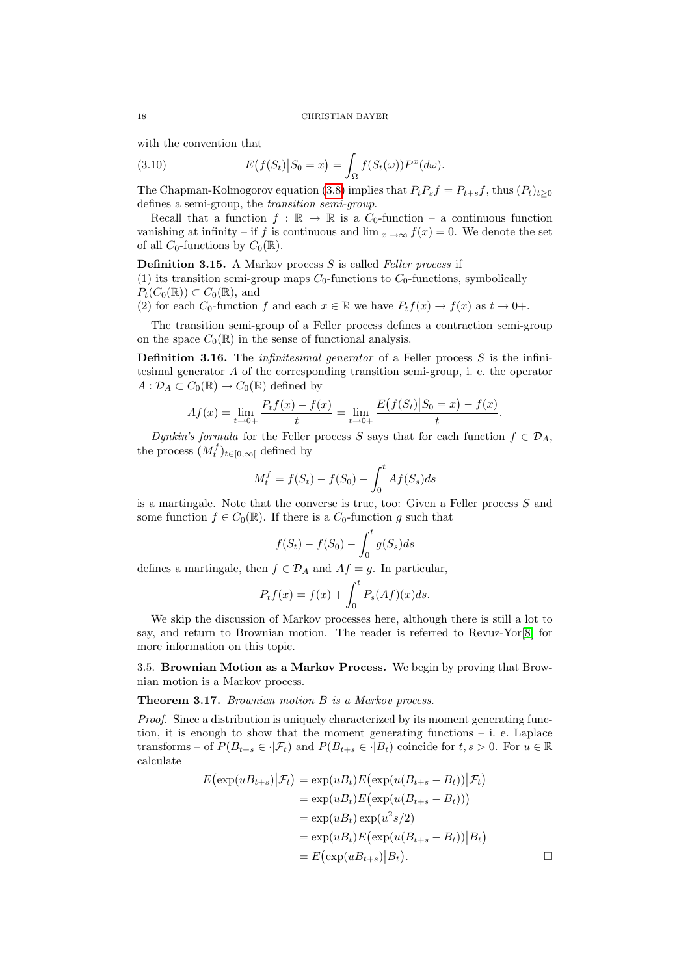with the convention that

(3.10) 
$$
E(f(S_t)|S_0=x)=\int_{\Omega}f(S_t(\omega))P^x(d\omega).
$$

The Chapman-Kolmogorov equation [\(3.8\)](#page-16-1) implies that  $P_tP_sf=P_{t+s}f$ , thus  $(P_t)_{t\geq0}$ defines a semi-group, the transition semi-group.

Recall that a function  $f : \mathbb{R} \to \mathbb{R}$  is a  $C_0$ -function – a continuous function vanishing at infinity – if f is continuous and  $\lim_{|x|\to\infty} f(x) = 0$ . We denote the set of all  $C_0$ -functions by  $C_0(\mathbb{R})$ .

**Definition 3.15.** A Markov process  $S$  is called Feller process if

(1) its transition semi-group maps  $C_0$ -functions to  $C_0$ -functions, symbolically  $P_t(C_0(\mathbb{R})) \subset C_0(\mathbb{R})$ , and

(2) for each  $C_0$ -function f and each  $x \in \mathbb{R}$  we have  $P_t f(x) \to f(x)$  as  $t \to 0+$ .

The transition semi-group of a Feller process defines a contraction semi-group on the space  $C_0(\mathbb{R})$  in the sense of functional analysis.

**Definition 3.16.** The *infinitesimal generator* of a Feller process  $S$  is the infinitesimal generator A of the corresponding transition semi-group, i. e. the operator  $A: \mathcal{D}_A \subset C_0(\mathbb{R}) \to C_0(\mathbb{R})$  defined by

$$
Af(x) = \lim_{t \to 0+} \frac{P_t f(x) - f(x)}{t} = \lim_{t \to 0+} \frac{E(f(S_t) | S_0 = x) - f(x)}{t}.
$$

Dynkin's formula for the Feller process S says that for each function  $f \in \mathcal{D}_A$ , the process  $(M_t^f)_{t \in [0,\infty[}$  defined by

$$
M_t^f = f(S_t) - f(S_0) - \int_0^t A f(S_s) ds
$$

is a martingale. Note that the converse is true, too: Given a Feller process S and some function  $f \in C_0(\mathbb{R})$ . If there is a  $C_0$ -function g such that

$$
f(S_t) - f(S_0) - \int_0^t g(S_s)ds
$$

defines a martingale, then  $f \in \mathcal{D}_A$  and  $Af = g$ . In particular,

$$
P_t f(x) = f(x) + \int_0^t P_s(Af)(x)ds.
$$

We skip the discussion of Markov processes here, although there is still a lot to say, and return to Brownian motion. The reader is referred to Revuz-Yor[\[8\]](#page-38-5) for more information on this topic.

<span id="page-17-0"></span>3.5. Brownian Motion as a Markov Process. We begin by proving that Brownian motion is a Markov process.

## Theorem 3.17. Brownian motion B is a Markov process.

Proof. Since a distribution is uniquely characterized by its moment generating function, it is enough to show that the moment generating functions  $-$  i. e. Laplace transforms – of  $P(B_{t+s} \in \cdot | \mathcal{F}_t)$  and  $P(B_{t+s} \in \cdot | B_t)$  coincide for  $t, s > 0$ . For  $u \in \mathbb{R}$ calculate

$$
E(\exp(uB_{t+s})|\mathcal{F}_t) = \exp(uB_t)E(\exp(u(B_{t+s} - B_t))|\mathcal{F}_t)
$$
  
\n
$$
= \exp(uB_t)E(\exp(u(B_{t+s} - B_t)))
$$
  
\n
$$
= \exp(uB_t)\exp(u^2s/2)
$$
  
\n
$$
= \exp(uB_t)E(\exp(u(B_{t+s} - B_t))|B_t)
$$
  
\n
$$
= E(\exp(uB_{t+s})|B_t).
$$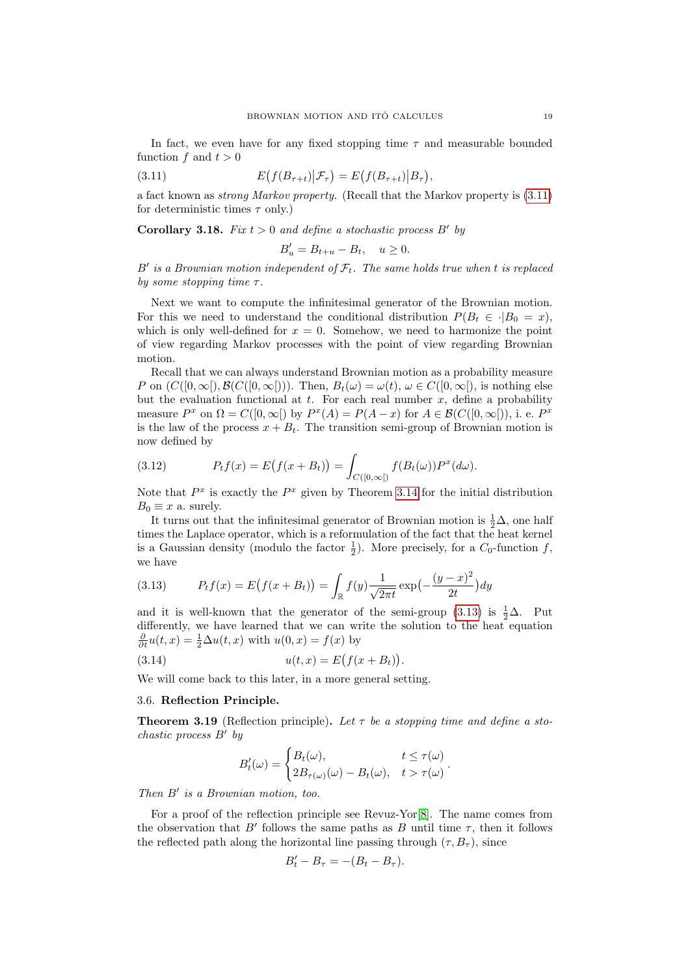In fact, we even have for any fixed stopping time  $\tau$  and measurable bounded function f and  $t > 0$ 

(3.11) 
$$
E(f(B_{\tau+t})|\mathcal{F}_{\tau}) = E(f(B_{\tau+t})|B_{\tau}),
$$

a fact known as strong Markov property. (Recall that the Markov property is [\(3.11\)](#page-18-1) for deterministic times  $\tau$  only.)

**Corollary 3.18.** Fix  $t > 0$  and define a stochastic process  $B'$  by

<span id="page-18-1"></span>
$$
B'_u = B_{t+u} - B_t, \quad u \ge 0.
$$

B' is a Brownian motion independent of  $\mathcal{F}_t$ . The same holds true when t is replaced by some stopping time  $\tau$ .

Next we want to compute the infinitesimal generator of the Brownian motion. For this we need to understand the conditional distribution  $P(B_t \in \cdot | B_0 = x)$ , which is only well-defined for  $x = 0$ . Somehow, we need to harmonize the point of view regarding Markov processes with the point of view regarding Brownian motion.

Recall that we can always understand Brownian motion as a probability measure P on  $(C([0,\infty),\mathcal{B}(C([0,\infty]))$ . Then,  $B_t(\omega)=\omega(t), \omega\in C([0,\infty])$ , is nothing else but the evaluation functional at t. For each real number  $x$ , define a probability measure  $P^x$  on  $\Omega = C([0,\infty])$  by  $P^x(A) = P(A-x)$  for  $A \in \mathcal{B}(C([0,\infty]))$ , i. e.  $P^x$ is the law of the process  $x + B_t$ . The transition semi-group of Brownian motion is now defined by

(3.12) 
$$
P_t f(x) = E(f(x + B_t)) = \int_{C([0,\infty[)} f(B_t(\omega)) P^x(d\omega).
$$

Note that  $P^x$  is exactly the  $P^x$  given by Theorem [3.14](#page-16-2) for the initial distribution  $B_0 \equiv x$  a. surely.

It turns out that the infinitesimal generator of Brownian motion is  $\frac{1}{2}\Delta$ , one half times the Laplace operator, which is a reformulation of the fact that the heat kernel is a Gaussian density (modulo the factor  $\frac{1}{2}$ ). More precisely, for a  $C_0$ -function f, we have

<span id="page-18-2"></span>(3.13) 
$$
P_t f(x) = E(f(x + B_t)) = \int_{\mathbb{R}} f(y) \frac{1}{\sqrt{2\pi t}} \exp\left(-\frac{(y - x)^2}{2t}\right) dy
$$

and it is well-known that the generator of the semi-group [\(3.13\)](#page-18-2) is  $\frac{1}{2}\Delta$ . Put differently, we have learned that we can write the solution to the heat equation  $\frac{\partial}{\partial t}u(t,x) = \frac{1}{2}\Delta u(t,x)$  with  $u(0,x) = f(x)$  by

(3.14) 
$$
u(t,x) = E(f(x + B_t)).
$$

We will come back to this later, in a more general setting.

#### <span id="page-18-0"></span>3.6. Reflection Principle.

**Theorem 3.19** (Reflection principle). Let  $\tau$  be a stopping time and define a stochastic process  $B'$  by

$$
B'_t(\omega) = \begin{cases} B_t(\omega), & t \le \tau(\omega) \\ 2B_{\tau(\omega)}(\omega) - B_t(\omega), & t > \tau(\omega) \end{cases}.
$$

Then  $B'$  is a Brownian motion, too.

For a proof of the reflection principle see Revuz-Yor[\[8\]](#page-38-5). The name comes from the observation that B' follows the same paths as B until time  $\tau$ , then it follows the reflected path along the horizontal line passing through  $(\tau, B_{\tau})$ , since

$$
B'_t - B_\tau = -(B_t - B_\tau).
$$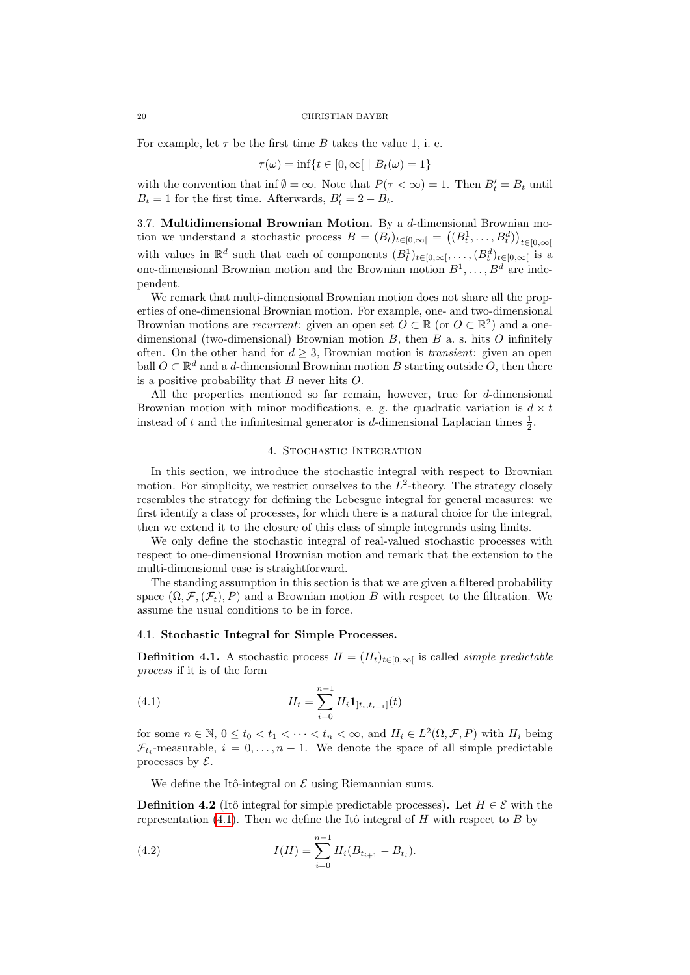For example, let  $\tau$  be the first time B takes the value 1, i. e.

$$
\tau(\omega) = \inf\{t \in [0, \infty[ \mid B_t(\omega) = 1\}
$$

with the convention that inf  $\emptyset = \infty$ . Note that  $P(\tau < \infty) = 1$ . Then  $B_t' = B_t$  until  $B_t = 1$  for the first time. Afterwards,  $B'_t = 2 - B_t$ .

<span id="page-19-0"></span>3.7. Multidimensional Brownian Motion. By a  $d$ -dimensional Brownian motion we understand a stochastic process  $B = (B_t)_{t \in [0,\infty[} = ((B_t^1, \ldots, B_t^d))_{t \in [0,\infty[}$ with values in  $\mathbb{R}^d$  such that each of components  $(B_t^1)_{t\in[0,\infty[},\ldots,(B_t^d)_{t\in[0,\infty[}$  is a one-dimensional Brownian motion and the Brownian motion  $B^1, \ldots, B^d$  are independent.

We remark that multi-dimensional Brownian motion does not share all the properties of one-dimensional Brownian motion. For example, one- and two-dimensional Brownian motions are *recurrent*: given an open set  $O \subset \mathbb{R}$  (or  $O \subset \mathbb{R}^2$ ) and a onedimensional (two-dimensional) Brownian motion  $B$ , then  $B$  a. s. hits  $O$  infinitely often. On the other hand for  $d \geq 3$ , Brownian motion is *transient*: given an open ball  $O \subset \mathbb{R}^d$  and a d-dimensional Brownian motion B starting outside  $O$ , then there is a positive probability that  $B$  never hits  $O$ .

All the properties mentioned so far remain, however, true for  $d$ -dimensional Brownian motion with minor modifications, e. g. the quadratic variation is  $d \times t$ instead of t and the infinitesimal generator is d-dimensional Laplacian times  $\frac{1}{2}$ .

## 4. Stochastic Integration

<span id="page-19-1"></span>In this section, we introduce the stochastic integral with respect to Brownian motion. For simplicity, we restrict ourselves to the  $L^2$ -theory. The strategy closely resembles the strategy for defining the Lebesgue integral for general measures: we first identify a class of processes, for which there is a natural choice for the integral, then we extend it to the closure of this class of simple integrands using limits.

We only define the stochastic integral of real-valued stochastic processes with respect to one-dimensional Brownian motion and remark that the extension to the multi-dimensional case is straightforward.

The standing assumption in this section is that we are given a filtered probability space  $(\Omega, \mathcal{F}, (\mathcal{F}_t), P)$  and a Brownian motion B with respect to the filtration. We assume the usual conditions to be in force.

# <span id="page-19-2"></span>4.1. Stochastic Integral for Simple Processes.

**Definition 4.1.** A stochastic process  $H = (H_t)_{t \in [0,\infty]}$  is called *simple predictable* process if it is of the form

<span id="page-19-3"></span>(4.1) 
$$
H_t = \sum_{i=0}^{n-1} H_i \mathbf{1}_{]t_i, t_{i+1}]}(t)
$$

for some  $n \in \mathbb{N}$ ,  $0 \le t_0 < t_1 < \cdots < t_n < \infty$ , and  $H_i \in L^2(\Omega, \mathcal{F}, P)$  with  $H_i$  being  $\mathcal{F}_{t_i}$ -measurable,  $i = 0, \ldots, n-1$ . We denote the space of all simple predictable processes by  $\mathcal{E}$ .

We define the Itô-integral on  $\mathcal E$  using Riemannian sums.

<span id="page-19-4"></span>**Definition 4.2** (Itô integral for simple predictable processes). Let  $H \in \mathcal{E}$  with the representation [\(4.1\)](#page-19-3). Then we define the Itô integral of H with respect to B by

(4.2) 
$$
I(H) = \sum_{i=0}^{n-1} H_i(B_{t_{i+1}} - B_{t_i}).
$$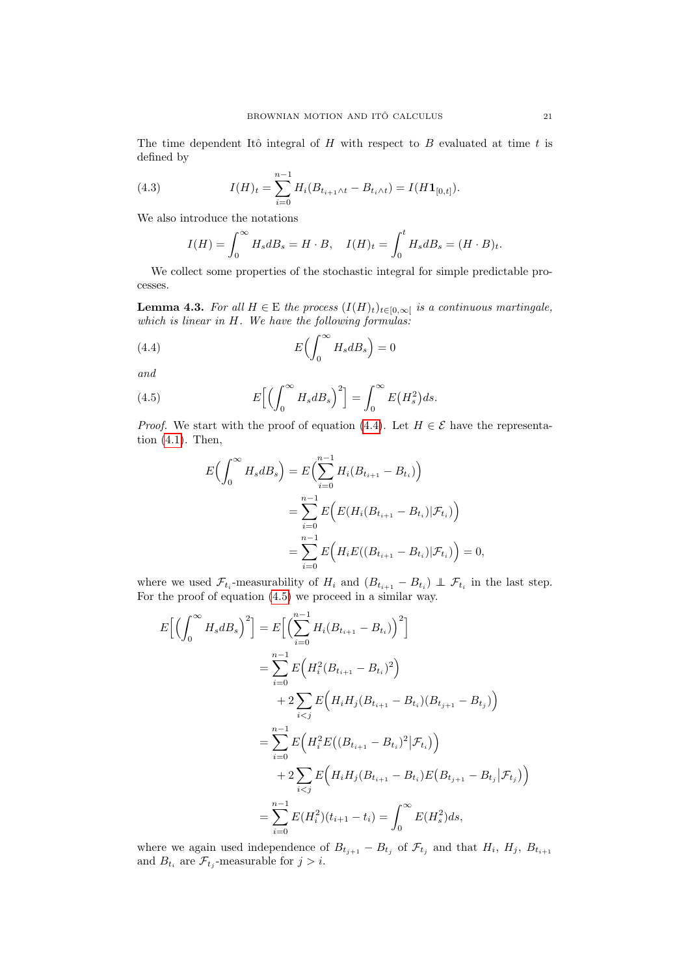The time dependent Itô integral of  $H$  with respect to  $B$  evaluated at time  $t$  is defined by

(4.3) 
$$
I(H)_t = \sum_{i=0}^{n-1} H_i(B_{t_{i+1}\wedge t} - B_{t_i \wedge t}) = I(H\mathbf{1}_{[0,t]}).
$$

We also introduce the notations

$$
I(H) = \int_0^\infty H_s dB_s = H \cdot B, \quad I(H)_t = \int_0^t H_s dB_s = (H \cdot B)_t.
$$

We collect some properties of the stochastic integral for simple predictable processes.

<span id="page-20-2"></span>**Lemma 4.3.** For all  $H \in \mathbb{E}$  the process  $(I(H)_t)_{t \in [0,\infty[}$  is a continuous martingale, which is linear in H. We have the following formulas:

(4.4) 
$$
E\left(\int_0^\infty H_s dB_s\right) = 0
$$

and

(4.5) 
$$
E\left[\left(\int_0^\infty H_s dB_s\right)^2\right] = \int_0^\infty E\left(H_s^2\right)ds.
$$

*Proof.* We start with the proof of equation [\(4.4\)](#page-20-0). Let  $H \in \mathcal{E}$  have the representation [\(4.1\)](#page-19-3). Then,

<span id="page-20-1"></span><span id="page-20-0"></span>
$$
E\left(\int_0^\infty H_s dB_s\right) = E\left(\sum_{i=0}^{n-1} H_i(B_{t_{i+1}} - B_{t_i})\right)
$$
  
= 
$$
\sum_{i=0}^{n-1} E\left(E(H_i(B_{t_{i+1}} - B_{t_i}) | \mathcal{F}_{t_i})\right)
$$
  
= 
$$
\sum_{i=0}^{n-1} E\left(H_i E((B_{t_{i+1}} - B_{t_i}) | \mathcal{F}_{t_i})\right) = 0,
$$

where we used  $\mathcal{F}_{t_i}$ -measurability of  $H_i$  and  $(B_{t_{i+1}} - B_{t_i}) \perp \mathcal{F}_{t_i}$  in the last step. For the proof of equation [\(4.5\)](#page-20-1) we proceed in a similar way.

$$
E\Big[\Big(\int_0^\infty H_s dB_s\Big)^2\Big] = E\Big[\Big(\sum_{i=0}^{n-1} H_i(B_{t_{i+1}} - B_{t_i})\Big)^2\Big]
$$
  
\n
$$
= \sum_{i=0}^{n-1} E\Big(H_i^2 (B_{t_{i+1}} - B_{t_i})^2\Big)
$$
  
\n
$$
+ 2 \sum_{i < j} E\Big(H_i H_j (B_{t_{i+1}} - B_{t_i}) (B_{t_{j+1}} - B_{t_j})\Big)
$$
  
\n
$$
= \sum_{i=0}^{n-1} E\Big(H_i^2 E\big((B_{t_{i+1}} - B_{t_i})^2 | \mathcal{F}_{t_i}\big)\Big)
$$
  
\n
$$
+ 2 \sum_{i < j} E\Big(H_i H_j (B_{t_{i+1}} - B_{t_i}) E\big(B_{t_{j+1}} - B_{t_j} | \mathcal{F}_{t_j}\big)\Big)
$$
  
\n
$$
= \sum_{i=0}^{n-1} E(H_i^2)(t_{i+1} - t_i) = \int_0^\infty E(H_s^2) ds,
$$

where we again used independence of  $B_{t_{j+1}} - B_{t_j}$  of  $\mathcal{F}_{t_j}$  and that  $H_i$ ,  $H_j$ ,  $B_{t_{i+1}}$ and  $B_{t_i}$  are  $\mathcal{F}_{t_j}$ -measurable for  $j > i$ .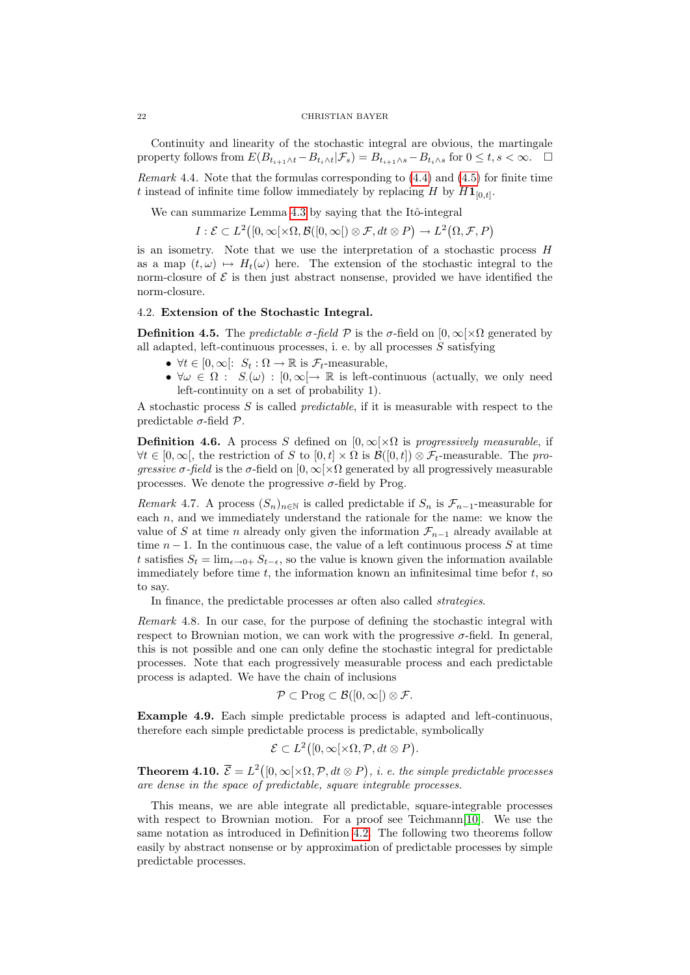Continuity and linearity of the stochastic integral are obvious, the martingale property follows from  $E(B_{t_{i+1}\wedge t}-B_{t_i\wedge t}|\mathcal{F}_s)=B_{t_{i+1}\wedge s}-B_{t_i\wedge s}$  for  $0\leq t, s<\infty$ .  $\Box$ 

Remark 4.4. Note that the formulas corresponding to  $(4.4)$  and  $(4.5)$  for finite time t instead of infinite time follow immediately by replacing H by  $H1_{[0,t]}$ .

We can summarize Lemma [4.3](#page-20-2) by saying that the Itô-integral

 $I: \mathcal{E} \subset L^2([0,\infty[\times \Omega,\mathcal{B}(0,\infty[)\otimes \mathcal{F},dt\otimes P) \to L^2(\Omega,\mathcal{F},P))$ 

is an isometry. Note that we use the interpretation of a stochastic process  $H$ as a map  $(t, \omega) \mapsto H_t(\omega)$  here. The extension of the stochastic integral to the norm-closure of  $\mathcal E$  is then just abstract nonsense, provided we have identified the norm-closure.

# <span id="page-21-0"></span>4.2. Extension of the Stochastic Integral.

**Definition 4.5.** The *predictable*  $\sigma$ -field  $\mathcal P$  is the  $\sigma$ -field on  $[0,\infty[\times\Omega]$  generated by all adapted, left-continuous processes, i. e. by all processes  $S$  satisfying

- $\forall t \in [0, \infty[ : S_t : \Omega \to \mathbb{R} \text{ is } \mathcal{F}_t\text{-measurable},$
- $\forall \omega \in \Omega : S(\omega) : [0, \infty] \to \mathbb{R}$  is left-continuous (actually, we only need left-continuity on a set of probability 1).

A stochastic process  $S$  is called *predictable*, if it is measurable with respect to the predictable  $\sigma$ -field  $\mathcal{P}$ .

**Definition 4.6.** A process S defined on  $[0, \infty) \times \Omega$  is progressively measurable, if  $\forall t \in [0,\infty],$  the restriction of S to  $[0,t] \times \Omega$  is  $\mathcal{B}([0,t]) \otimes \mathcal{F}_t$ -measurable. The progressive  $\sigma$ -field is the  $\sigma$ -field on  $[0,\infty[\times\Omega]$  generated by all progressively measurable processes. We denote the progressive  $\sigma$ -field by Prog.

Remark 4.7. A process  $(S_n)_{n\in\mathbb{N}}$  is called predictable if  $S_n$  is  $\mathcal{F}_{n-1}$ -measurable for each  $n$ , and we immediately understand the rationale for the name: we know the value of S at time n already only given the information  $\mathcal{F}_{n-1}$  already available at time  $n-1$ . In the continuous case, the value of a left continuous process S at time t satisfies  $S_t = \lim_{\epsilon \to 0+} S_{t-\epsilon}$ , so the value is known given the information available immediately before time  $t$ , the information known an infinitesimal time befor  $t$ , so to say.

In finance, the predictable processes ar often also called strategies.

Remark 4.8. In our case, for the purpose of defining the stochastic integral with respect to Brownian motion, we can work with the progressive  $\sigma$ -field. In general, this is not possible and one can only define the stochastic integral for predictable processes. Note that each progressively measurable process and each predictable process is adapted. We have the chain of inclusions

$$
\mathcal{P} \subset \mathrm{Prog} \subset \mathcal{B}([0,\infty[)) \otimes \mathcal{F}.
$$

Example 4.9. Each simple predictable process is adapted and left-continuous, therefore each simple predictable process is predictable, symbolically

$$
\mathcal{E} \subset L^2([0,\infty[\times\Omega,\mathcal{P},dt\otimes P]).
$$

**Theorem 4.10.**  $\overline{\mathcal{E}} = L^2([0,\infty[\times\Omega,\mathcal{P},dt\otimes P), i.\ e.\ the\ simple\ predictable\ processes$ are dense in the space of predictable, square integrable processes.

This means, we are able integrate all predictable, square-integrable processes with respect to Brownian motion. For a proof see Teichmann[\[10\]](#page-38-1). We use the same notation as introduced in Definition [4.2.](#page-19-4) The following two theorems follow easily by abstract nonsense or by approximation of predictable processes by simple predictable processes.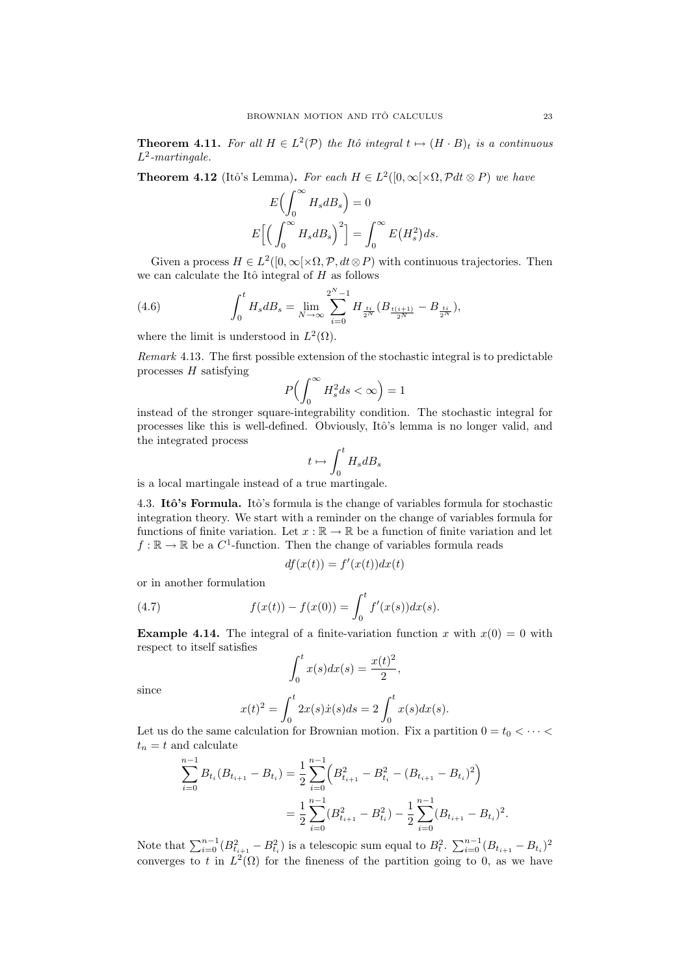**Theorem 4.11.** For all  $H \in L^2(\mathcal{P})$  the Itô integral  $t \mapsto (H \cdot B)_t$  is a continuous  $L^2$ -martingale.

**Theorem 4.12** (Itô's Lemma). For each  $H \in L^2([0,\infty[\times\Omega,\mathcal{P}_{\text{d}}t\otimes P)]$  we have

$$
E\left(\int_0^\infty H_s dB_s\right) = 0
$$
  

$$
E\left[\left(\int_0^\infty H_s dB_s\right)^2\right] = \int_0^\infty E(H_s^2)ds.
$$

Given a process  $H \in L^2([0,\infty[\times\Omega,\mathcal{P},dt\otimes P])$  with continuous trajectories. Then we can calculate the Itô integral of  $H$  as follows

(4.6) 
$$
\int_0^t H_s dB_s = \lim_{N \to \infty} \sum_{i=0}^{2^N - 1} H_{\frac{ti}{2^N}} (B_{\frac{t(i+1)}{2^N}} - B_{\frac{ti}{2^N}}),
$$

where the limit is understood in  $L^2(\Omega)$ .

Remark 4.13. The first possible extension of the stochastic integral is to predictable processes  $H$  satisfying

$$
P\Bigl(\int_0^\infty H_s^2 ds < \infty\Bigr) = 1
$$

instead of the stronger square-integrability condition. The stochastic integral for processes like this is well-defined. Obviously, Itô's lemma is no longer valid, and the integrated process

$$
t\mapsto \int_0^t H_s dB_s
$$

is a local martingale instead of a true martingale.

<span id="page-22-0"></span>4.3. Itô's Formula. Itô's formula is the change of variables formula for stochastic integration theory. We start with a reminder on the change of variables formula for functions of finite variation. Let  $x : \mathbb{R} \to \mathbb{R}$  be a function of finite variation and let  $f : \mathbb{R} \to \mathbb{R}$  be a  $C^1$ -function. Then the change of variables formula reads

<span id="page-22-1"></span>
$$
df(x(t)) = f'(x(t))dx(t)
$$

or in another formulation

(4.7) 
$$
f(x(t)) - f(x(0)) = \int_0^t f'(x(s))dx(s).
$$

**Example 4.14.** The integral of a finite-variation function x with  $x(0) = 0$  with respect to itself satisfies

$$
\int_0^t x(s)dx(s) = \frac{x(t)^2}{2},
$$

since

$$
x(t)^{2} = \int_{0}^{t} 2x(s)\dot{x}(s)ds = 2\int_{0}^{t} x(s)dx(s).
$$

Let us do the same calculation for Brownian motion. Fix a partition  $0 = t_0 < \cdots <$  $t_n = t$  and calculate

$$
\sum_{i=0}^{n-1} B_{t_i} (B_{t_{i+1}} - B_{t_i}) = \frac{1}{2} \sum_{i=0}^{n-1} \left( B_{t_{i+1}}^2 - B_{t_i}^2 - (B_{t_{i+1}} - B_{t_i})^2 \right)
$$
  
= 
$$
\frac{1}{2} \sum_{i=0}^{n-1} (B_{t_{i+1}}^2 - B_{t_i}^2) - \frac{1}{2} \sum_{i=0}^{n-1} (B_{t_{i+1}} - B_{t_i})^2.
$$

Note that  $\sum_{i=0}^{n-1} (B_{t_{i+1}}^2 - B_{t_i}^2)$  is a telescopic sum equal to  $B_t^2$ .  $\sum_{i=0}^{n-1} (B_{t_{i+1}} - B_{t_i})^2$ converges to t in  $L^2(\Omega)$  for the fineness of the partition going to 0, as we have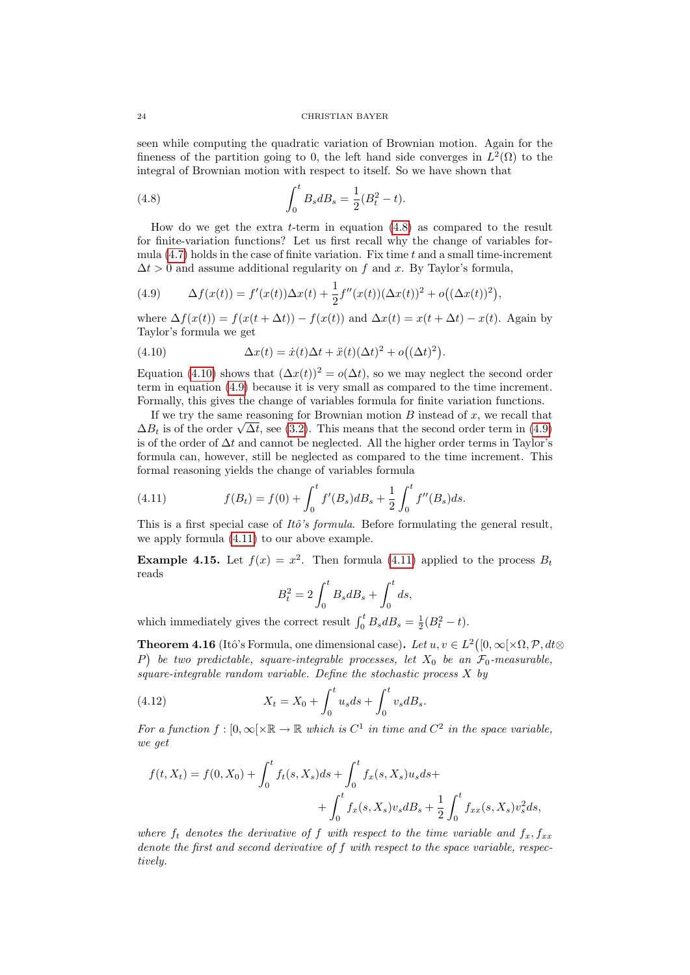seen while computing the quadratic variation of Brownian motion. Again for the fineness of the partition going to 0, the left hand side converges in  $L^2(\Omega)$  to the integral of Brownian motion with respect to itself. So we have shown that

<span id="page-23-0"></span>(4.8) 
$$
\int_0^t B_s dB_s = \frac{1}{2}(B_t^2 - t).
$$

How do we get the extra t-term in equation [\(4.8\)](#page-23-0) as compared to the result for finite-variation functions? Let us first recall why the change of variables formula  $(4.7)$  holds in the case of finite variation. Fix time t and a small time-increment  $\Delta t > 0$  and assume additional regularity on f and x. By Taylor's formula,

<span id="page-23-2"></span>(4.9) 
$$
\Delta f(x(t)) = f'(x(t))\Delta x(t) + \frac{1}{2}f''(x(t))(\Delta x(t))^2 + o((\Delta x(t))^2),
$$

where  $\Delta f(x(t)) = f(x(t + \Delta t)) - f(x(t))$  and  $\Delta x(t) = x(t + \Delta t) - x(t)$ . Again by Taylor's formula we get

<span id="page-23-1"></span>(4.10) 
$$
\Delta x(t) = \dot{x}(t)\Delta t + \ddot{x}(t)(\Delta t)^2 + o((\Delta t)^2).
$$

Equation [\(4.10\)](#page-23-1) shows that  $(\Delta x(t))^2 = o(\Delta t)$ , so we may neglect the second order term in equation [\(4.9\)](#page-23-2) because it is very small as compared to the time increment. Formally, this gives the change of variables formula for finite variation functions.

If we try the same reasoning for Brownian motion  $B$  instead of  $x$ , we recall that If we try the same reasoning for Brownian motion B instead of x, we recall that  $\Delta B_t$  is of the order  $\sqrt{\Delta t}$ , see [\(3.2\)](#page-13-2). This means that the second order term in [\(4.9\)](#page-23-2) is of the order of  $\Delta t$  and cannot be neglected. All the higher order terms in Taylor's formula can, however, still be neglected as compared to the time increment. This formal reasoning yields the change of variables formula

<span id="page-23-3"></span>(4.11) 
$$
f(B_t) = f(0) + \int_0^t f'(B_s) dB_s + \frac{1}{2} \int_0^t f''(B_s) ds.
$$

This is a first special case of  $It\delta's formula$ . Before formulating the general result, we apply formula [\(4.11\)](#page-23-3) to our above example.

**Example 4.15.** Let  $f(x) = x^2$ . Then formula [\(4.11\)](#page-23-3) applied to the process  $B_t$ reads

<span id="page-23-4"></span>
$$
B_t^2 = 2\int_0^t B_s dB_s + \int_0^t ds,
$$

which immediately gives the correct result  $\int_0^t B_s dB_s = \frac{1}{2}(B_t^2 - t)$ .

**Theorem 4.16** (Itô's Formula, one dimensional case). Let  $u, v \in L^2([0,\infty[\times \Omega, \mathcal{P}, dt \otimes$ P) be two predictable, square-integrable processes, let  $X_0$  be an  $\mathcal{F}_0$ -measurable, square-integrable random variable. Define the stochastic process  $X$  by

(4.12) 
$$
X_t = X_0 + \int_0^t u_s ds + \int_0^t v_s dB_s.
$$

For a function  $f : [0, \infty[ \times \mathbb{R} \to \mathbb{R}$  which is  $C^1$  in time and  $C^2$  in the space variable, we get

$$
f(t, X_t) = f(0, X_0) + \int_0^t f_t(s, X_s)ds + \int_0^t f_x(s, X_s)u_s ds +
$$
  
+ 
$$
\int_0^t f_x(s, X_s)v_s dB_s + \frac{1}{2} \int_0^t f_{xx}(s, X_s)v_s^2 ds,
$$

where  $f_t$  denotes the derivative of f with respect to the time variable and  $f_x, f_{xx}$ denote the first and second derivative of f with respect to the space variable, respectively.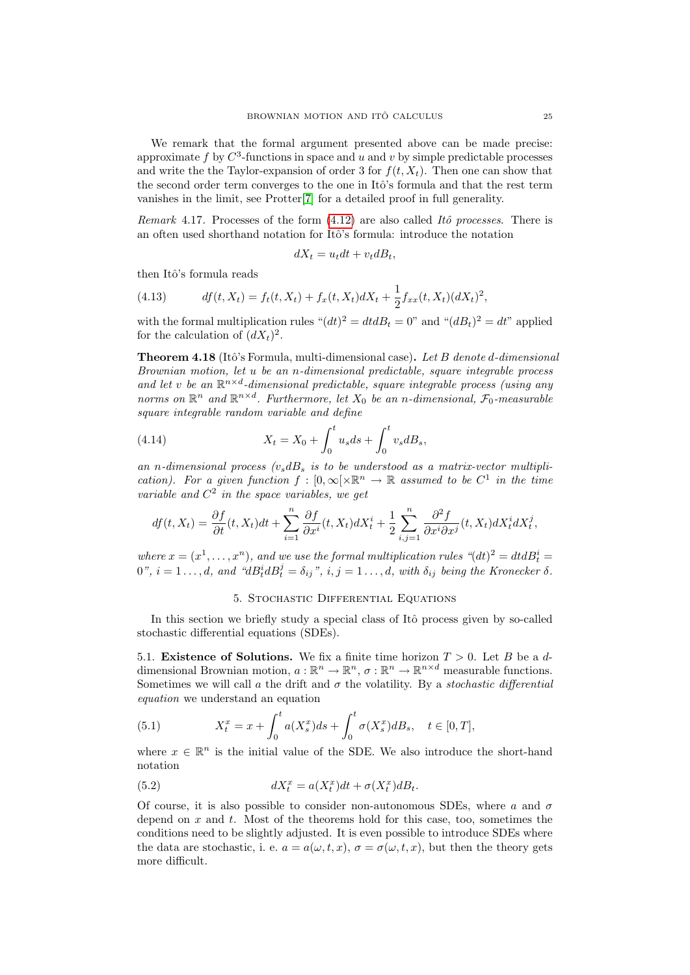We remark that the formal argument presented above can be made precise: approximate f by  $C^3$ -functions in space and u and v by simple predictable processes and write the the Taylor-expansion of order 3 for  $f(t, X_t)$ . Then one can show that the second order term converges to the one in Itô's formula and that the rest term vanishes in the limit, see Protter[\[7\]](#page-38-6) for a detailed proof in full generality.

Remark 4.17. Processes of the form  $(4.12)$  are also called Itô processes. There is an often used shorthand notation for Itô's formula: introduce the notation

$$
dX_t = u_t dt + v_t dB_t,
$$

then Itô's formula reads

(4.13) 
$$
df(t, X_t) = f_t(t, X_t) + f_x(t, X_t) dX_t + \frac{1}{2} f_{xx}(t, X_t) (dX_t)^2,
$$

with the formal multiplication rules " $(dt)^2 = dt dB_t = 0$ " and " $(dB_t)^2 = dt$ " applied for the calculation of  $(dX_t)^2$ .

**Theorem 4.18** (Itô's Formula, multi-dimensional case). Let B denote d-dimensional Brownian motion, let u be an n-dimensional predictable, square integrable process and let v be an  $\mathbb{R}^{n \times d}$ -dimensional predictable, square integrable process (using any norms on  $\mathbb{R}^n$  and  $\mathbb{R}^{n \times d}$ . Furthermore, let  $X_0$  be an n-dimensional,  $\mathcal{F}_0$ -measurable square integrable random variable and define

(4.14) 
$$
X_t = X_0 + \int_0^t u_s ds + \int_0^t v_s dB_s,
$$

an n-dimensional process  $(v_s dB_s$  is to be understood as a matrix-vector multiplication). For a given function  $f : [0, \infty[\times \mathbb{R}^n \to \mathbb{R}$  assumed to be  $C^1$  in the time variable and  $C^2$  in the space variables, we get

$$
df(t, X_t) = \frac{\partial f}{\partial t}(t, X_t)dt + \sum_{i=1}^n \frac{\partial f}{\partial x^i}(t, X_t)dX_t^i + \frac{1}{2}\sum_{i,j=1}^n \frac{\partial^2 f}{\partial x^i \partial x^j}(t, X_t)dX_t^i dX_t^j,
$$

where  $x = (x^1, \ldots, x^n)$ , and we use the formal multiplication rules  $\partial^2 u = dt d_t$  $0$ ",  $i = 1 \ldots, d$ , and " $dB_t^i dB_t^j = \delta_{ij}$ ",  $i, j = 1 \ldots, d$ , with  $\delta_{ij}$  being the Kronecker  $\delta$ .

## 5. Stochastic Differential Equations

<span id="page-24-0"></span>In this section we briefly study a special class of Itô process given by so-called stochastic differential equations (SDEs).

<span id="page-24-1"></span>5.1. **Existence of Solutions.** We fix a finite time horizon  $T > 0$ . Let B be a ddimensional Brownian motion,  $a : \mathbb{R}^n \to \mathbb{R}^n$ ,  $\sigma : \mathbb{R}^n \to \mathbb{R}^{n \times d}$  measurable functions. Sometimes we will call a the drift and  $\sigma$  the volatility. By a stochastic differential equation we understand an equation

<span id="page-24-2"></span>(5.1) 
$$
X_t^x = x + \int_0^t a(X_s^x)ds + \int_0^t \sigma(X_s^x)dB_s, \quad t \in [0, T],
$$

where  $x \in \mathbb{R}^n$  is the initial value of the SDE. We also introduce the short-hand notation

(5.2) 
$$
dX_t^x = a(X_t^x)dt + \sigma(X_t^x)dB_t.
$$

Of course, it is also possible to consider non-autonomous SDEs, where a and  $\sigma$ depend on  $x$  and  $t$ . Most of the theorems hold for this case, too, sometimes the conditions need to be slightly adjusted. It is even possible to introduce SDEs where the data are stochastic, i. e.  $a = a(\omega, t, x)$ ,  $\sigma = \sigma(\omega, t, x)$ , but then the theory gets more difficult.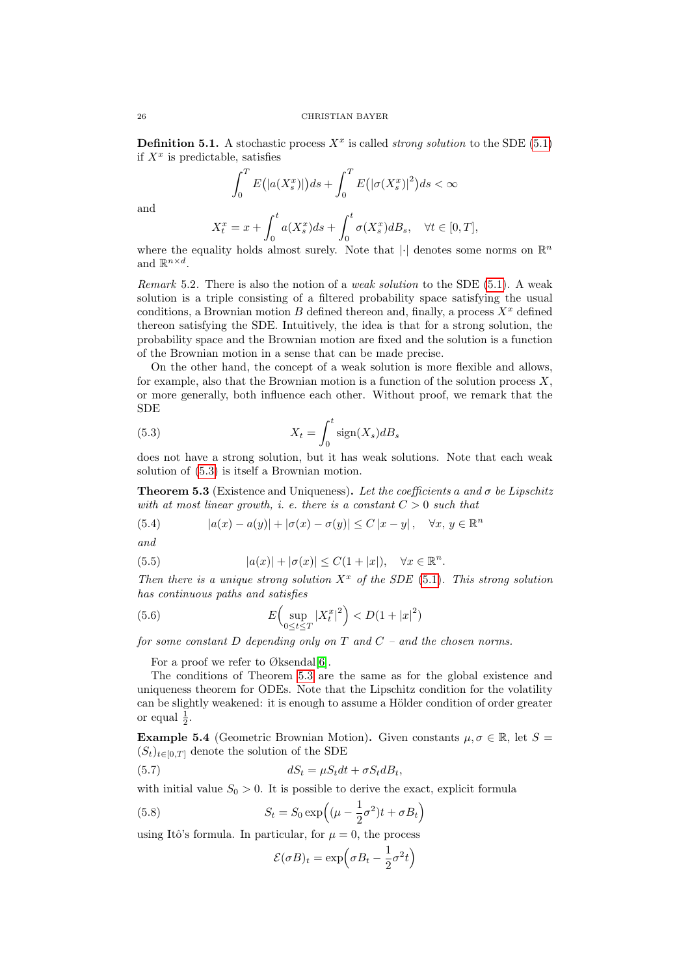**Definition 5.1.** A stochastic process  $X^x$  is called *strong solution* to the SDE [\(5.1\)](#page-24-2) if  $X^x$  is predictable, satisfies

$$
\int_0^T E(|a(X_s^x)|)ds + \int_0^T E(|\sigma(X_s^x)|^2)ds < \infty
$$

and

$$
X_t^x=x+\int_0^t a(X_s^x)ds+\int_0^t \sigma(X_s^x)dB_s,\quad \forall t\in [0,T],
$$

where the equality holds almost surely. Note that  $|\cdot|$  denotes some norms on  $\mathbb{R}^n$ and  $\mathbb{R}^{n \times d}$ .

Remark 5.2. There is also the notion of a *weak solution* to the SDE  $(5.1)$ . A weak solution is a triple consisting of a filtered probability space satisfying the usual conditions, a Brownian motion  $B$  defined thereon and, finally, a process  $X^x$  defined thereon satisfying the SDE. Intuitively, the idea is that for a strong solution, the probability space and the Brownian motion are fixed and the solution is a function of the Brownian motion in a sense that can be made precise.

On the other hand, the concept of a weak solution is more flexible and allows, for example, also that the Brownian motion is a function of the solution process  $X$ , or more generally, both influence each other. Without proof, we remark that the SDE

<span id="page-25-0"></span>(5.3) 
$$
X_t = \int_0^t \text{sign}(X_s) dB_s
$$

does not have a strong solution, but it has weak solutions. Note that each weak solution of [\(5.3\)](#page-25-0) is itself a Brownian motion.

<span id="page-25-1"></span>**Theorem 5.3** (Existence and Uniqueness). Let the coefficients a and  $\sigma$  be Lipschitz with at most linear growth, i. e. there is a constant  $C > 0$  such that

(5.4) 
$$
|a(x) - a(y)| + |\sigma(x) - \sigma(y)| \le C |x - y|, \quad \forall x, y \in \mathbb{R}^n
$$

and

(5.5) 
$$
|a(x)| + |\sigma(x)| \leq C(1+|x|), \quad \forall x \in \mathbb{R}^n.
$$

Then there is a unique strong solution  $X^x$  of the SDE [\(5.1\)](#page-24-2). This strong solution has continuous paths and satisfies

(5.6) 
$$
E\left(\sup_{0 \le t \le T} |X_t^x|^2\right) < D(1+|x|^2)
$$

for some constant D depending only on  $T$  and  $C$  – and the chosen norms.

For a proof we refer to  $\emptyset$ ksendal[\[6\]](#page-38-7).

The conditions of Theorem [5.3](#page-25-1) are the same as for the global existence and uniqueness theorem for ODEs. Note that the Lipschitz condition for the volatility can be slightly weakened: it is enough to assume a Hölder condition of order greater or equal  $\frac{1}{2}$ .

**Example 5.4** (Geometric Brownian Motion). Given constants  $\mu, \sigma \in \mathbb{R}$ , let  $S =$  $(S_t)_{t\in[0,T]}$  denote the solution of the SDE

(5.7) 
$$
dS_t = \mu S_t dt + \sigma S_t dB_t,
$$

with initial value  $S_0 > 0$ . It is possible to derive the exact, explicit formula

(5.8) 
$$
S_t = S_0 \exp\left((\mu - \frac{1}{2}\sigma^2)t + \sigma B_t\right)
$$

using Itô's formula. In particular, for  $\mu = 0$ , the process

<span id="page-25-3"></span><span id="page-25-2"></span>
$$
\mathcal{E}(\sigma B)_t = \exp\left(\sigma B_t - \frac{1}{2}\sigma^2 t\right)
$$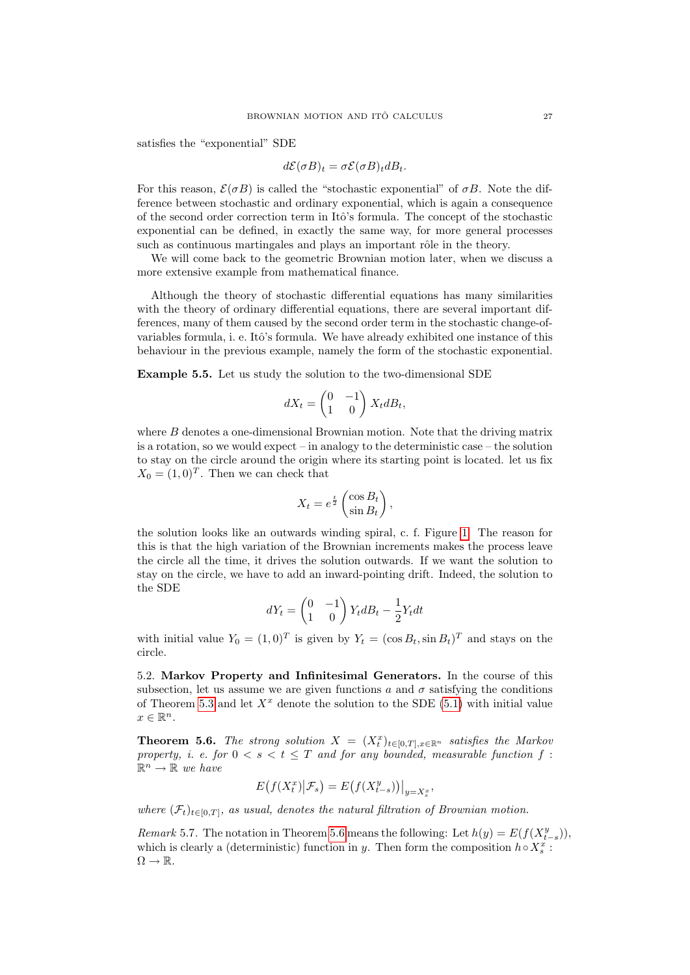satisfies the "exponential" SDE

$$
d\mathcal{E}(\sigma B)_t = \sigma \mathcal{E}(\sigma B)_t dB_t.
$$

For this reason,  $\mathcal{E}(\sigma B)$  is called the "stochastic exponential" of  $\sigma B$ . Note the difference between stochastic and ordinary exponential, which is again a consequence of the second order correction term in Itˆo's formula. The concept of the stochastic exponential can be defined, in exactly the same way, for more general processes such as continuous martingales and plays an important rôle in the theory.

We will come back to the geometric Brownian motion later, when we discuss a more extensive example from mathematical finance.

Although the theory of stochastic differential equations has many similarities with the theory of ordinary differential equations, there are several important differences, many of them caused by the second order term in the stochastic change-ofvariables formula, i. e. Itô's formula. We have already exhibited one instance of this behaviour in the previous example, namely the form of the stochastic exponential.

<span id="page-26-2"></span>Example 5.5. Let us study the solution to the two-dimensional SDE

$$
dX_t = \begin{pmatrix} 0 & -1 \\ 1 & 0 \end{pmatrix} X_t dB_t,
$$

where  $B$  denotes a one-dimensional Brownian motion. Note that the driving matrix is a rotation, so we would expect – in analogy to the deterministic case – the solution to stay on the circle around the origin where its starting point is located. let us fix  $X_0 = (1, 0)^T$ . Then we can check that

$$
X_t = e^{\frac{t}{2}} \begin{pmatrix} \cos B_t \\ \sin B_t \end{pmatrix},
$$

the solution looks like an outwards winding spiral, c. f. Figure [1.](#page-27-0) The reason for this is that the high variation of the Brownian increments makes the process leave the circle all the time, it drives the solution outwards. If we want the solution to stay on the circle, we have to add an inward-pointing drift. Indeed, the solution to the SDE

$$
dY_t = \begin{pmatrix} 0 & -1 \\ 1 & 0 \end{pmatrix} Y_t dB_t - \frac{1}{2} Y_t dt
$$

with initial value  $Y_0 = (1,0)^T$  is given by  $Y_t = (\cos B_t, \sin B_t)^T$  and stays on the circle.

<span id="page-26-0"></span>5.2. Markov Property and Infinitesimal Generators. In the course of this subsection, let us assume we are given functions a and  $\sigma$  satisfying the conditions of Theorem [5.3](#page-25-1) and let  $X^x$  denote the solution to the SDE [\(5.1\)](#page-24-2) with initial value  $x \in \mathbb{R}^n$ .

<span id="page-26-1"></span>**Theorem 5.6.** The strong solution  $X = (X_t^x)_{t \in [0,T], x \in \mathbb{R}^n}$  satisfies the Markov property, i. e. for  $0 \le s \le t \le T$  and for any bounded, measurable function f:  $\mathbb{R}^n \to \mathbb{R}$  we have

$$
E(f(X_t^x)|\mathcal{F}_s) = E(f(X_{t-s}^y))\big|_{y=X_s^x},
$$

where  $(\mathcal{F}_t)_{t\in[0,T]}$ , as usual, denotes the natural filtration of Brownian motion.

Remark 5.7. The notation in Theorem [5.6](#page-26-1) means the following: Let  $h(y) = E(f(X_{t-s}^y)),$ which is clearly a (deterministic) function in y. Then form the composition  $h \circ X_s^x$ :  $\Omega \to \mathbb{R}$ .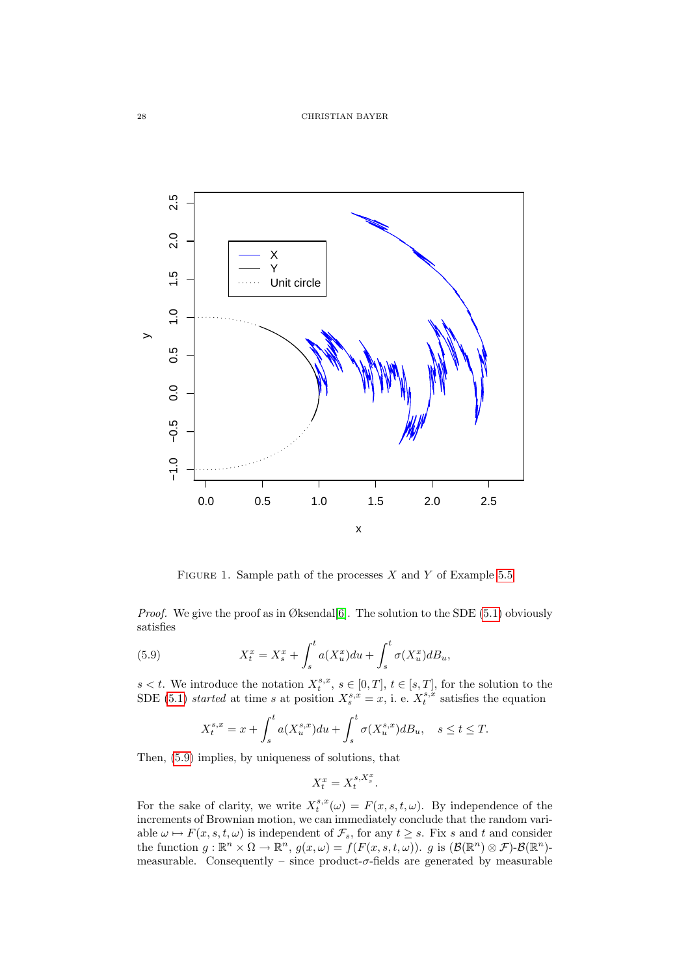

<span id="page-27-0"></span>FIGURE 1. Sample path of the processes  $X$  and  $Y$  of Example [5.5](#page-26-2)

*Proof.* We give the proof as in Øksendal[\[6\]](#page-38-7). The solution to the SDE  $(5.1)$  obviously satisfies

(5.9) 
$$
X_t^x = X_s^x + \int_s^t a(X_u^x) du + \int_s^t \sigma(X_u^x) dB_u,
$$

 $s < t$ . We introduce the notation  $X_t^{s,x}$ ,  $s \in [0,T]$ ,  $t \in [s,T]$ , for the solution to the SDE [\(5.1\)](#page-24-2) started at time s at position  $X_s^{s,x} = x$ , i. e.  $X_t^{s,x}$  satisfies the equation

<span id="page-27-1"></span>
$$
X_t^{s,x} = x + \int_s^t a(X_u^{s,x}) du + \int_s^t \sigma(X_u^{s,x}) dB_u, \quad s \le t \le T.
$$

Then, [\(5.9\)](#page-27-1) implies, by uniqueness of solutions, that

$$
X_t^x = X_t^{s, X_s^x}.
$$

For the sake of clarity, we write  $X_t^{s,x}(\omega) = F(x, s, t, \omega)$ . By independence of the increments of Brownian motion, we can immediately conclude that the random variable  $\omega \mapsto F(x, s, t, \omega)$  is independent of  $\mathcal{F}_s$ , for any  $t \geq s$ . Fix s and t and consider the function  $g: \mathbb{R}^n \times \Omega \to \mathbb{R}^n$ ,  $g(x,\omega) = f(F(x,s,t,\omega))$ . g is  $(\mathcal{B}(\mathbb{R}^n) \otimes \mathcal{F})$ - $\mathcal{B}(\mathbb{R}^n)$ measurable. Consequently – since product- $\sigma$ -fields are generated by measurable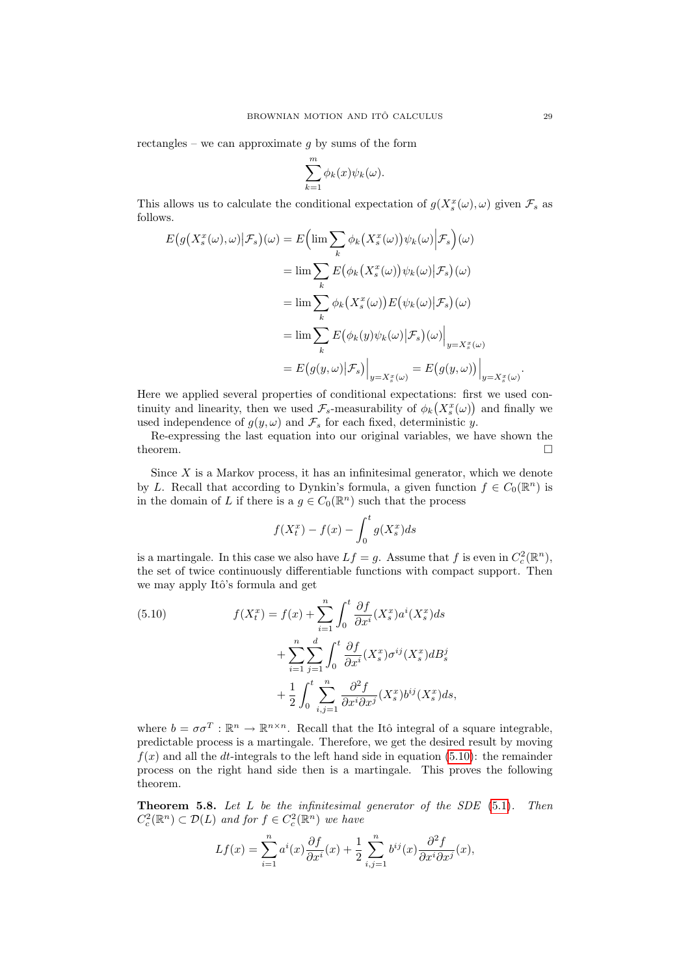rectangles – we can approximate  $q$  by sums of the form

$$
\sum_{k=1}^{m} \phi_k(x) \psi_k(\omega).
$$

This allows us to calculate the conditional expectation of  $g(X_s^x(\omega), \omega)$  given  $\mathcal{F}_s$  as follows.

$$
E(g(X_s^x(\omega), \omega)|\mathcal{F}_s)(\omega) = E\Big(\lim_{k} \sum_{k} \phi_k(X_s^x(\omega))\psi_k(\omega)|\mathcal{F}_s\Big)(\omega)
$$
  

$$
= \lim_{k} \sum_{k} E(\phi_k(X_s^x(\omega))\psi_k(\omega)|\mathcal{F}_s)(\omega)
$$
  

$$
= \lim_{k} \sum_{k} \phi_k(X_s^x(\omega))E(\psi_k(\omega)|\mathcal{F}_s)(\omega)
$$
  

$$
= \lim_{k} \sum_{k} E(\phi_k(y)\psi_k(\omega)|\mathcal{F}_s)(\omega)|_{y=X_s^x(\omega)}
$$
  

$$
= E(g(y, \omega)|\mathcal{F}_s)\Big|_{y=X_s^x(\omega)} = E(g(y, \omega))\Big|_{y=X_s^x(\omega)}
$$

Here we applied several properties of conditional expectations: first we used continuity and linearity, then we used  $\mathcal{F}_s$ -measurability of  $\phi_k(X_s^x(\omega))$  and finally we used independence of  $g(y, \omega)$  and  $\mathcal{F}_s$  for each fixed, deterministic y.

Re-expressing the last equation into our original variables, we have shown the theorem.  $\Box$ 

Since  $X$  is a Markov process, it has an infinitesimal generator, which we denote by L. Recall that according to Dynkin's formula, a given function  $f \in C_0(\mathbb{R}^n)$  is in the domain of L if there is a  $g \in C_0(\mathbb{R}^n)$  such that the process

$$
f(X_t^x) - f(x) - \int_0^t g(X_s^x)ds
$$

is a martingale. In this case we also have  $Lf = g$ . Assume that f is even in  $C_c^2(\mathbb{R}^n)$ , the set of twice continuously differentiable functions with compact support. Then we may apply Itô's formula and get

<span id="page-28-0"></span>(5.10) 
$$
f(X_t^x) = f(x) + \sum_{i=1}^n \int_0^t \frac{\partial f}{\partial x^i} (X_s^x) a^i (X_s^x) ds
$$

$$
+ \sum_{i=1}^n \sum_{j=1}^d \int_0^t \frac{\partial f}{\partial x^i} (X_s^x) \sigma^{ij} (X_s^x) dB_s^j
$$

$$
+ \frac{1}{2} \int_0^t \sum_{i,j=1}^n \frac{\partial^2 f}{\partial x^i \partial x^j} (X_s^x) b^{ij} (X_s^x) ds,
$$

where  $b = \sigma \sigma^T : \mathbb{R}^n \to \mathbb{R}^{n \times n}$ . Recall that the Itô integral of a square integrable, predictable process is a martingale. Therefore, we get the desired result by moving  $f(x)$  and all the dt-integrals to the left hand side in equation [\(5.10\)](#page-28-0): the remainder process on the right hand side then is a martingale. This proves the following theorem.

<span id="page-28-1"></span>**Theorem 5.8.** Let  $L$  be the infinitesimal generator of the SDE  $(5.1)$ . Then  $C_c^2(\mathbb{R}^n) \subset \mathcal{D}(L)$  and for  $f \in C_c^2(\mathbb{R}^n)$  we have

$$
Lf(x) = \sum_{i=1}^{n} a^{i}(x) \frac{\partial f}{\partial x^{i}}(x) + \frac{1}{2} \sum_{i,j=1}^{n} b^{ij}(x) \frac{\partial^{2} f}{\partial x^{i} \partial x^{j}}(x),
$$

.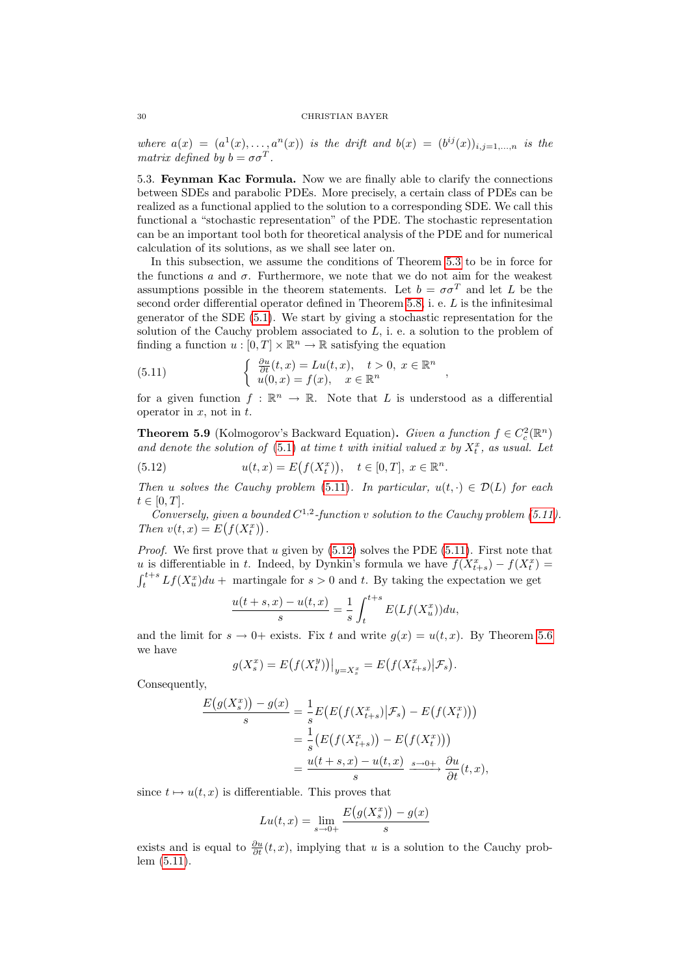where  $a(x) = (a^1(x), \ldots, a^n(x))$  is the drift and  $b(x) = (b^{ij}(x))_{i,j=1,\ldots,n}$  is the matrix defined by  $b = \sigma \sigma^T$ .

<span id="page-29-0"></span>5.3. Feynman Kac Formula. Now we are finally able to clarify the connections between SDEs and parabolic PDEs. More precisely, a certain class of PDEs can be realized as a functional applied to the solution to a corresponding SDE. We call this functional a "stochastic representation" of the PDE. The stochastic representation can be an important tool both for theoretical analysis of the PDE and for numerical calculation of its solutions, as we shall see later on.

In this subsection, we assume the conditions of Theorem [5.3](#page-25-1) to be in force for the functions a and  $\sigma$ . Furthermore, we note that we do not aim for the weakest assumptions possible in the theorem statements. Let  $b = \sigma \sigma^T$  and let L be the second order differential operator defined in Theorem [5.8,](#page-28-1) i. e. L is the infinitesimal generator of the SDE [\(5.1\)](#page-24-2). We start by giving a stochastic representation for the solution of the Cauchy problem associated to  $L$ , i. e. a solution to the problem of finding a function  $u : [0, T] \times \mathbb{R}^n \to \mathbb{R}$  satisfying the equation

<span id="page-29-1"></span>(5.11) 
$$
\begin{cases} \frac{\partial u}{\partial t}(t,x) = Lu(t,x), & t > 0, x \in \mathbb{R}^n \\ u(0,x) = f(x), & x \in \mathbb{R}^n \end{cases}
$$

for a given function  $f : \mathbb{R}^n \to \mathbb{R}$ . Note that L is understood as a differential operator in  $x$ , not in  $t$ .

<span id="page-29-3"></span>**Theorem 5.9** (Kolmogorov's Backward Equation). Given a function  $f \in C_c^2(\mathbb{R}^n)$ and denote the solution of  $(5.1)$  at time t with initial valued x by  $X_t^x$ , as usual. Let

<span id="page-29-2"></span>(5.12) 
$$
u(t,x) = E(f(X_t^x)), \quad t \in [0,T], \ x \in \mathbb{R}^n.
$$

Then u solves the Cauchy problem [\(5.11\)](#page-29-1). In particular,  $u(t, \cdot) \in \mathcal{D}(L)$  for each  $t \in [0, T]$ .

Conversely, given a bounded  $C^{1,2}$ -function v solution to the Cauchy problem [\(5.11\)](#page-29-1). Then  $v(t, x) = E(f(X_t^x)).$ 

*Proof.* We first prove that u given by  $(5.12)$  solves the PDE  $(5.11)$ . First note that u is differentiable in t. Indeed, by Dynkin's formula we have  $f(X_{t+s}^x) - f(X_t^x) =$  $\int_{t}^{t+s} Lf(X_u^x) du +$  martingale for  $s > 0$  and t. By taking the expectation we get

$$
\frac{u(t+s,x) - u(t,x)}{s} = \frac{1}{s} \int_{t}^{t+s} E(Lf(X_u^x)) du,
$$

and the limit for  $s \to 0^+$  exists. Fix t and write  $g(x) = u(t, x)$ . By Theorem [5.6](#page-26-1) we have

$$
g(X_s^x) = E(f(X_t^y))|_{y=X_s^x} = E(f(X_{t+s}^x)|\mathcal{F}_s).
$$

Consequently,

$$
\frac{E(g(X_s^x)) - g(x)}{s} = \frac{1}{s}E\big(E\big(f(X_{t+s}^x)|\mathcal{F}_s\big) - E\big(f(X_t^x)\big)\big)
$$

$$
= \frac{1}{s}\big(E\big(f(X_{t+s}^x)\big) - E\big(f(X_t^x)\big)\big)
$$

$$
= \frac{u(t+s,x) - u(t,x)}{s} \xrightarrow{s \to 0+} \frac{\partial u}{\partial t}(t,x),
$$

since  $t \mapsto u(t, x)$  is differentiable. This proves that

$$
Lu(t, x) = \lim_{s \to 0+} \frac{E(g(X_s^x)) - g(x)}{s}
$$

exists and is equal to  $\frac{\partial u}{\partial t}(t, x)$ , implying that u is a solution to the Cauchy problem [\(5.11\)](#page-29-1).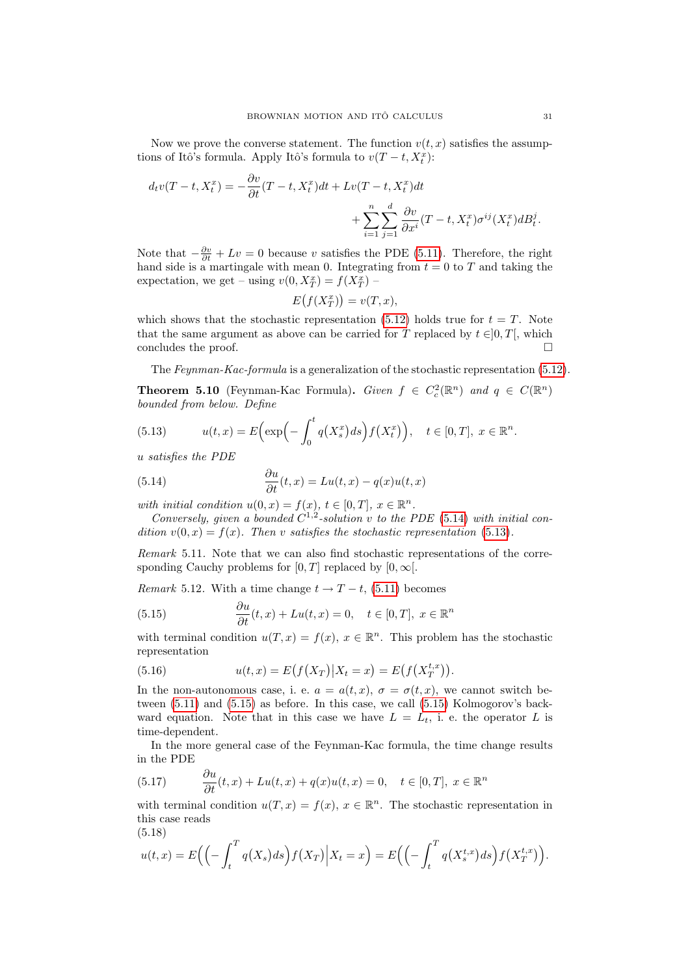Now we prove the converse statement. The function  $v(t, x)$  satisfies the assumptions of Itô's formula. Apply Itô's formula to  $v(T - t, X_t^x)$ :

$$
d_t v(T - t, X_t^x) = -\frac{\partial v}{\partial t}(T - t, X_t^x)dt + Lv(T - t, X_t^x)dt + \sum_{i=1}^n \sum_{j=1}^d \frac{\partial v}{\partial x^i}(T - t, X_t^x)\sigma^{ij}(X_t^x)dB_t^j.
$$

Note that  $-\frac{\partial v}{\partial t} + Lv = 0$  because v satisfies the PDE [\(5.11\)](#page-29-1). Therefore, the right hand side is a martingale with mean 0. Integrating from  $t = 0$  to T and taking the expectation, we get – using  $v(0, X_T^x) = f(X_T^x)$  –

$$
E(f(X_T^x)) = v(T, x),
$$

which shows that the stochastic representation [\(5.12\)](#page-29-2) holds true for  $t = T$ . Note that the same argument as above can be carried for T replaced by  $t \in ]0, T[$ , which concludes the proof.  $\Box$ 

The Feynman-Kac-formula is a generalization of the stochastic representation [\(5.12\)](#page-29-2).

**Theorem 5.10** (Feynman-Kac Formula). Given  $f \in C_c^2(\mathbb{R}^n)$  and  $q \in C(\mathbb{R}^n)$ bounded from below. Define

<span id="page-30-1"></span>(5.13) 
$$
u(t,x) = E\Big(\exp\Big(-\int_0^t q\big(X_s^x\big)ds\Big) f\big(X_t^x\big)\Big), \quad t \in [0,T], \ x \in \mathbb{R}^n.
$$

u satisfies the PDE

<span id="page-30-0"></span>(5.14) 
$$
\frac{\partial u}{\partial t}(t,x) = Lu(t,x) - q(x)u(t,x)
$$

with initial condition  $u(0, x) = f(x), t \in [0, T], x \in \mathbb{R}^n$ .

Conversely, given a bounded  $C^{1,2}$ -solution v to the PDE [\(5.14\)](#page-30-0) with initial condition  $v(0, x) = f(x)$ . Then v satisfies the stochastic representation [\(5.13\)](#page-30-1).

Remark 5.11. Note that we can also find stochastic representations of the corresponding Cauchy problems for [0, T] replaced by [0,  $\infty$ [.

Remark 5.12. With a time change  $t \to T - t$ , [\(5.11\)](#page-29-1) becomes

<span id="page-30-2"></span>(5.15) 
$$
\frac{\partial u}{\partial t}(t,x) + Lu(t,x) = 0, \quad t \in [0,T], \ x \in \mathbb{R}^n
$$

with terminal condition  $u(T, x) = f(x), x \in \mathbb{R}^n$ . This problem has the stochastic representation

(5.16) 
$$
u(t,x) = E(f(X_T)|X_t = x) = E(f(X_T^{t,x}))
$$

In the non-autonomous case, i. e.  $a = a(t, x)$ ,  $\sigma = \sigma(t, x)$ , we cannot switch between [\(5.11\)](#page-29-1) and [\(5.15\)](#page-30-2) as before. In this case, we call [\(5.15\)](#page-30-2) Kolmogorov's backward equation. Note that in this case we have  $L = L_t$ , i. e. the operator L is time-dependent.

In the more general case of the Feynman-Kac formula, the time change results in the PDE

<span id="page-30-4"></span>(5.17) 
$$
\frac{\partial u}{\partial t}(t,x) + Lu(t,x) + q(x)u(t,x) = 0, \quad t \in [0,T], \ x \in \mathbb{R}^n
$$

with terminal condition  $u(T, x) = f(x), x \in \mathbb{R}^n$ . The stochastic representation in this case reads (5.18)

<span id="page-30-3"></span>
$$
u(t,x) = E\Big(\Big(-\int_t^T q(X_s)ds\Big) f(X_T)\Big|X_t = x\Big) = E\Big(\Big(-\int_t^T q(X_s^{t,x})ds\Big) f(X_T^{t,x})\Big).
$$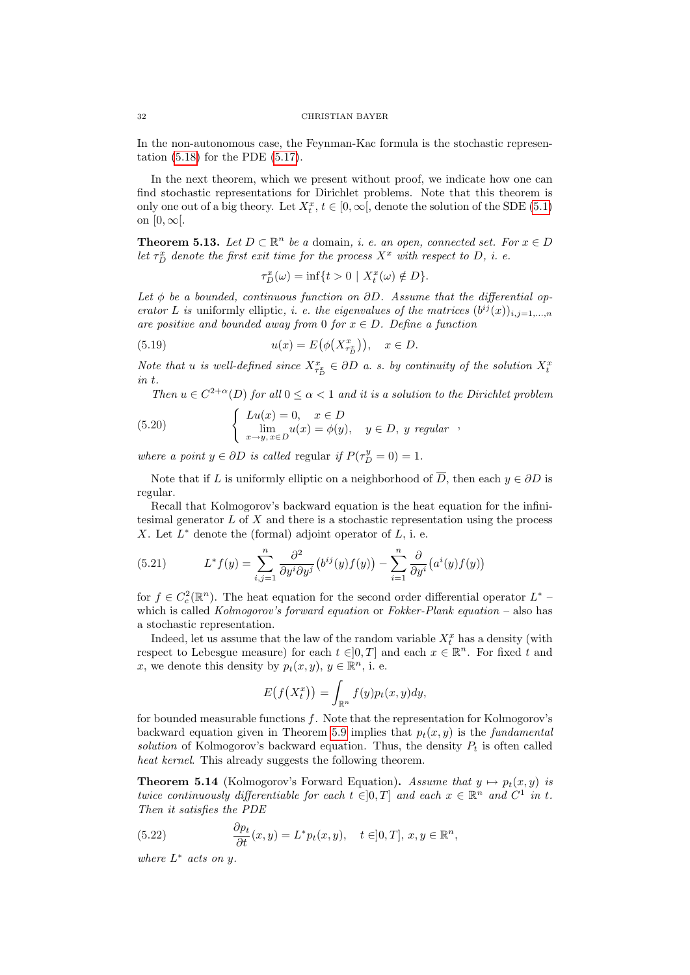In the non-autonomous case, the Feynman-Kac formula is the stochastic representation [\(5.18\)](#page-30-3) for the PDE [\(5.17\)](#page-30-4).

In the next theorem, which we present without proof, we indicate how one can find stochastic representations for Dirichlet problems. Note that this theorem is only one out of a big theory. Let  $X_t^x$ ,  $t \in [0, \infty[$ , denote the solution of the SDE [\(5.1\)](#page-24-2) on  $[0,\infty[$ .

**Theorem 5.13.** Let  $D \subset \mathbb{R}^n$  be a domain, i. e. an open, connected set. For  $x \in D$ let  $\tau_D^x$  denote the first exit time for the process  $X^x$  with respect to D, i. e.

$$
\tau_D^x(\omega) = \inf\{t > 0 \mid X_t^x(\omega) \notin D\}.
$$

Let  $\phi$  be a bounded, continuous function on  $\partial D$ . Assume that the differential operator L is uniformly elliptic, *i. e. the eigenvalues of the matrices*  $(b^{ij}(x))_{i,j=1,\dots,n}$ are positive and bounded away from 0 for  $x \in D$ . Define a function

(5.19) 
$$
u(x) = E\big(\phi\big(X_{\tau_D^x}^x\big)\big), \quad x \in D.
$$

Note that u is well-defined since  $X_{\tau_D^x}^x \in \partial D$  a.s. by continuity of the solution  $X_t^x$ in t.

Then  $u \in C^{2+\alpha}(D)$  for all  $0 \leq \alpha < 1$  and it is a solution to the Dirichlet problem  $\int Lu(x) = 0, \quad x \in D$ 

(5.20) 
$$
\begin{cases} Lu(x) = 0, & x \in D \\ \lim_{x \to y, x \in D} u(x) = \phi(y), & y \in D, y \; regular \end{cases}
$$

where a point  $y \in \partial D$  is called regular if  $P(\tau_D^y = 0) = 1$ .

Note that if L is uniformly elliptic on a neighborhood of  $\overline{D}$ , then each  $y \in \partial D$  is regular.

Recall that Kolmogorov's backward equation is the heat equation for the infinitesimal generator  $L$  of  $X$  and there is a stochastic representation using the process X. Let  $L^*$  denote the (formal) adjoint operator of  $L$ , i. e.

(5.21) 
$$
L^* f(y) = \sum_{i,j=1}^n \frac{\partial^2}{\partial y^i \partial y^j} \left( b^{ij}(y) f(y) \right) - \sum_{i=1}^n \frac{\partial}{\partial y^i} \left( a^i(y) f(y) \right)
$$

for  $f \in C_c^2(\mathbb{R}^n)$ . The heat equation for the second order differential operator  $L^*$  which is called *Kolmogorov's forward equation* or  $Fokker-Plank$  equation – also has a stochastic representation.

Indeed, let us assume that the law of the random variable  $X_t^x$  has a density (with respect to Lebesgue measure) for each  $t \in ]0,T]$  and each  $x \in \mathbb{R}^n$ . For fixed t and x, we denote this density by  $p_t(x, y), y \in \mathbb{R}^n$ , i. e.

$$
E(f(X_t^x)) = \int_{\mathbb{R}^n} f(y) p_t(x, y) dy,
$$

for bounded measurable functions  $f$ . Note that the representation for Kolmogorov's backward equation given in Theorem [5.9](#page-29-3) implies that  $p_t(x, y)$  is the *fundamental* solution of Kolmogorov's backward equation. Thus, the density  $P_t$  is often called heat kernel. This already suggests the following theorem.

<span id="page-31-0"></span>**Theorem 5.14** (Kolmogorov's Forward Equation). Assume that  $y \mapsto p_t(x, y)$  is twice continuously differentiable for each  $t \in ]0,T]$  and each  $x \in \mathbb{R}^n$  and  $C^1$  in t. Then it satisfies the PDE

(5.22) 
$$
\frac{\partial p_t}{\partial t}(x,y) = L^* p_t(x,y), \quad t \in ]0,T], x, y \in \mathbb{R}^n,
$$

where  $L^*$  acts on y.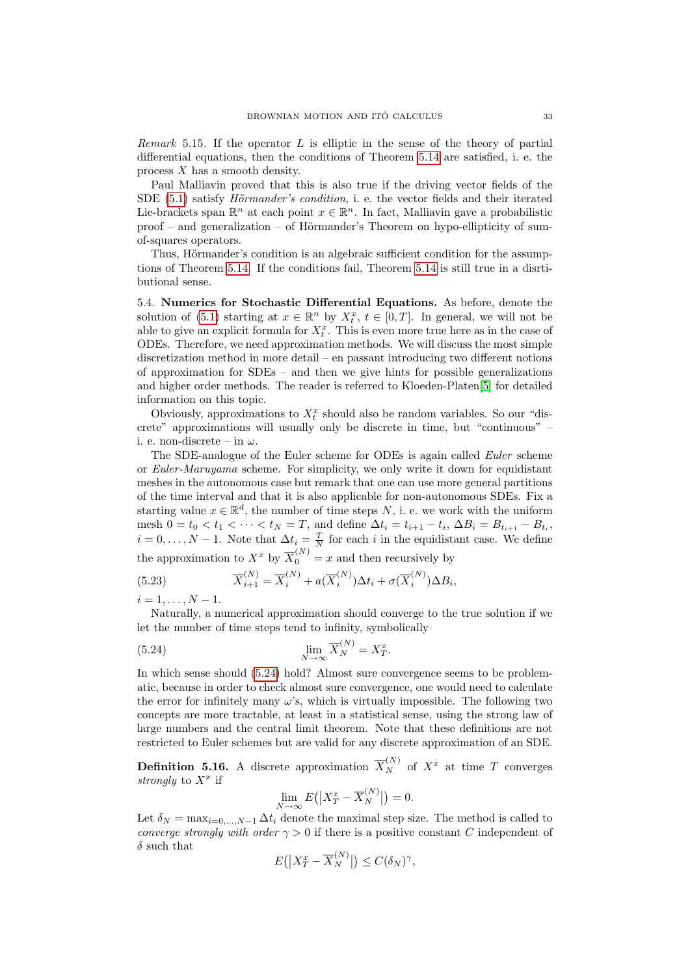Remark 5.15. If the operator L is elliptic in the sense of the theory of partial differential equations, then the conditions of Theorem [5.14](#page-31-0) are satisfied, i. e. the process X has a smooth density.

Paul Malliavin proved that this is also true if the driving vector fields of the SDE  $(5.1)$  satisfy *Hörmander's condition*, i. e. the vector fields and their iterated Lie-brackets span  $\mathbb{R}^n$  at each point  $x \in \mathbb{R}^n$ . In fact, Malliavin gave a probabilistic  $proof$  – and generalization – of Hörmander's Theorem on hypo-ellipticity of sumof-squares operators.

Thus, Hörmander's condition is an algebraic sufficient condition for the assumptions of Theorem [5.14.](#page-31-0) If the conditions fail, Theorem [5.14](#page-31-0) is still true in a disrtibutional sense.

<span id="page-32-0"></span>5.4. Numerics for Stochastic Differential Equations. As before, denote the solution of [\(5.1\)](#page-24-2) starting at  $x \in \mathbb{R}^n$  by  $X_t^x$ ,  $t \in [0,T]$ . In general, we will not be able to give an explicit formula for  $X_t^x$ . This is even more true here as in the case of ODEs. Therefore, we need approximation methods. We will discuss the most simple discretization method in more detail – en passant introducing two different notions of approximation for SDEs – and then we give hints for possible generalizations and higher order methods. The reader is referred to Kloeden-Platen[\[5\]](#page-38-8) for detailed information on this topic.

Obviously, approximations to  $X_t^x$  should also be random variables. So our "discrete" approximations will usually only be discrete in time, but "continuous" – i. e. non-discrete – in  $\omega$ .

The SDE-analogue of the Euler scheme for ODEs is again called Euler scheme or Euler-Maruyama scheme. For simplicity, we only write it down for equidistant meshes in the autonomous case but remark that one can use more general partitions of the time interval and that it is also applicable for non-autonomous SDEs. Fix a starting value  $x \in \mathbb{R}^d$ , the number of time steps N, i. e. we work with the uniform mesh  $0 = t_0 < t_1 < \cdots < t_N = T$ , and define  $\Delta t_i = t_{i+1} - t_i$ ,  $\Delta B_i = B_{t_{i+1}} - B_{t_i}$ ,  $i = 0, \ldots, N - 1$ . Note that  $\Delta t_i = \frac{T}{N}$  for each i in the equidistant case. We define the approximation to  $X^x$  by  $\overline{X}_0^{(N)} = x$  and then recursively by

(5.23) 
$$
\overline{X}_{i+1}^{(N)} = \overline{X}_i^{(N)} + a(\overline{X}_i^{(N)})\Delta t_i + \sigma(\overline{X}_i^{(N)})\Delta B_i,
$$

 $i = 1, \ldots, N - 1.$ 

Naturally, a numerical approximation should converge to the true solution if we let the number of time steps tend to infinity, symbolically

(5.24) 
$$
\lim_{N \to \infty} \overline{X}_N^{(N)} = X_T^x.
$$

In which sense should [\(5.24\)](#page-32-1) hold? Almost sure convergence seems to be problematic, because in order to check almost sure convergence, one would need to calculate the error for infinitely many  $\omega$ 's, which is virtually impossible. The following two concepts are more tractable, at least in a statistical sense, using the strong law of large numbers and the central limit theorem. Note that these definitions are not restricted to Euler schemes but are valid for any discrete approximation of an SDE.

**Definition 5.16.** A discrete approximation  $\overline{X}_{N}^{(N)}$  of  $X^{x}$  at time T converges strongly to  $X^x$  if

<span id="page-32-1"></span>
$$
\lim_{N \to \infty} E(|X_T^x - \overline{X}_N^{(N)}|) = 0.
$$

Let  $\delta_N = \max_{i=0,\dots,N-1} \Delta t_i$  denote the maximal step size. The method is called to converge strongly with order  $\gamma > 0$  if there is a positive constant C independent of  $\delta$  such that

$$
E(|X_T^x - \overline{X}_N^{(N)}|) \le C(\delta_N)^\gamma,
$$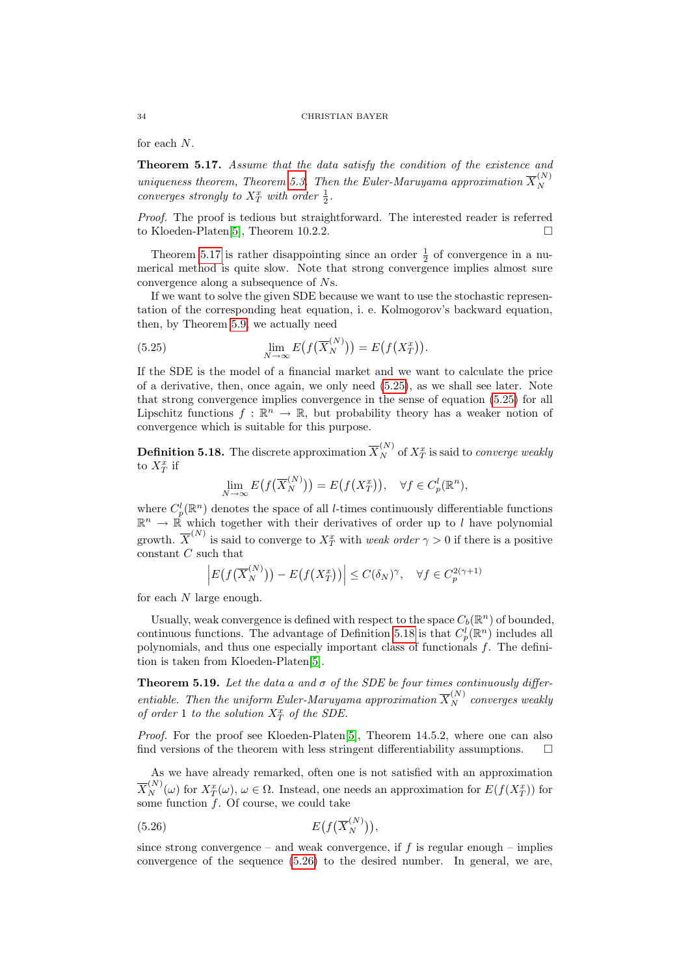for each N.

<span id="page-33-0"></span>Theorem 5.17. Assume that the data satisfy the condition of the existence and uniqueness theorem, Theorem [5.3.](#page-25-1) Then the Euler-Maruyama approximation  $\overline{X}_{N}^{(N)}$ N converges strongly to  $X_T^x$  with order  $\frac{1}{2}$ .

Proof. The proof is tedious but straightforward. The interested reader is referred to Kloeden-Platen[\[5\]](#page-38-8), Theorem 10.2.2.

Theorem [5.17](#page-33-0) is rather disappointing since an order  $\frac{1}{2}$  of convergence in a numerical method is quite slow. Note that strong convergence implies almost sure convergence along a subsequence of Ns.

If we want to solve the given SDE because we want to use the stochastic representation of the corresponding heat equation, i. e. Kolmogorov's backward equation, then, by Theorem [5.9,](#page-29-3) we actually need

<span id="page-33-1"></span>(5.25) 
$$
\lim_{N \to \infty} E(f(\overline{X}_N^{(N)})) = E(f(X_T^x)).
$$

If the SDE is the model of a financial market and we want to calculate the price of a derivative, then, once again, we only need [\(5.25\)](#page-33-1), as we shall see later. Note that strong convergence implies convergence in the sense of equation [\(5.25\)](#page-33-1) for all Lipschitz functions  $f : \mathbb{R}^n \to \mathbb{R}$ , but probability theory has a weaker notion of convergence which is suitable for this purpose.

<span id="page-33-2"></span>**Definition 5.18.** The discrete approximation  $\overline{X}_N^{(N)}$  of  $X_T^x$  is said to *converge weakly* to  $X_T^x$  if

$$
\lim_{N \to \infty} E(f(\overline{X}_N^{(N)})) = E(f(X_T^x)), \quad \forall f \in C_p^l(\mathbb{R}^n),
$$

where  $C_p^l(\mathbb{R}^n)$  denotes the space of all *l*-times continuously differentiable functions  $\mathbb{R}^n \to \mathbb{R}$  which together with their derivatives of order up to l have polynomial growth.  $\overline{X}^{(N)}$  is said to converge to  $X_T^x$  with *weak order*  $\gamma > 0$  if there is a positive constant C such that

$$
\left| E\big(f\big(\overline{X}_{N}^{(N)}\big)\big) - E\big(f\big(X_{T}^{x}\big)\big) \right| \leq C(\delta_{N})^{\gamma}, \quad \forall f \in C_{p}^{2(\gamma+1)}
$$

for each N large enough.

Usually, weak convergence is defined with respect to the space  $C_b(\mathbb{R}^n)$  of bounded, continuous functions. The advantage of Definition [5.18](#page-33-2) is that  $C_p^l(\mathbb{R}^n)$  includes all polynomials, and thus one especially important class of functionals f. The definition is taken from Kloeden-Platen[\[5\]](#page-38-8).

<span id="page-33-4"></span>**Theorem 5.19.** Let the data a and  $\sigma$  of the SDE be four times continuously differentiable. Then the uniform Euler-Maruyama approximation  $\overline{X}_N^{(N)}$  converges weakly of order 1 to the solution  $X^x_T$  of the SDE.

Proof. For the proof see Kloeden-Platen<sup>[\[5\]](#page-38-8)</sup>, Theorem 14.5.2, where one can also find versions of the theorem with less stringent differentiability assumptions.  $\Box$ 

As we have already remarked, often one is not satisfied with an approximation  $\overline{X}_{N}^{(N)}(\omega)$  for  $X_{T}^{x}(\omega)$ ,  $\omega \in \Omega$ . Instead, one needs an approximation for  $E(f(X_{T}^{x}))$  for some function  $\overline{f}$ . Of course, we could take

<span id="page-33-3"></span>
$$
(5.26)\qquad \qquad E\big(f\big(\overline{X}_N^{(N)}\big)\big),
$$

since strong convergence – and weak convergence, if  $f$  is regular enough – implies convergence of the sequence [\(5.26\)](#page-33-3) to the desired number. In general, we are,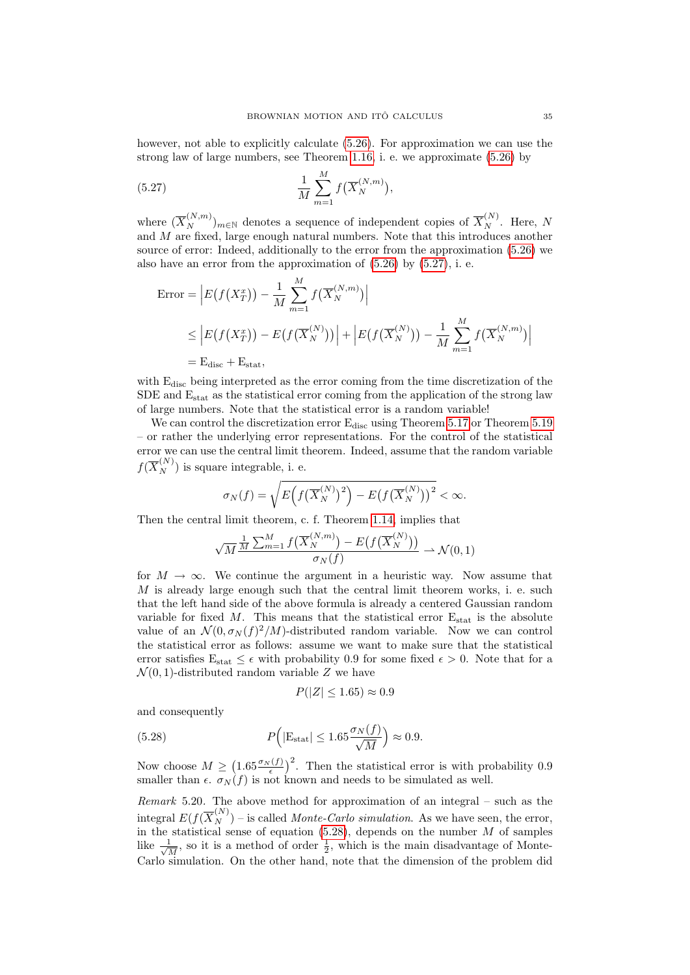however, not able to explicitly calculate  $(5.26)$ . For approximation we can use the strong law of large numbers, see Theorem [1.16,](#page-4-1) i. e. we approximate [\(5.26\)](#page-33-3) by

<span id="page-34-0"></span>(5.27) 
$$
\frac{1}{M} \sum_{m=1}^{M} f(\overline{X}_{N}^{(N,m)}),
$$

where  $(\overline{X}_{N}^{(N,m)})_{m\in\mathbb{N}}$  denotes a sequence of independent copies of  $\overline{X}_{N}^{(N)}$ . Here, N and M are fixed, large enough natural numbers. Note that this introduces another source of error: Indeed, additionally to the error from the approximation [\(5.26\)](#page-33-3) we also have an error from the approximation of  $(5.26)$  by  $(5.27)$ , i. e.

$$
\begin{aligned} \text{Error} &= \left| E(f(X_T^x)) - \frac{1}{M} \sum_{m=1}^M f(\overline{X}_N^{(N,m)}) \right| \\ &\le \left| E(f(X_T^x)) - E(f(\overline{X}_N^{(N)})) \right| + \left| E(f(\overline{X}_N^{(N)})) - \frac{1}{M} \sum_{m=1}^M f(\overline{X}_N^{(N,m)}) \right| \\ &= \text{E}_{\text{disc}} + \text{E}_{\text{stat}}, \end{aligned}
$$

with  $E_{disc}$  being interpreted as the error coming from the time discretization of the SDE and  $E_{stat}$  as the statistical error coming from the application of the strong law of large numbers. Note that the statistical error is a random variable!

We can control the discretization error  $E_{disc}$  using Theorem [5.17](#page-33-0) or Theorem [5.19](#page-33-4) – or rather the underlying error representations. For the control of the statistical error we can use the central limit theorem. Indeed, assume that the random variable  $f(\overline{X}_{N}^{(N)})$  is square integrable, i. e.

$$
\sigma_N(f) = \sqrt{E\left(f\left(\overline{X}_N^{(N)}\right)^2\right) - E\left(f\left(\overline{X}_N^{(N)}\right)\right)^2} < \infty.
$$

Then the central limit theorem, c. f. Theorem [1.14,](#page-4-2) implies that

$$
\sqrt{M} \frac{\frac{1}{M} \sum_{m=1}^{M} f\left(\overline{X}_{N}^{(N,m)}\right) - E\left(f\left(\overline{X}_{N}^{(N)}\right)\right)}{\sigma_{N}(f)} \longrightarrow \mathcal{N}(0, 1)
$$

for  $M \to \infty$ . We continue the argument in a heuristic way. Now assume that  $M$  is already large enough such that the central limit theorem works, i. e. such that the left hand side of the above formula is already a centered Gaussian random variable for fixed M. This means that the statistical error  $E_{stat}$  is the absolute value of an  $\mathcal{N}(0, \sigma_N(f)^2/M)$ -distributed random variable. Now we can control the statistical error as follows: assume we want to make sure that the statistical error satisfies  $E_{stat} \leq \epsilon$  with probability 0.9 for some fixed  $\epsilon > 0$ . Note that for a  $\mathcal{N}(0, 1)$ -distributed random variable Z we have

<span id="page-34-1"></span>
$$
P(|Z| \le 1.65) \approx 0.9
$$

and consequently

(5.28) 
$$
P(|\mathbf{E}_{\text{stat}}| \le 1.65 \frac{\sigma_N(f)}{\sqrt{M}}) \approx 0.9.
$$

Now choose  $M \geq \left(1.65 \frac{\sigma_N(f)}{\epsilon}\right)^2$ . Then the statistical error is with probability 0.9 smaller than  $\epsilon$ .  $\sigma_N(f)$  is not known and needs to be simulated as well.

Remark 5.20. The above method for approximation of an integral – such as the integral  $E(f(\overline{X}_{N}^{(N)})$  – is called *Monte-Carlo simulation*. As we have seen, the error, in the statistical sense of equation  $(5.28)$ , depends on the number M of samples like  $\frac{1}{\sqrt{2}}$  $\frac{1}{M}$ , so it is a method of order  $\frac{1}{2}$ , which is the main disadvantage of Monte-Carlo simulation. On the other hand, note that the dimension of the problem did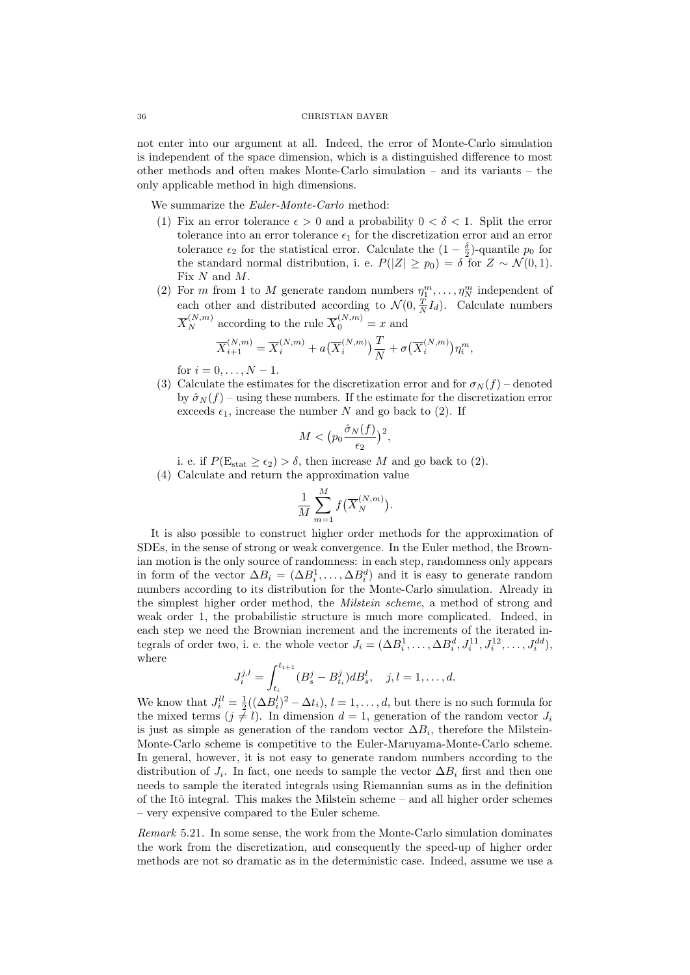not enter into our argument at all. Indeed, the error of Monte-Carlo simulation is independent of the space dimension, which is a distinguished difference to most other methods and often makes Monte-Carlo simulation – and its variants – the only applicable method in high dimensions.

We summarize the Euler-Monte-Carlo method:

- (1) Fix an error tolerance  $\epsilon > 0$  and a probability  $0 < \delta < 1$ . Split the error tolerance into an error tolerance  $\epsilon_1$  for the discretization error and an error tolerance  $\epsilon_2$  for the statistical error. Calculate the  $(1 - \frac{\delta}{2})$ -quantile  $p_0$  for the standard normal distribution, i. e.  $P(|Z| \geq p_0) = \delta$  for  $Z \sim \mathcal{N}(0, 1)$ . Fix N and M.
- (2) For *m* from 1 to *M* generate random numbers  $\eta_1^m, \ldots, \eta_N^m$  independent of each other and distributed according to  $\mathcal{N}(0, \frac{T}{N}I_d)$ . Calculate numbers  $\overline{X}_{N}^{(N,m)}$  according to the rule  $\overline{X}_{0}^{(N,m)}=x$  and

$$
\overline{X}_{i+1}^{(N,m)} = \overline{X}_i^{(N,m)} + a(\overline{X}_i^{(N,m)})\frac{T}{N} + \sigma(\overline{X}_i^{(N,m)})\eta_i^m,
$$

for  $i = 0, ..., N - 1$ .

(3) Calculate the estimates for the discretization error and for  $\sigma_N(f)$  – denoted by  $\hat{\sigma}_N(f)$  – using these numbers. If the estimate for the discretization error exceeds  $\epsilon_1$ , increase the number N and go back to (2). If

$$
M < (p_0 \frac{\hat{\sigma}_N(f)}{\epsilon_2})^2,
$$

i. e. if  $P(\mathrm{E}_{\mathrm{stat}} \geq \epsilon_2) > \delta$ , then increase M and go back to (2).

(4) Calculate and return the approximation value

$$
\frac{1}{M} \sum_{m=1}^{M} f\left(\overline{X}_{N}^{(N,m)}\right).
$$

It is also possible to construct higher order methods for the approximation of SDEs, in the sense of strong or weak convergence. In the Euler method, the Brownian motion is the only source of randomness: in each step, randomness only appears in form of the vector  $\Delta B_i = (\Delta B_i^1, \ldots, \Delta B_i^d)$  and it is easy to generate random numbers according to its distribution for the Monte-Carlo simulation. Already in the simplest higher order method, the Milstein scheme, a method of strong and weak order 1, the probabilistic structure is much more complicated. Indeed, in each step we need the Brownian increment and the increments of the iterated integrals of order two, i. e. the whole vector  $J_i = (\Delta B_i^1, \ldots, \Delta B_i^d, J_i^{11}, J_i^{12}, \ldots, J_i^{dd})$ , where

$$
J_i^{j,l} = \int_{t_i}^{t_{i+1}} (B_s^j - B_{t_i}^j) dB_s^l, \quad j, l = 1, \dots, d.
$$

We know that  $J_i^{ll} = \frac{1}{2}((\Delta B_i^l)^2 - \Delta t_i), l = 1, \ldots, d$ , but there is no such formula for the mixed terms  $(j \neq l)$ . In dimension  $d = 1$ , generation of the random vector  $J_i$ is just as simple as generation of the random vector  $\Delta B_i$ , therefore the Milstein-Monte-Carlo scheme is competitive to the Euler-Maruyama-Monte-Carlo scheme. In general, however, it is not easy to generate random numbers according to the distribution of  $J_i$ . In fact, one needs to sample the vector  $\Delta B_i$  first and then one needs to sample the iterated integrals using Riemannian sums as in the definition of the Itô integral. This makes the Milstein scheme – and all higher order schemes – very expensive compared to the Euler scheme.

Remark 5.21. In some sense, the work from the Monte-Carlo simulation dominates the work from the discretization, and consequently the speed-up of higher order methods are not so dramatic as in the deterministic case. Indeed, assume we use a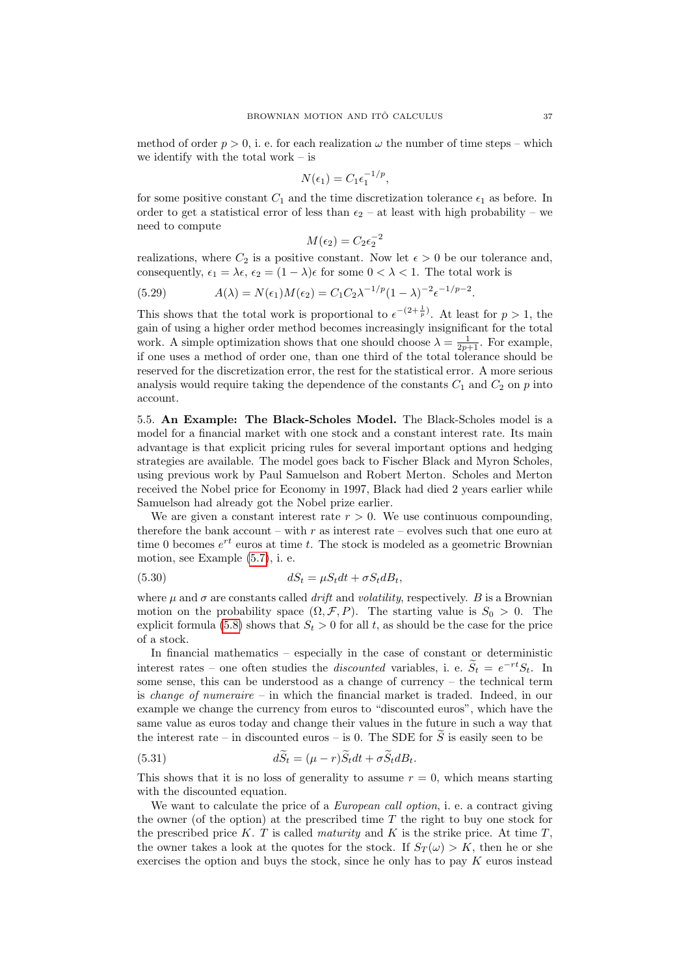method of order  $p > 0$ , i. e. for each realization  $\omega$  the number of time steps – which we identify with the total work – is

$$
N(\epsilon_1) = C_1 \epsilon_1^{-1/p},
$$

for some positive constant  $C_1$  and the time discretization tolerance  $\epsilon_1$  as before. In order to get a statistical error of less than  $\epsilon_2$  – at least with high probability – we need to compute

$$
M(\epsilon_2) = C_2 \epsilon_2^{-2}
$$

realizations, where  $C_2$  is a positive constant. Now let  $\epsilon > 0$  be our tolerance and, consequently,  $\epsilon_1 = \lambda \epsilon$ ,  $\epsilon_2 = (1 - \lambda)\epsilon$  for some  $0 < \lambda < 1$ . The total work is

(5.29) 
$$
A(\lambda) = N(\epsilon_1)M(\epsilon_2) = C_1C_2\lambda^{-1/p}(1-\lambda)^{-2}\epsilon^{-1/p-2}.
$$

This shows that the total work is proportional to  $\epsilon^{-(2+\frac{1}{p})}$ . At least for  $p > 1$ , the gain of using a higher order method becomes increasingly insignificant for the total work. A simple optimization shows that one should choose  $\lambda = \frac{1}{2p+1}$ . For example, if one uses a method of order one, than one third of the total tolerance should be reserved for the discretization error, the rest for the statistical error. A more serious analysis would require taking the dependence of the constants  $C_1$  and  $C_2$  on p into account.

<span id="page-36-0"></span>5.5. An Example: The Black-Scholes Model. The Black-Scholes model is a model for a financial market with one stock and a constant interest rate. Its main advantage is that explicit pricing rules for several important options and hedging strategies are available. The model goes back to Fischer Black and Myron Scholes, using previous work by Paul Samuelson and Robert Merton. Scholes and Merton received the Nobel price for Economy in 1997, Black had died 2 years earlier while Samuelson had already got the Nobel prize earlier.

We are given a constant interest rate  $r > 0$ . We use continuous compounding, therefore the bank account – with  $r$  as interest rate – evolves such that one euro at time 0 becomes  $e^{rt}$  euros at time t. The stock is modeled as a geometric Brownian motion, see Example [\(5.7\)](#page-25-2), i. e.

(5.30) 
$$
dS_t = \mu S_t dt + \sigma S_t dB_t,
$$

where  $\mu$  and  $\sigma$  are constants called *drift* and *volatility*, respectively. B is a Brownian motion on the probability space  $(\Omega, \mathcal{F}, P)$ . The starting value is  $S_0 > 0$ . The explicit formula [\(5.8\)](#page-25-3) shows that  $S_t > 0$  for all t, as should be the case for the price of a stock.

In financial mathematics – especially in the case of constant or deterministic interest rates – one often studies the *discounted* variables, i. e.  $\widetilde{S}_t = e^{-rt}S_t$ . In some sense, this can be understood as a change of currency – the technical term is *change of numeraire –* in which the financial market is traded. Indeed, in our example we change the currency from euros to "discounted euros", which have the same value as euros today and change their values in the future in such a way that the interest rate – in discounted euros – is 0. The SDE for  $\tilde{S}$  is easily seen to be

(5.31) 
$$
dS_t = (\mu - r)S_t dt + \sigma S_t dB_t.
$$

This shows that it is no loss of generality to assume  $r = 0$ , which means starting with the discounted equation.

We want to calculate the price of a *European call option*, i. e. a contract giving the owner (of the option) at the prescribed time  $T$  the right to buy one stock for the prescribed price  $K$ . T is called *maturity* and  $K$  is the strike price. At time  $T$ , the owner takes a look at the quotes for the stock. If  $S_T(\omega) > K$ , then he or she exercises the option and buys the stock, since he only has to pay  $K$  euros instead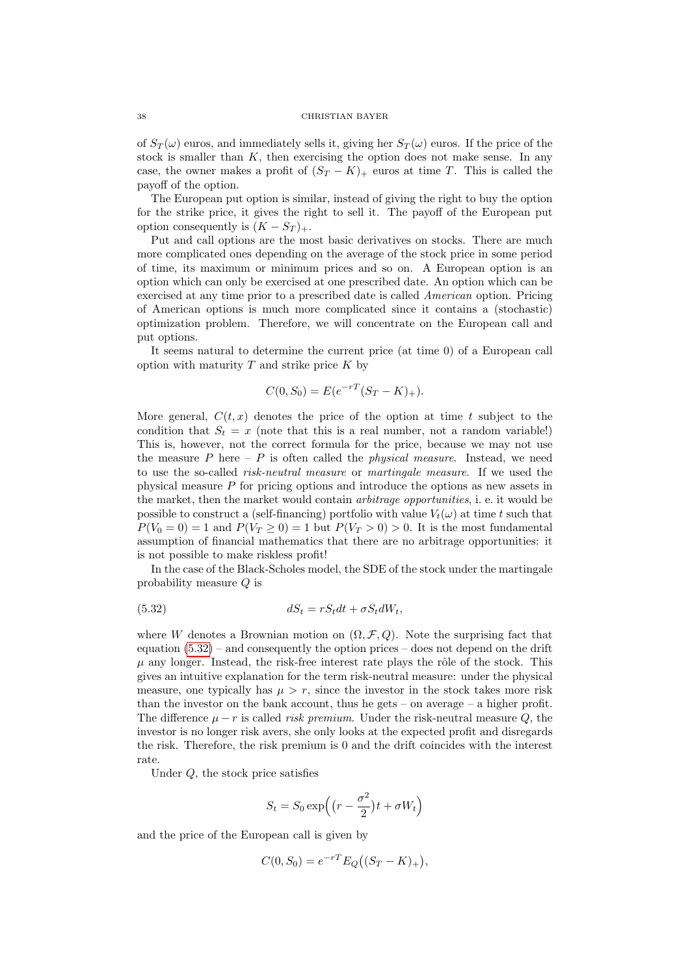of  $S_T(\omega)$  euros, and immediately sells it, giving her  $S_T(\omega)$  euros. If the price of the stock is smaller than  $K$ , then exercising the option does not make sense. In any case, the owner makes a profit of  $(S_T - K)_+$  euros at time T. This is called the payoff of the option.

The European put option is similar, instead of giving the right to buy the option for the strike price, it gives the right to sell it. The payoff of the European put option consequently is  $(K - S_T)_+$ .

Put and call options are the most basic derivatives on stocks. There are much more complicated ones depending on the average of the stock price in some period of time, its maximum or minimum prices and so on. A European option is an option which can only be exercised at one prescribed date. An option which can be exercised at any time prior to a prescribed date is called American option. Pricing of American options is much more complicated since it contains a (stochastic) optimization problem. Therefore, we will concentrate on the European call and put options.

It seems natural to determine the current price (at time 0) of a European call option with maturity  $T$  and strike price  $K$  by

$$
C(0, S_0) = E(e^{-rT}(S_T - K)_+).
$$

More general,  $C(t, x)$  denotes the price of the option at time t subject to the condition that  $S_t = x$  (note that this is a real number, not a random variable!) This is, however, not the correct formula for the price, because we may not use the measure  $P$  here  $-P$  is often called the *physical measure*. Instead, we need to use the so-called risk-neutral measure or martingale measure. If we used the physical measure P for pricing options and introduce the options as new assets in the market, then the market would contain *arbitrage opportunities*, i. e. it would be possible to construct a (self-financing) portfolio with value  $V_t(\omega)$  at time t such that  $P(V_0 = 0) = 1$  and  $P(V_T \ge 0) = 1$  but  $P(V_T > 0) > 0$ . It is the most fundamental assumption of financial mathematics that there are no arbitrage opportunities: it is not possible to make riskless profit!

In the case of the Black-Scholes model, the SDE of the stock under the martingale probability measure Q is

<span id="page-37-0"></span>
$$
(5.32) \t\t dS_t = rS_t dt + \sigma S_t dW_t,
$$

where W denotes a Brownian motion on  $(\Omega, \mathcal{F}, Q)$ . Note the surprising fact that equation  $(5.32)$  – and consequently the option prices – does not depend on the drift  $\mu$  any longer. Instead, the risk-free interest rate plays the rôle of the stock. This gives an intuitive explanation for the term risk-neutral measure: under the physical measure, one typically has  $\mu > r$ , since the investor in the stock takes more risk than the investor on the bank account, thus he gets – on average – a higher profit. The difference  $\mu - r$  is called *risk premium*. Under the risk-neutral measure Q, the investor is no longer risk avers, she only looks at the expected profit and disregards the risk. Therefore, the risk premium is 0 and the drift coincides with the interest rate.

Under Q, the stock price satisfies

$$
S_t = S_0 \exp\left((r - \frac{\sigma^2}{2})t + \sigma W_t\right)
$$

and the price of the European call is given by

$$
C(0, S_0) = e^{-rT} E_Q((S_T - K)_+),
$$